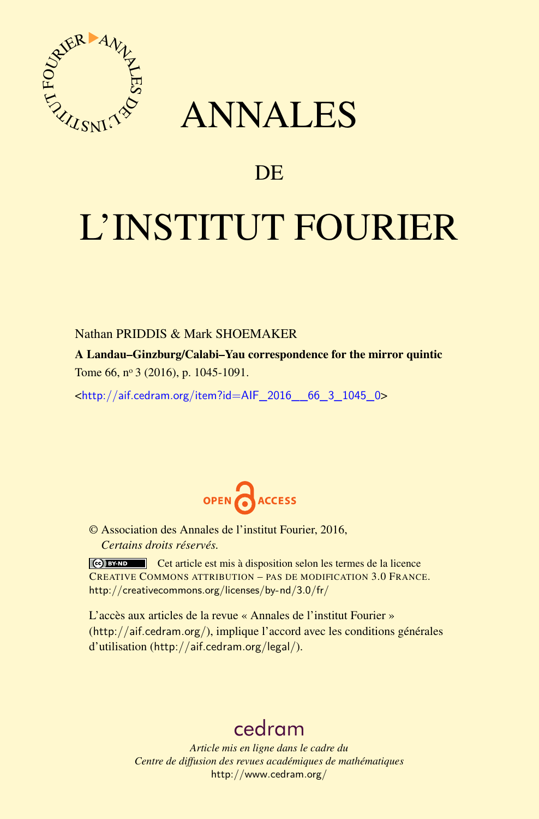

# ANNALES

# **DE**

# L'INSTITUT FOURIER

# Nathan PRIDDIS & Mark SHOEMAKER

A Landau–Ginzburg/Calabi–Yau correspondence for the mirror quintic Tome 66, nº 3 (2016), p. 1045-1091.

 $\kappa$ http://aif.cedram.org/item?id=AIF 2016 66 3 1045 0>



© Association des Annales de l'institut Fourier, 2016, *Certains droits réservés.*

Cet article est mis à disposition selon les termes de la licence CREATIVE COMMONS ATTRIBUTION – PAS DE MODIFICATION 3.0 FRANCE. <http://creativecommons.org/licenses/by-nd/3.0/fr/>

L'accès aux articles de la revue « Annales de l'institut Fourier » (<http://aif.cedram.org/>), implique l'accord avec les conditions générales d'utilisation (<http://aif.cedram.org/legal/>).

# [cedram](http://www.cedram.org/)

*Article mis en ligne dans le cadre du Centre de diffusion des revues académiques de mathématiques* <http://www.cedram.org/>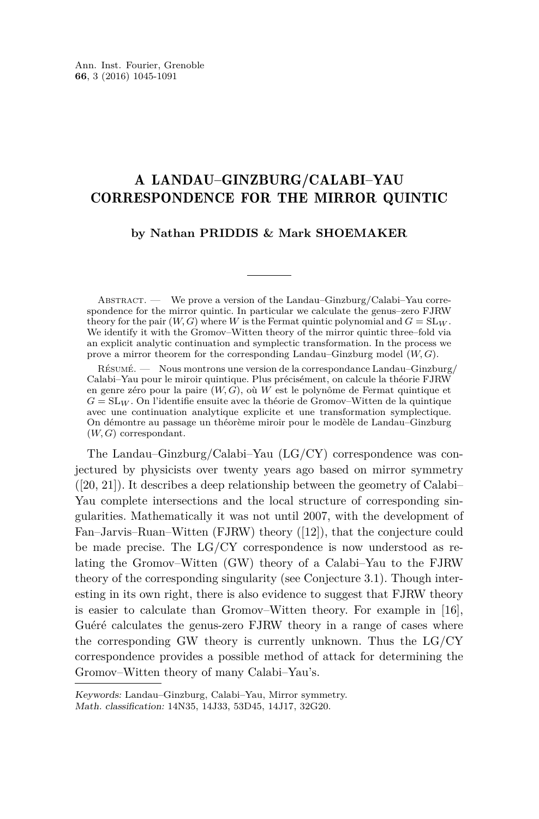# A LANDAU–GINZBURG/CALABI–YAU CORRESPONDENCE FOR THE MIRROR QUINTIC

## **by Nathan PRIDDIS & Mark SHOEMAKER**

ABSTRACT. — We prove a version of the Landau–Ginzburg/Calabi–Yau correspondence for the mirror quintic. In particular we calculate the genus–zero FJRW theory for the pair  $(W, G)$  where *W* is the Fermat quintic polynomial and  $G = SL_W$ . We identify it with the Gromov–Witten theory of the mirror quintic three–fold via an explicit analytic continuation and symplectic transformation. In the process we prove a mirror theorem for the corresponding Landau–Ginzburg model (*W, G*).

Résumé. — Nous montrons une version de la correspondance Landau–Ginzburg/ Calabi–Yau pour le miroir quintique. Plus précisément, on calcule la théorie FJRW en genre zéro pour la paire (*W, G*), où *W* est le polynôme de Fermat quintique et *G* = SL*<sup>W</sup>* . On l'identifie ensuite avec la théorie de Gromov–Witten de la quintique avec une continuation analytique explicite et une transformation symplectique. On démontre au passage un théorème miroir pour le modèle de Landau–Ginzburg (*W, G*) correspondant.

The Landau–Ginzburg/Calabi–Yau (LG/CY) correspondence was conjectured by physicists over twenty years ago based on mirror symmetry ([\[20,](#page-46-0) [21\]](#page-46-1)). It describes a deep relationship between the geometry of Calabi– Yau complete intersections and the local structure of corresponding singularities. Mathematically it was not until 2007, with the development of Fan–Jarvis–Ruan–Witten (FJRW) theory ([\[12\]](#page-46-2)), that the conjecture could be made precise. The LG/CY correspondence is now understood as relating the Gromov–Witten (GW) theory of a Calabi–Yau to the FJRW theory of the corresponding singularity (see Conjecture [3.1\)](#page-18-0). Though interesting in its own right, there is also evidence to suggest that FJRW theory is easier to calculate than Gromov–Witten theory. For example in [\[16\]](#page-46-3), Guéré calculates the genus-zero FJRW theory in a range of cases where the corresponding GW theory is currently unknown. Thus the LG/CY correspondence provides a possible method of attack for determining the Gromov–Witten theory of many Calabi–Yau's.

Keywords: Landau–Ginzburg, Calabi–Yau, Mirror symmetry. Math. classification: 14N35, 14J33, 53D45, 14J17, 32G20.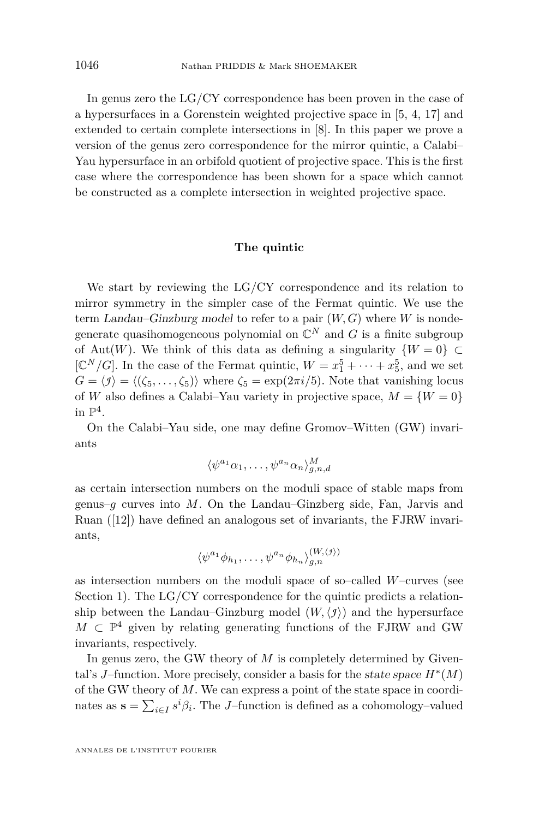In genus zero the LG/CY correspondence has been proven in the case of a hypersurfaces in a Gorenstein weighted projective space in [\[5,](#page-46-4) [4,](#page-46-5) [17\]](#page-46-6) and extended to certain complete intersections in [\[8\]](#page-46-7). In this paper we prove a version of the genus zero correspondence for the mirror quintic, a Calabi– Yau hypersurface in an orbifold quotient of projective space. This is the first case where the correspondence has been shown for a space which cannot be constructed as a complete intersection in weighted projective space.

#### **The quintic**

We start by reviewing the LG/CY correspondence and its relation to mirror symmetry in the simpler case of the Fermat quintic. We use the term Landau–Ginzburg model to refer to a pair (*W, G*) where *W* is nondegenerate quasihomogeneous polynomial on  $\mathbb{C}^N$  and  $G$  is a finite subgroup of Aut(*W*). We think of this data as defining a singularity  $\{W=0\} \subset$ [ $\mathbb{C}^N/G$ ]. In the case of the Fermat quintic,  $W = x_1^5 + \cdots + x_5^5$ , and we set  $G = \langle f \rangle = \langle (\zeta_5, \ldots, \zeta_5) \rangle$  where  $\zeta_5 = \exp(2\pi i/5)$ . Note that vanishing locus of *W* also defines a Calabi–Yau variety in projective space,  $M = \{W = 0\}$ in  $\mathbb{P}^4$ .

On the Calabi–Yau side, one may define Gromov–Witten (GW) invariants

$$
\langle \psi^{a_1} \alpha_1, \dots, \psi^{a_n} \alpha_n \rangle_{g,n,d}^M
$$

as certain intersection numbers on the moduli space of stable maps from genus–*g* curves into *M*. On the Landau–Ginzberg side, Fan, Jarvis and Ruan  $(12)$  have defined an analogous set of invariants, the FJRW invariants,

$$
\langle \psi^{a_1} \phi_{h_1}, \dots, \psi^{a_n} \phi_{h_n} \rangle_{g,n}^{(W,\langle f \rangle)}
$$

as intersection numbers on the moduli space of so–called *W*–curves (see Section [1\)](#page-6-0). The LG/CY correspondence for the quintic predicts a relationship between the Landau–Ginzburg model  $(W, \langle \mathcal{I} \rangle)$  and the hypersurface  $M \text{ }\subset \mathbb{P}^4$  given by relating generating functions of the FJRW and GW invariants, respectively.

In genus zero, the GW theory of *M* is completely determined by Givental's *J*–function. More precisely, consider a basis for the state space  $H^*(M)$ of the GW theory of *M*. We can express a point of the state space in coordinates as  $\mathbf{s} = \sum_{i \in I} s^i \beta_i$ . The *J*–function is defined as a cohomology–valued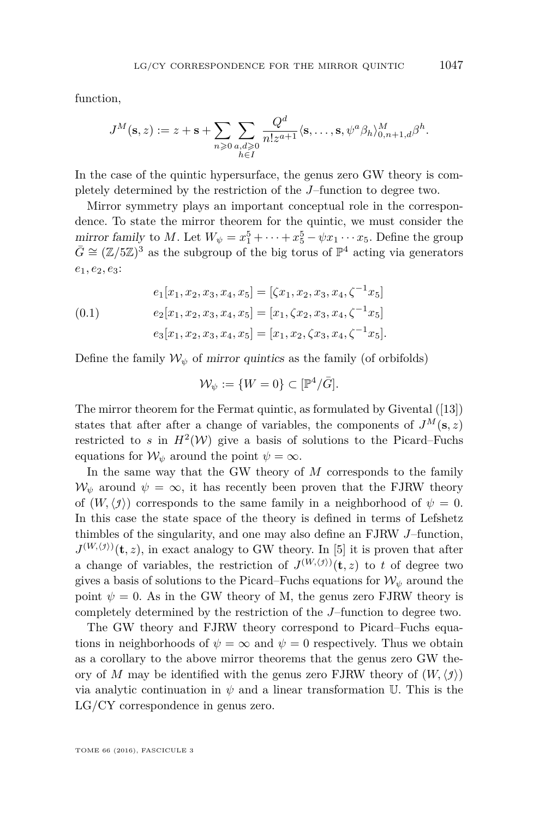function,

$$
J^M(\mathbf{s},z) := z + \mathbf{s} + \sum_{n\geqslant 0} \sum_{\substack{a,d\geqslant 0\\h\in I}} \frac{Q^d}{n!z^{a+1}} \langle \mathbf{s}, \dots, \mathbf{s}, \psi^a \beta_h \rangle_{0,n+1,d}^M \beta^h.
$$

In the case of the quintic hypersurface, the genus zero GW theory is completely determined by the restriction of the *J*–function to degree two.

Mirror symmetry plays an important conceptual role in the correspondence. To state the mirror theorem for the quintic, we must consider the mirror family to *M*. Let  $W_{\psi} = x_1^5 + \cdots + x_5^5 - \psi x_1 \cdots x_5$ . Define the group  $\bar{G} \cong (\mathbb{Z}/5\mathbb{Z})^3$  as the subgroup of the big torus of  $\mathbb{P}^4$  acting via generators *e*1*, e*2*, e*3:

<span id="page-3-0"></span>(0.1) 
$$
e_1[x_1, x_2, x_3, x_4, x_5] = [\zeta x_1, x_2, x_3, x_4, \zeta^{-1} x_5]
$$

$$
e_2[x_1, x_2, x_3, x_4, x_5] = [x_1, \zeta x_2, x_3, x_4, \zeta^{-1} x_5]
$$

$$
e_3[x_1, x_2, x_3, x_4, x_5] = [x_1, x_2, \zeta x_3, x_4, \zeta^{-1} x_5].
$$

Define the family  $W_{\psi}$  of mirror quintics as the family (of orbifolds)

$$
\mathcal{W}_{\psi} := \{ W = 0 \} \subset [\mathbb{P}^4/\bar{G}].
$$

The mirror theorem for the Fermat quintic, as formulated by Givental ([\[13\]](#page-46-8)) states that after after a change of variables, the components of  $J^M(\mathbf{s}, z)$ restricted to *s* in  $H^2(W)$  give a basis of solutions to the Picard–Fuchs equations for  $W_{\psi}$  around the point  $\psi = \infty$ .

In the same way that the GW theory of *M* corresponds to the family  $W_{\psi}$  around  $\psi = \infty$ , it has recently been proven that the FJRW theory of  $(W, \langle f \rangle)$  corresponds to the same family in a neighborhood of  $\psi = 0$ . In this case the state space of the theory is defined in terms of Lefshetz thimbles of the singularity, and one may also define an FJRW *J*–function,  $J^{(W,\langle f\rangle)}(\mathbf{t},z)$ , in exact analogy to GW theory. In [\[5\]](#page-46-4) it is proven that after a change of variables, the restriction of  $J^{(W,\langle j \rangle)}(\mathbf{t},z)$  to *t* of degree two gives a basis of solutions to the Picard–Fuchs equations for  $\mathcal{W}_{\psi}$  around the point  $\psi = 0$ . As in the GW theory of M, the genus zero FJRW theory is completely determined by the restriction of the *J*–function to degree two.

The GW theory and FJRW theory correspond to Picard–Fuchs equations in neighborhoods of  $\psi = \infty$  and  $\psi = 0$  respectively. Thus we obtain as a corollary to the above mirror theorems that the genus zero GW theory of *M* may be identified with the genus zero FJRW theory of  $(W, \langle \mathcal{I} \rangle)$ via analytic continuation in  $\psi$  and a linear transformation U. This is the LG/CY correspondence in genus zero.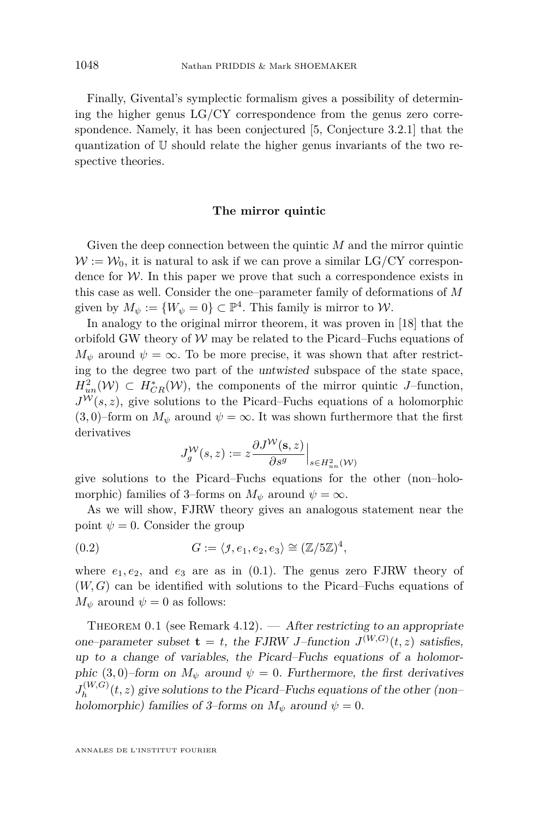Finally, Givental's symplectic formalism gives a possibility of determining the higher genus LG/CY correspondence from the genus zero correspondence. Namely, it has been conjectured [\[5,](#page-46-4) Conjecture 3.2.1] that the quantization of U should relate the higher genus invariants of the two respective theories.

#### **The mirror quintic**

Given the deep connection between the quintic *M* and the mirror quintic  $W := W_0$ , it is natural to ask if we can prove a similar LG/CY correspondence for  $W$ . In this paper we prove that such a correspondence exists in this case as well. Consider the one–parameter family of deformations of *M* given by  $M_{\psi} := \{W_{\psi} = 0\} \subset \mathbb{P}^{4}$ . This family is mirror to  $\mathcal{W}$ .

In analogy to the original mirror theorem, it was proven in [\[18\]](#page-46-9) that the orbifold GW theory of  $W$  may be related to the Picard–Fuchs equations of  $M_{\psi}$  around  $\psi = \infty$ . To be more precise, it was shown that after restricting to the degree two part of the untwisted subspace of the state space,  $H^2_{un}(\mathcal{W}) \subset H^*_{CR}(\mathcal{W})$ , the components of the mirror quintic *J*–function,  $J^{\mathcal{W}}(s, z)$ , give solutions to the Picard–Fuchs equations of a holomorphic  $(3,0)$ –form on  $M_{\psi}$  around  $\psi = \infty$ . It was shown furthermore that the first derivatives

<span id="page-4-0"></span>
$$
J_g^{\mathcal{W}}(s, z) := z \frac{\partial J^{\mathcal{W}}(\mathbf{s}, z)}{\partial s^g}\Big|_{s \in H^2_{un}(\mathcal{W})}
$$

give solutions to the Picard–Fuchs equations for the other (non–holomorphic) families of 3–forms on  $M_{\psi}$  around  $\psi = \infty$ .

As we will show, FJRW theory gives an analogous statement near the point  $\psi = 0$ . Consider the group

(0.2) 
$$
G := \langle \mathcal{I}, e_1, e_2, e_3 \rangle \cong (\mathbb{Z}/5\mathbb{Z})^4,
$$

where  $e_1, e_2$ , and  $e_3$  are as in  $(0.1)$ . The genus zero FJRW theory of (*W, G*) can be identified with solutions to the Picard–Fuchs equations of  $M_{\psi}$  around  $\psi = 0$  as follows:

<span id="page-4-1"></span>THEOREM 0.1 (see Remark [4.12\)](#page-32-0).  $\overline{\phantom{a}}$  After restricting to an appropriate one–parameter subset  $\mathbf{t} = t$ , the FJRW *J*–function  $J^{(W,G)}(t, z)$  satisfies, up to a change of variables, the Picard–Fuchs equations of a holomorphic (3,0)–form on  $M_{\psi}$  around  $\psi = 0$ . Furthermore, the first derivatives  $J_h^{(W,G)}$  $h_h^{(W,G)}(t,z)$  give solutions to the Picard–Fuchs equations of the other (non– holomorphic) families of 3–forms on  $M_{\psi}$  around  $\psi = 0$ .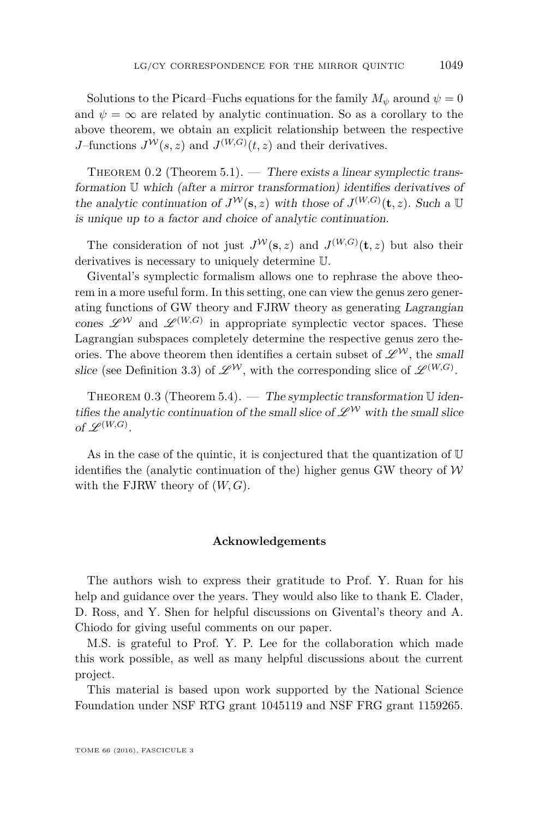Solutions to the Picard–Fuchs equations for the family  $M_{\psi}$  around  $\psi = 0$ and  $\psi = \infty$  are related by analytic continuation. So as a corollary to the above theorem, we obtain an explicit relationship between the respective *J*–functions  $J^{\mathcal{W}}(s, z)$  and  $J^{(W,G)}(t, z)$  and their derivatives.

THEOREM 0.2 (Theorem [5.1\)](#page-43-0). — There exists a linear symplectic transformation U which (after a mirror transformation) identifies derivatives of the analytic continuation of  $J^{\mathcal{W}}(\mathbf{s}, z)$  with those of  $J^{(W,G)}(\mathbf{t}, z)$ . Such a U is unique up to a factor and choice of analytic continuation.

The consideration of not just  $J^{\mathcal{W}}(\mathbf{s},z)$  and  $J^{(W,G)}(\mathbf{t},z)$  but also their derivatives is necessary to uniquely determine U.

Givental's symplectic formalism allows one to rephrase the above theorem in a more useful form. In this setting, one can view the genus zero generating functions of GW theory and FJRW theory as generating Lagrangian cones  $\mathscr{L}^W$  and  $\mathscr{L}^{(W,G)}$  in appropriate symplectic vector spaces. These Lagrangian subspaces completely determine the respective genus zero theories. The above theorem then identifies a certain subset of  $\mathscr{L}^\mathcal{W}$ , the small slice (see Definition [3.3\)](#page-19-0) of  $\mathscr{L}^{\mathcal{W}}$ , with the corresponding slice of  $\mathscr{L}^{(W,G)}$ .

THEOREM 0.3 (Theorem [5.4\)](#page-45-0). — The symplectic transformation  $\mathbb U$  identifies the analytic continuation of the small slice of  $\mathscr{L}^{\mathcal{W}}$  with the small slice of  $\mathscr{L}^{(W,G)}$ .

As in the case of the quintic, it is conjectured that the quantization of  $\mathbb U$ identifies the (analytic continuation of the) higher genus GW theory of  $W$ with the FJRW theory of (*W, G*).

#### **Acknowledgements**

The authors wish to express their gratitude to Prof. Y. Ruan for his help and guidance over the years. They would also like to thank E. Clader, D. Ross, and Y. Shen for helpful discussions on Givental's theory and A. Chiodo for giving useful comments on our paper.

M.S. is grateful to Prof. Y. P. Lee for the collaboration which made this work possible, as well as many helpful discussions about the current project.

This material is based upon work supported by the National Science Foundation under NSF RTG grant 1045119 and NSF FRG grant 1159265.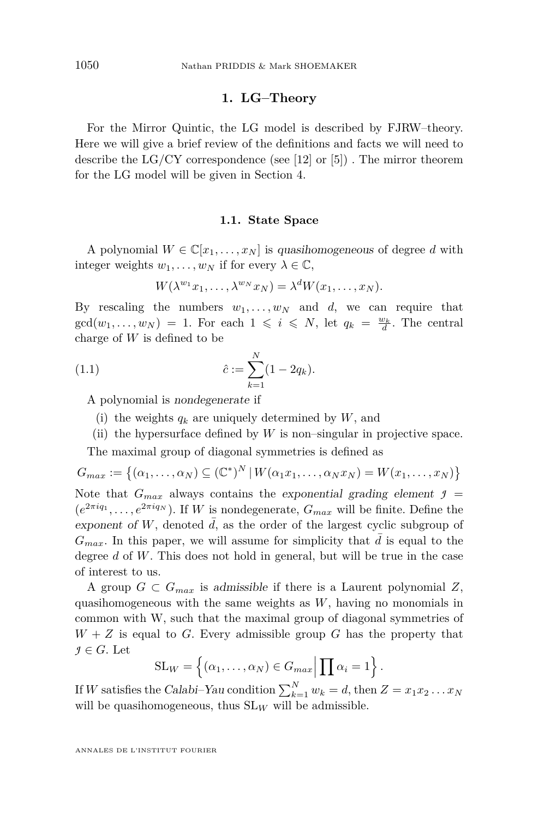#### **1. LG–Theory**

<span id="page-6-0"></span>For the Mirror Quintic, the LG model is described by FJRW–theory. Here we will give a brief review of the definitions and facts we will need to describe the  $LG/CY$  correspondence (see [\[12\]](#page-46-2) or [\[5\]](#page-46-4)). The mirror theorem for the LG model will be given in Section [4.](#page-19-1)

#### **1.1. State Space**

A polynomial  $W \in \mathbb{C}[x_1, \ldots, x_N]$  is quasihomogeneous of degree d with integer weights  $w_1, \ldots, w_N$  if for every  $\lambda \in \mathbb{C}$ ,

$$
W(\lambda^{w_1}x_1,\ldots,\lambda^{w_N}x_N)=\lambda^d W(x_1,\ldots,x_N).
$$

By rescaling the numbers  $w_1, \ldots, w_N$  and *d*, we can require that  $gcd(w_1, \ldots, w_N) = 1$ . For each  $1 \leq i \leq N$ , let  $q_k = \frac{w_k}{d}$ . The central charge of *W* is defined to be

(1.1) 
$$
\hat{c} := \sum_{k=1}^{N} (1 - 2q_k).
$$

A polynomial is nondegenerate if

- (i) the weights  $q_k$  are uniquely determined by  $W$ , and
- (ii) the hypersurface defined by  $W$  is non-singular in projective space.

The maximal group of diagonal symmetries is defined as

$$
G_{max} := \{ (\alpha_1, \ldots, \alpha_N) \subseteq (\mathbb{C}^*)^N \, | \, W(\alpha_1 x_1, \ldots, \alpha_N x_N) = W(x_1, \ldots, x_N) \}
$$
\nNote that  $G_{max}$  always contains the exponential grading element  $\mathcal{I} = (e^{2\pi i q_1}, \ldots, e^{2\pi i q_N})$ . If  $W$  is nondegenerate,  $G_{max}$  will be finite. Define the exponent of  $W$ , denoted  $\bar{d}$ , as the order of the largest cyclic subgroup of  $G_{max}$ . In this paper, we will assume for simplicity that  $\bar{d}$  is equal to the degree  $d$  of  $W$ . This does not hold in general, but will be true in the case of interest to us.

A group  $G \subset G_{max}$  is admissible if there is a Laurent polynomial Z, quasihomogeneous with the same weights as *W*, having no monomials in common with W, such that the maximal group of diagonal symmetries of  $W + Z$  is equal to *G*. Every admissible group *G* has the property that  $\mathcal{I} \in G$ . Let

$$
SL_W = \left\{ (\alpha_1, \ldots, \alpha_N) \in G_{max} \middle| \prod \alpha_i = 1 \right\}.
$$

If *W* satisfies the Calabi–Yau condition  $\sum_{k=1}^{N} w_k = d$ , then  $Z = x_1 x_2 \dots x_N$ will be quasihomogeneous, thus  $SL_W$  will be admissible.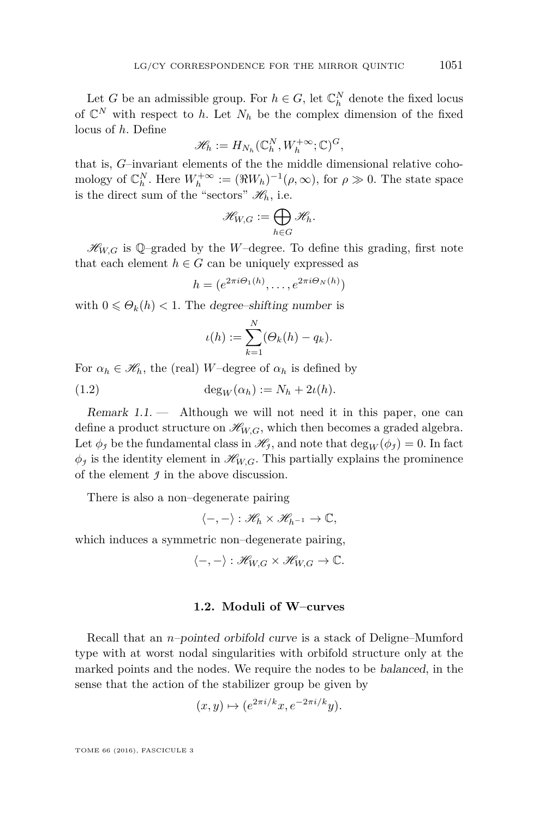Let *G* be an admissible group. For  $h \in G$ , let  $\mathbb{C}_h^N$  denote the fixed locus of  $\mathbb{C}^N$  with respect to *h*. Let  $N_h$  be the complex dimension of the fixed locus of *h*. Define

$$
\mathscr{H}_h := H_{N_h}(\mathbb{C}_h^N, W_h^{+\infty}; \mathbb{C})^G,
$$

that is, *G*–invariant elements of the the middle dimensional relative cohomology of  $\mathbb{C}_h^N$ . Here  $W_h^{+\infty} := (\Re W_h)^{-1}(\rho, \infty)$ , for  $\rho \gg 0$ . The state space is the direct sum of the "sectors"  $\mathcal{H}_h$ , i.e.

$$
\mathscr{H}_{W,G}:=\bigoplus_{h\in G}\mathscr{H}_h.
$$

 $\mathcal{H}_{W,G}$  is Q-graded by the *W*-degree. To define this grading, first note that each element  $h \in G$  can be uniquely expressed as

$$
h = (e^{2\pi i \Theta_1(h)}, \dots, e^{2\pi i \Theta_N(h)})
$$

with  $0 \leq \Theta_k(h) < 1$ . The degree–shifting number is

<span id="page-7-0"></span>
$$
\iota(h) := \sum_{k=1}^N (\Theta_k(h) - q_k).
$$

For  $\alpha_h \in \mathcal{H}_h$ , the (real) *W*–degree of  $\alpha_h$  is defined by

(1.2) 
$$
\deg_W(\alpha_h) := N_h + 2\iota(h).
$$

<span id="page-7-1"></span>Remark  $1.1.$  — Although we will not need it in this paper, one can define a product structure on  $\mathcal{H}_{W,G}$ , which then becomes a graded algebra. Let  $\phi_j$  be the fundamental class in  $\mathscr{H}_j$ , and note that  $\deg_W(\phi_j) = 0$ . In fact  $\phi_j$  is the identity element in  $\mathcal{H}_{W,G}$ . This partially explains the prominence of the element *J* in the above discussion.

There is also a non–degenerate pairing

$$
\langle -,-\rangle:\mathscr{H}_h\times\mathscr{H}_{h^{-1}}\to\mathbb{C},
$$

which induces a symmetric non–degenerate pairing,

$$
\langle -, - \rangle : \mathcal{H}_{W,G} \times \mathcal{H}_{W,G} \to \mathbb{C}.
$$

#### **1.2. Moduli of W–curves**

Recall that an *n*–pointed orbifold curve is a stack of Deligne–Mumford type with at worst nodal singularities with orbifold structure only at the marked points and the nodes. We require the nodes to be balanced, in the sense that the action of the stabilizer group be given by

$$
(x,y) \mapsto (e^{2\pi i/k}x, e^{-2\pi i/k}y).
$$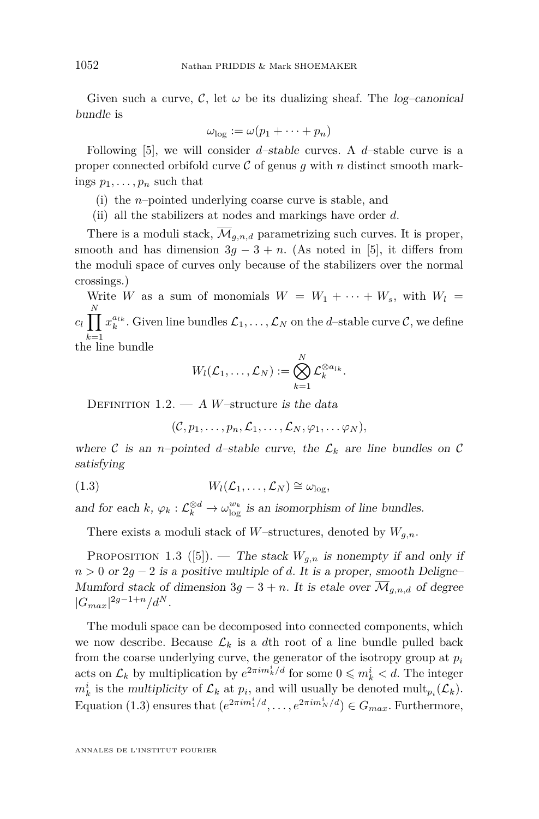Given such a curve,  $\mathcal{C}$ , let  $\omega$  be its dualizing sheaf. The *log-canonical* bundle is

$$
\omega_{\log}:=\omega(p_1+\cdots+p_n)
$$

Following [\[5\]](#page-46-4), we will consider *d*–stable curves. A *d*–stable curve is a proper connected orbifold curve  $\mathcal C$  of genus  $q$  with  $n$  distinct smooth markings  $p_1, \ldots, p_n$  such that

- (i) the *n*–pointed underlying coarse curve is stable, and
- (ii) all the stabilizers at nodes and markings have order *d*.

There is a moduli stack,  $\overline{\mathcal{M}}_{g,n,d}$  parametrizing such curves. It is proper, smooth and has dimension  $3g - 3 + n$ . (As noted in [\[5\]](#page-46-4), it differs from the moduli space of curves only because of the stabilizers over the normal crossings.)

Write *W* as a sum of monomials  $W = W_1 + \cdots + W_s$ , with  $W_l =$  $c_l \prod x_k^{a_{lk}}.$  Given line bundles  $\mathcal{L}_1, \ldots, \mathcal{L}_N$  on the *d*–stable curve  $\mathcal{C},$  we define *N*  $k=1$ <br>the line bundle

*.*

$$
W_l(\mathcal{L}_1, \dots, \mathcal{L}_N) := \bigotimes_{k=1}^N \mathcal{L}_k^{\otimes a_{lk}}
$$

DEFINITION  $1.2. - A$  *W*-structure is the data

<span id="page-8-0"></span> $(C, p_1, \ldots, p_n, \mathcal{L}_1, \ldots, \mathcal{L}_N, \varphi_1, \ldots, \varphi_N),$ 

where C is an *n*-pointed *d*-stable curve, the  $\mathcal{L}_k$  are line bundles on C satisfying

$$
(1.3) \t W_l(\mathcal{L}_1,\ldots,\mathcal{L}_N) \cong \omega_{\log},
$$

and for each  $k, \varphi_k : \mathcal{L}_k^{\otimes d} \to \omega_{\log}^{w_k}$  is an isomorphism of line bundles.

There exists a moduli stack of *W*–structures, denoted by  $W_{g,n}$ .

PROPOSITION 1.3 ([\[5\]](#page-46-4)). — The stack  $W_{g,n}$  is nonempty if and only if  $n > 0$  or  $2g - 2$  is a positive multiple of *d*. It is a proper, smooth Deligne– Mumford stack of dimension  $3g - 3 + n$ . It is etale over  $\overline{\mathcal{M}}_{q,n,d}$  of degree  $|G_{max}|^{2g-1+n}/d^{N}.$ 

The moduli space can be decomposed into connected components, which we now describe. Because  $\mathcal{L}_k$  is a dth root of a line bundle pulled back from the coarse underlying curve, the generator of the isotropy group at *p<sup>i</sup>* acts on  $\mathcal{L}_k$  by multiplication by  $e^{2\pi im_k^i/d}$  for some  $0 \leqslant m_k^i < d$ . The integer  $m_k^i$  is the multiplicity of  $\mathcal{L}_k$  at  $p_i$ , and will usually be denoted  $\text{mult}_{p_i}(\mathcal{L}_k)$ . Equation [\(1.3\)](#page-8-0) ensures that  $(e^{2\pi im_1^i/d}, \ldots, e^{2\pi im_N^i/d}) \in G_{max}$ . Furthermore,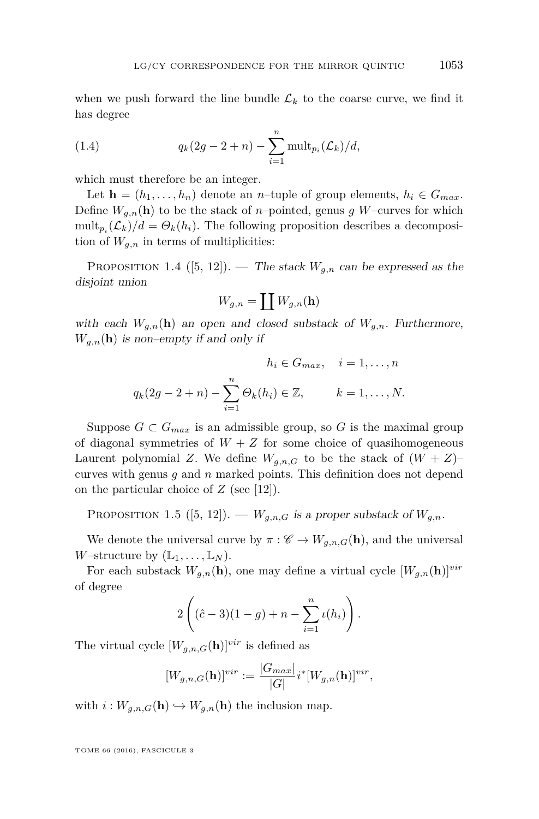when we push forward the line bundle  $\mathcal{L}_k$  to the coarse curve, we find it has degree

<span id="page-9-0"></span>(1.4) 
$$
q_k(2g - 2 + n) - \sum_{i=1}^n \text{mult}_{p_i}(\mathcal{L}_k)/d,
$$

which must therefore be an integer.

Let  $\mathbf{h} = (h_1, \ldots, h_n)$  denote an *n*–tuple of group elements,  $h_i \in G_{max}$ . Define  $W_{q,n}(\mathbf{h})$  to be the stack of *n*–pointed, genus g W–curves for which  $\text{mult}_{p_i}(\mathcal{L}_k)/d = \Theta_k(h_i)$ . The following proposition describes a decomposition of  $W_{q,n}$  in terms of multiplicities:

<span id="page-9-1"></span>PROPOSITION 1.4  $([5, 12])$  $([5, 12])$  $([5, 12])$  $([5, 12])$  $([5, 12])$ . — The stack  $W_{g,n}$  can be expressed as the disjoint union

$$
W_{g,n}=\coprod W_{g,n}(\mathbf{h})
$$

with each  $W_{g,n}(\mathbf{h})$  an open and closed substack of  $W_{g,n}$ . Furthermore,  $W_{q,n}(\mathbf{h})$  is non–empty if and only if

$$
h_i \in G_{max}, \quad i = 1, \dots, n
$$

$$
q_k(2g - 2 + n) - \sum_{i=1}^n \Theta_k(h_i) \in \mathbb{Z}, \qquad k = 1, \dots, N.
$$

Suppose  $G \subset G_{max}$  is an admissible group, so G is the maximal group of diagonal symmetries of  $W + Z$  for some choice of quasihomogeneous Laurent polynomial *Z*. We define  $W_{g,n,G}$  to be the stack of  $(W+Z)$ – curves with genus *g* and *n* marked points. This definition does not depend on the particular choice of *Z* (see [\[12\]](#page-46-2)).

PROPOSITION 1.5 ([\[5,](#page-46-4) [12\]](#page-46-2)). —  $W_{g,n,G}$  is a proper substack of  $W_{g,n}$ .

We denote the universal curve by  $\pi : \mathscr{C} \to W_{g,n,G}(\mathbf{h})$ , and the universal *W*–structure by  $(\mathbb{L}_1, \ldots, \mathbb{L}_N)$ .

For each substack  $W_{q,n}(\mathbf{h})$ , one may define a virtual cycle  $[W_{q,n}(\mathbf{h})]^{vir}$ of degree

$$
2\left((\hat{c}-3)(1-g) + n - \sum_{i=1}^{n} \iota(h_i)\right).
$$

The virtual cycle  $[W_{q,n,G}(\mathbf{h})]^{vir}$  is defined as

$$
[W_{g,n,G}(\mathbf{h})]^{vir} := \frac{|G_{max}|}{|G|} i^*[W_{g,n}(\mathbf{h})]^{vir},
$$

with  $i: W_{g,n,G}(\mathbf{h}) \hookrightarrow W_{g,n}(\mathbf{h})$  the inclusion map.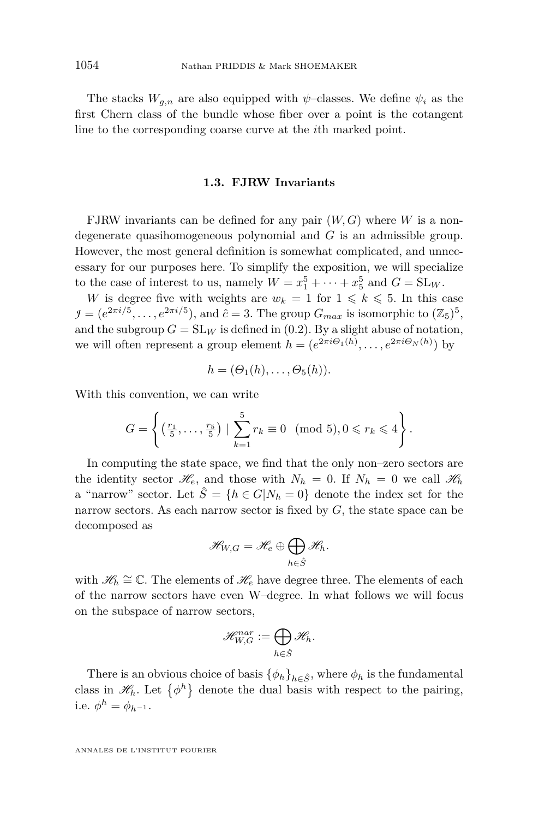The stacks  $W_{g,n}$  are also equipped with  $\psi$ –classes. We define  $\psi_i$  as the first Chern class of the bundle whose fiber over a point is the cotangent line to the corresponding coarse curve at the *i*th marked point.

#### **1.3. FJRW Invariants**

<span id="page-10-0"></span>FJRW invariants can be defined for any pair (*W, G*) where *W* is a nondegenerate quasihomogeneous polynomial and *G* is an admissible group. However, the most general definition is somewhat complicated, and unnecessary for our purposes here. To simplify the exposition, we will specialize to the case of interest to us, namely  $W = x_1^5 + \cdots + x_5^5$  and  $G = SL_W$ .

*W* is degree five with weights are  $w_k = 1$  for  $1 \leq k \leq 5$ . In this case  $\mathcal{I} = (e^{2\pi i/5}, \dots, e^{2\pi i/5})$ , and  $\hat{c} = 3$ . The group  $G_{max}$  is isomorphic to  $(\mathbb{Z}_5)^5$ , and the subgroup  $G = SL_W$  is defined in [\(0.2\)](#page-4-0). By a slight abuse of notation, we will often represent a group element  $h = (e^{2\pi i \Theta_1(h)}, \dots, e^{2\pi i \Theta_N(h)})$  by

$$
h=(\Theta_1(h),\ldots,\Theta_5(h)).
$$

With this convention, we can write

$$
G = \left\{ \left( \frac{r_1}{5}, \dots, \frac{r_5}{5} \right) \mid \sum_{k=1}^{5} r_k \equiv 0 \pmod{5}, 0 \leq r_k \leq 4 \right\}.
$$

In computing the state space, we find that the only non–zero sectors are the identity sector  $\mathcal{H}_e$ , and those with  $N_h = 0$ . If  $N_h = 0$  we call  $\mathcal{H}_h$ a "narrow" sector. Let  $\hat{S} = \{h \in G | N_h = 0\}$  denote the index set for the narrow sectors. As each narrow sector is fixed by *G*, the state space can be decomposed as

$$
\mathscr{H}_{W,G}=\mathscr{H}_e\oplus\bigoplus_{h\in \hat{S}}\mathscr{H}_h.
$$

with  $\mathcal{H}_h \cong \mathbb{C}$ . The elements of  $\mathcal{H}_e$  have degree three. The elements of each of the narrow sectors have even W–degree. In what follows we will focus on the subspace of narrow sectors,

$$
\mathscr{H}_{W,G}^{nar}:=\bigoplus_{h\in \hat{S}}\mathscr{H}_h.
$$

There is an obvious choice of basis  $\{\phi_h\}_{h \in \hat{S}}$ , where  $\phi_h$  is the fundamental class in  $\mathscr{H}_h$ . Let  $\{\phi^h\}$  denote the dual basis with respect to the pairing, i.e.  $\phi^h = \phi_{h^{-1}}$ .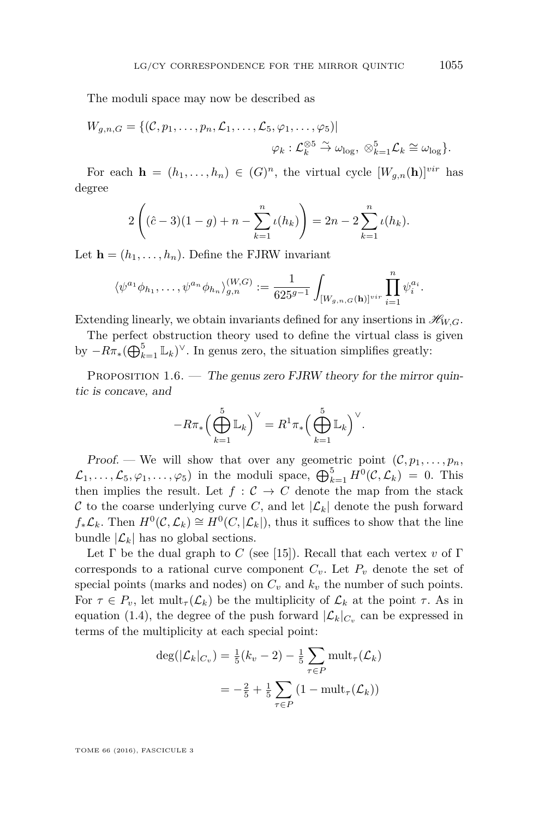The moduli space may now be described as

$$
W_{g,n,G} = \{(\mathcal{C}, p_1, \ldots, p_n, \mathcal{L}_1, \ldots, \mathcal{L}_5, \varphi_1, \ldots, \varphi_5) | \newline \varphi_k : \mathcal{L}_k^{\otimes 5} \stackrel{\sim}{\to} \omega_{\log}, \otimes_{k=1}^5 \mathcal{L}_k \cong \omega_{\log}\}.
$$

For each  $\mathbf{h} = (h_1, \ldots, h_n) \in (G)^n$ , the virtual cycle  $[W_{g,n}(\mathbf{h})]^{vir}$  has degree

$$
2\left((\hat{c}-3)(1-g) + n - \sum_{k=1}^{n} \iota(h_k)\right) = 2n - 2\sum_{k=1}^{n} \iota(h_k).
$$

Let  $\mathbf{h} = (h_1, \ldots, h_n)$ . Define the FJRW invariant

$$
\langle \psi^{a_1} \phi_{h_1}, \dots, \psi^{a_n} \phi_{h_n} \rangle_{g,n}^{(W,G)} := \frac{1}{625^{g-1}} \int_{[W_{g,n,G}(\mathbf{h})]^{\text{vir}}} \prod_{i=1}^n \psi_i^{a_i}.
$$

Extending linearly, we obtain invariants defined for any insertions in  $\mathcal{H}_{W,G}$ .

The perfect obstruction theory used to define the virtual class is given by  $-R\pi_*(\bigoplus_{k=1}^5 \mathbb{L}_k)^\vee$ . In genus zero, the situation simplifies greatly:

<span id="page-11-0"></span>PROPOSITION  $1.6.$  — The genus zero FJRW theory for the mirror quintic is concave, and

$$
-R\pi_*\Big(\bigoplus_{k=1}^5 \mathbb{L}_k\Big)^{\vee} = R^1\pi_*\Big(\bigoplus_{k=1}^5 \mathbb{L}_k\Big)^{\vee}.
$$

Proof. — We will show that over any geometric point  $(C, p_1, \ldots, p_n)$  $\mathcal{L}_1, \ldots, \mathcal{L}_5, \varphi_1, \ldots, \varphi_5$  in the moduli space,  $\bigoplus_{k=1}^5 H^0(\mathcal{C}, \mathcal{L}_k) = 0$ . This then implies the result. Let  $f : C \to C$  denote the map from the stack C to the coarse underlying curve C, and let  $|\mathcal{L}_k|$  denote the push forward  $f_*\mathcal{L}_k$ . Then  $H^0(\mathcal{C}, \mathcal{L}_k) \cong H^0(\mathcal{C}, |\mathcal{L}_k|)$ , thus it suffices to show that the line bundle  $|\mathcal{L}_k|$  has no global sections.

Let  $\Gamma$  be the dual graph to *C* (see [\[15\]](#page-46-10)). Recall that each vertex *v* of  $\Gamma$ corresponds to a rational curve component  $C_v$ . Let  $P_v$  denote the set of special points (marks and nodes) on  $C_v$  and  $k_v$  the number of such points. For  $\tau \in P_v$ , let mult<sub>*τ*</sub>( $\mathcal{L}_k$ ) be the multiplicity of  $\mathcal{L}_k$  at the point  $\tau$ . As in equation [\(1.4\)](#page-9-0), the degree of the push forward  $|\mathcal{L}_k|_{C_v}$  can be expressed in terms of the multiplicity at each special point:

$$
\deg(|\mathcal{L}_k|_{C_v}) = \frac{1}{5}(k_v - 2) - \frac{1}{5} \sum_{\tau \in P} \text{mult}_{\tau}(\mathcal{L}_k)
$$

$$
= -\frac{2}{5} + \frac{1}{5} \sum_{\tau \in P} (1 - \text{mult}_{\tau}(\mathcal{L}_k))
$$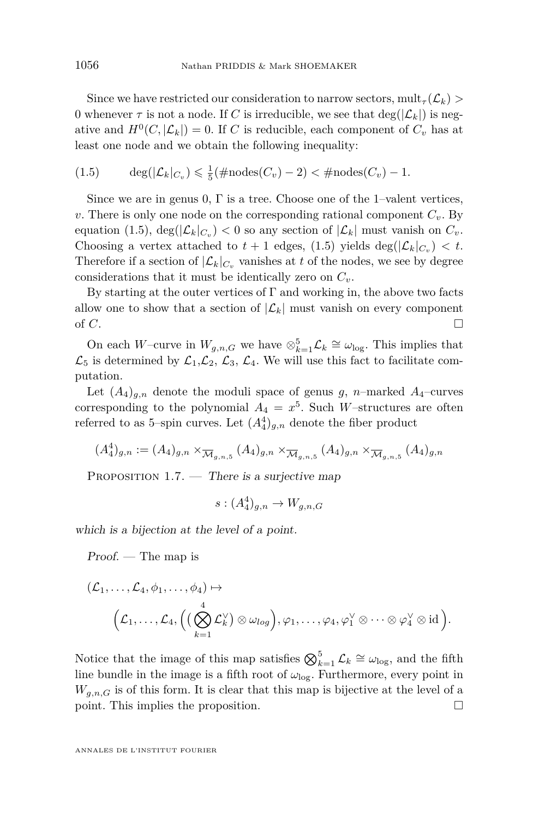Since we have restricted our consideration to narrow sectors,  $\text{mult}_{\tau}(\mathcal{L}_k)$ 0 whenever  $\tau$  is not a node. If *C* is irreducible, we see that  $\deg(|\mathcal{L}_k|)$  is negative and  $H^0(C, |\mathcal{L}_k|) = 0$ . If *C* is reducible, each component of  $C_v$  has at least one node and we obtain the following inequality:

<span id="page-12-0"></span>
$$
(1.5) \qquad \deg(|\mathcal{L}_k|_{C_v}) \leq \frac{1}{5}(\#\mathrm{nodes}(C_v) - 2) < \#\mathrm{nodes}(C_v) - 1.
$$

Since we are in genus 0,  $\Gamma$  is a tree. Choose one of the 1-valent vertices, *v*. There is only one node on the corresponding rational component *Cv*. By equation [\(1.5\)](#page-12-0),  $\deg(|\mathcal{L}_k|_{C_v}) < 0$  so any section of  $|\mathcal{L}_k|$  must vanish on  $C_v$ . Choosing a vertex attached to  $t + 1$  edges, [\(1.5\)](#page-12-0) yields  $\deg(|\mathcal{L}_k|_{C_v}) < t$ . Therefore if a section of  $|\mathcal{L}_k|_{C_v}$  vanishes at *t* of the nodes, we see by degree considerations that it must be identically zero on  $C_v$ .

By starting at the outer vertices of  $\Gamma$  and working in, the above two facts allow one to show that a section of  $|\mathcal{L}_k|$  must vanish on every component of  $C$ .

On each *W*–curve in  $W_{g,n,G}$  we have  $\otimes_{k=1}^5 \mathcal{L}_k \cong \omega_{\log}$ . This implies that  $\mathcal{L}_5$  is determined by  $\mathcal{L}_1, \mathcal{L}_2, \mathcal{L}_3, \mathcal{L}_4$ . We will use this fact to facilitate computation.

Let  $(A_4)_{g,n}$  denote the moduli space of genus *g*, *n*–marked  $A_4$ –curves corresponding to the polynomial  $A_4 = x^5$ . Such *W*-structures are often referred to as 5-spin curves. Let  $(A_4^4)_{g,n}$  denote the fiber product

$$
(A_4^4)_{g,n} := (A_4)_{g,n} \times_{\overline{\mathcal{M}}_{g,n,5}} (A_4)_{g,n} \times_{\overline{\mathcal{M}}_{g,n,5}} (A_4)_{g,n} \times_{\overline{\mathcal{M}}_{g,n,5}} (A_4)_{g,n}
$$

PROPOSITION  $1.7.$  — There is a surjective map

$$
s: (A_4^4)_{g,n} \to W_{g,n,G}
$$

which is a bijection at the level of a point.

Proof. — The map is

$$
\begin{aligned} (\mathcal{L}_1,\dots,\mathcal{L}_4,\phi_1,\dots,\phi_4) &\mapsto\\ &\Big(\mathcal{L}_1,\dots,\mathcal{L}_4,\Big((\bigotimes_{k=1}^4\mathcal{L}_k^\vee)\otimes\omega_{log}\Big),\varphi_1,\dots,\varphi_4,\varphi_1^\vee\otimes\dots\otimes\varphi_4^\vee\otimes\mathrm{id}\,\Big). \end{aligned}
$$

Notice that the image of this map satisfies  $\bigotimes_{k=1}^{5} \mathcal{L}_k \cong \omega_{\log}$ , and the fifth line bundle in the image is a fifth root of  $\omega_{\text{log}}$ . Furthermore, every point in  $W_{g,n,G}$  is of this form. It is clear that this map is bijective at the level of a point. This implies the proposition.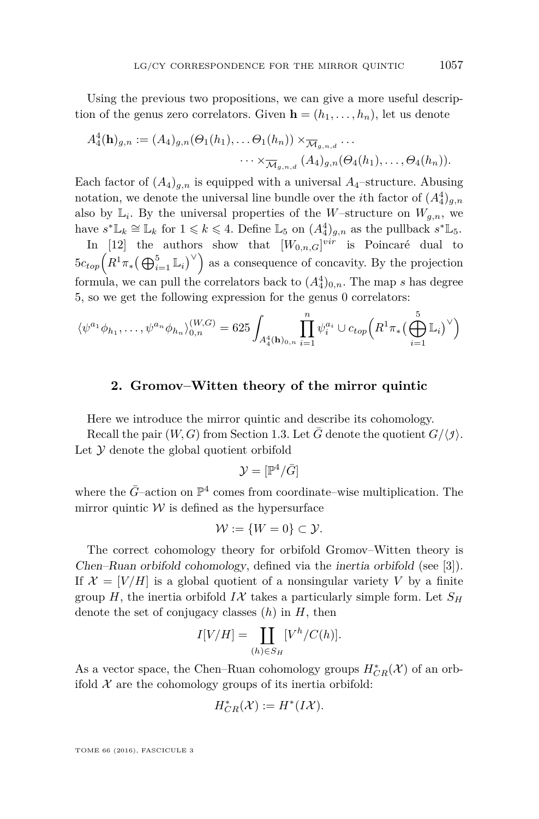Using the previous two propositions, we can give a more useful description of the genus zero correlators. Given  $\mathbf{h} = (h_1, \ldots, h_n)$ , let us denote

$$
A_4^4(\mathbf{h})_{g,n} := (A_4)_{g,n}(\Theta_1(h_1),\ldots\Theta_1(h_n)) \times_{\overline{\mathcal{M}}_{g,n,d}} \ldots
$$

$$
\cdots \times_{\overline{\mathcal{M}}_{g,n,d}} (A_4)_{g,n}(\Theta_4(h_1),\ldots,\Theta_4(h_n)).
$$

Each factor of  $(A_4)_{q,n}$  is equipped with a universal  $A_4$ -structure. Abusing notation, we denote the universal line bundle over the *i*<sup>th</sup> factor of  $(A_4^4)_{g,n}$ also by  $\mathbb{L}_i$ . By the universal properties of the *W*-structure on  $W_{g,n}$ , we have  $s^* \mathbb{L}_k \cong \mathbb{L}_k$  for  $1 \leq k \leq 4$ . Define  $\mathbb{L}_5$  on  $(A_4^4)_{g,n}$  as the pullback  $s^* \mathbb{L}_5$ .

In [\[12\]](#page-46-2) the authors show that  $[W_{0,n,G}]^{vir}$  is Poincaré dual to  $5c_{top}(R^1\pi_*(\bigoplus_{i=1}^5 \mathbb{L}_i)^\vee)$  as a consequence of concavity. By the projection formula, we can pull the correlators back to  $(A_4^4)_{0,n}$ . The map *s* has degree 5, so we get the following expression for the genus 0 correlators:

$$
\langle \psi^{a_1} \phi_{h_1}, \dots, \psi^{a_n} \phi_{h_n} \rangle_{0,n}^{(W,G)} = 625 \int_{A_4^4(\mathbf{h})_{0,n}} \prod_{i=1}^n \psi_i^{a_i} \cup c_{top} \Big( R^1 \pi_* \big( \bigoplus_{i=1}^5 \mathbb{L}_i \big)^\vee \Big)
$$

#### **2. Gromov–Witten theory of the mirror quintic**

Here we introduce the mirror quintic and describe its cohomology.

Recall the pair  $(W, G)$  from Section [1.3.](#page-10-0) Let  $\overline{G}$  denote the quotient  $G/\langle \overline{g} \rangle$ . Let  $\mathcal Y$  denote the global quotient orbifold

$$
\mathcal{Y}=[\mathbb{P}^4/\bar{G}]
$$

where the  $\bar{G}$ –action on  $\mathbb{P}^4$  comes from coordinate–wise multiplication. The mirror quintic  $W$  is defined as the hypersurface

$$
\mathcal{W} := \{W = 0\} \subset \mathcal{Y}.
$$

The correct cohomology theory for orbifold Gromov–Witten theory is Chen–Ruan orbifold cohomology, defined via the inertia orbifold (see [\[3\]](#page-46-11)). If  $\mathcal{X} = [V/H]$  is a global quotient of a nonsingular variety V by a finite group *H*, the inertia orbifold  $I\mathcal{X}$  takes a particularly simple form. Let  $S_H$ denote the set of conjugacy classes (*h*) in *H*, then

$$
I[V/H] = \coprod_{(h)\in S_H} [V^h/C(h)].
$$

As a vector space, the Chen–Ruan cohomology groups  $H^*_{CR}(\mathcal{X})$  of an orbifold  $X$  are the cohomology groups of its inertia orbifold:

$$
H^*_{CR}(\mathcal{X}) := H^*(I\mathcal{X}).
$$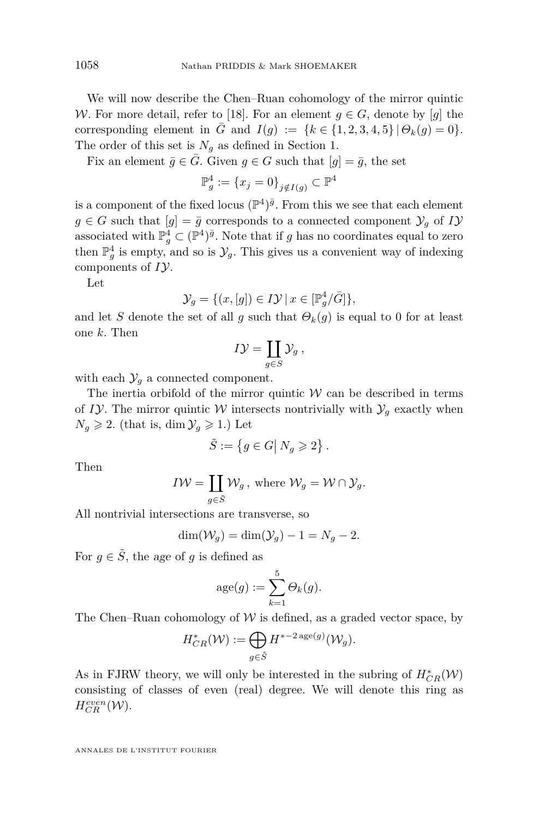We will now describe the Chen–Ruan cohomology of the mirror quintic W. For more detail, refer to [\[18\]](#page-46-9). For an element  $g \in G$ , denote by [g] the corresponding element in  $\bar{G}$  and  $I(g) := \{k \in \{1, 2, 3, 4, 5\} \, | \, \Theta_k(g) = 0\}.$ The order of this set is  $N_q$  as defined in Section [1.](#page-6-0)

Fix an element  $\bar{g} \in \bar{G}$ . Given  $g \in G$  such that  $[g] = \bar{g}$ , the set

$$
\mathbb{P}_g^4 := \{ x_j = 0 \}_{j \notin I(g)} \subset \mathbb{P}^4
$$

is a component of the fixed locus  $(\mathbb{P}^4)^{\bar{g}}$ . From this we see that each element  $g \in G$  such that  $[g] = \overline{g}$  corresponds to a connected component  $\mathcal{Y}_g$  of  $I\mathcal{Y}$ associated with  $\mathbb{P}_{g}^{4} \subset (\mathbb{P}^{4})^{\bar{g}}$ . Note that if *g* has no coordinates equal to zero then  $\mathbb{P}_{g}^{4}$  is empty, and so is  $\mathcal{Y}_{g}$ . This gives us a convenient way of indexing components of *I*Y.

Let

$$
\mathcal{Y}_g = \{ (x, [g]) \in I\mathcal{Y} \mid x \in [\mathbb{P}_g^4/\bar{G}] \},\
$$

and let *S* denote the set of all *g* such that  $\Theta_k(g)$  is equal to 0 for at least one *k*. Then

$$
I\mathcal{Y}=\coprod_{g\in S}\mathcal{Y}_g,
$$

with each  $\mathcal{Y}_q$  a connected component.

The inertia orbifold of the mirror quintic  $W$  can be described in terms of *I*Y. The mirror quintic *W* intersects nontrivially with  $\mathcal{Y}_g$  exactly when  $N_q \geqslant 2$ . (that is, dim  $\mathcal{Y}_q \geqslant 1$ .) Let

$$
\tilde{S} := \left\{ g \in G \middle| N_g \geqslant 2 \right\}.
$$

Then

$$
I \mathcal{W} = \coprod_{g \in \tilde{S}} \mathcal{W}_g \text{, where } \mathcal{W}_g = \mathcal{W} \cap \mathcal{Y}_g.
$$

All nontrivial intersections are transverse, so

$$
\dim(\mathcal{W}_g) = \dim(\mathcal{Y}_g) - 1 = N_g - 2.
$$

For  $q \in \tilde{S}$ , the age of q is defined as

$$
age(g) := \sum_{k=1}^{5} \Theta_k(g).
$$

The Chen–Ruan cohomology of  $W$  is defined, as a graded vector space, by

$$
H^*_{CR}(\mathcal{W}) := \bigoplus_{g \in \tilde{S}} H^{*-2 \deg(g)}(\mathcal{W}_g).
$$

As in FJRW theory, we will only be interested in the subring of  $H^*_{CR}(\mathcal{W})$ consisting of classes of even (real) degree. We will denote this ring as  $H_{CR}^{even}(\mathcal{W})$ .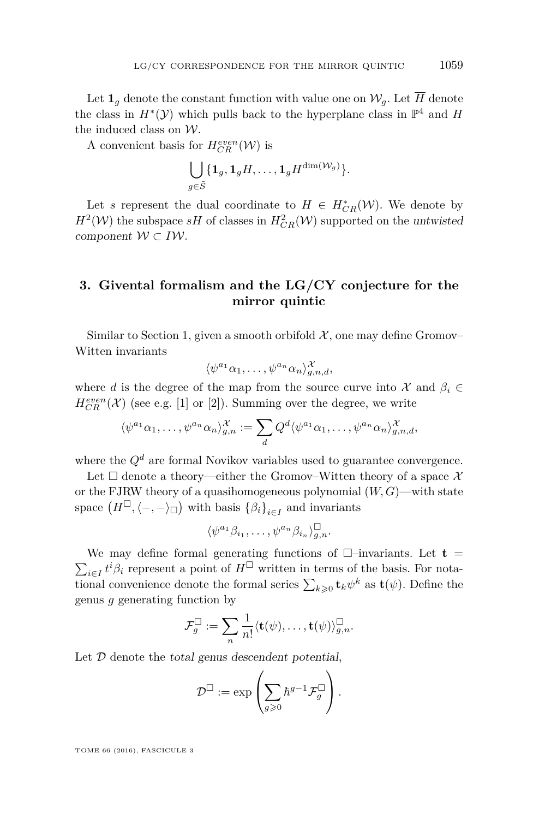Let  $\mathbf{1}_q$  denote the constant function with value one on  $\mathcal{W}_q$ . Let  $\overline{H}$  denote the class in  $H^*(\mathcal{Y})$  which pulls back to the hyperplane class in  $\mathbb{P}^4$  and H the induced class on W.

A convenient basis for  $H_{CR}^{even}(\mathcal{W})$  is

$$
\bigcup_{g\in \tilde{S}}\{\mathbf{1}_g,\mathbf{1}_gH,\ldots,\mathbf{1}_gH^{\dim(\mathcal{W}_g)}\}.
$$

Let *s* represent the dual coordinate to  $H \in H^*_{CR}(\mathcal{W})$ . We denote by  $H^2(\mathcal{W})$  the subspace *sH* of classes in  $H^2_{CR}(\mathcal{W})$  supported on the untwisted component  $W \subset I W$ .

# <span id="page-15-0"></span>**3. Givental formalism and the LG/CY conjecture for the mirror quintic**

Similar to Section [1,](#page-6-0) given a smooth orbifold  $\mathcal{X}$ , one may define Gromov– Witten invariants

$$
\langle \psi^{a_1} \alpha_1, \dots, \psi^{a_n} \alpha_n \rangle_{g,n,d}^{\mathcal{X}},
$$

where *d* is the degree of the map from the source curve into  $\mathcal{X}$  and  $\beta_i \in$  $H^{even}_{CR}(\mathcal{X})$  (see e.g. [\[1\]](#page-46-12) or [\[2\]](#page-46-13)). Summing over the degree, we write

$$
\langle \psi^{a_1} \alpha_1, \dots, \psi^{a_n} \alpha_n \rangle_{g,n}^{\mathcal{X}} := \sum_d Q^d \langle \psi^{a_1} \alpha_1, \dots, \psi^{a_n} \alpha_n \rangle_{g,n,d}^{\mathcal{X}},
$$

where the  $Q^d$  are formal Novikov variables used to guarantee convergence.

Let  $\square$  denote a theory—either the Gromov–Witten theory of a space X or the FJRW theory of a quasihomogeneous polynomial (*W, G*)—with state space  $(H^{\square}, \langle -, -\rangle_{\square})$  with basis  $\{\beta_i\}_{i \in I}$  and invariants

$$
\langle \psi^{a_1} \beta_{i_1}, \dots, \psi^{a_n} \beta_{i_n} \rangle_{g,n}^{\square}.
$$

We may define formal generating functions of  $\Box$ -invariants. Let **t** =  $\sum_{i \in I} t^i \beta_i$  represent a point of  $H^{\Box}$  written in terms of the basis. For notational convenience denote the formal series  $\sum_{k\geqslant 0} \mathbf{t}_k \psi^k$  as  $\mathbf{t}(\psi)$ . Define the genus *g* generating function by

$$
\mathcal{F}_g^{\square}:=\sum_n \frac{1}{n!} \langle \mathbf{t}(\psi),\ldots,\mathbf{t}(\psi)\rangle_{g,n}^{\square}.
$$

Let  $D$  denote the total genus descendent potential,

$$
\mathcal{D}^{\square}:=\exp\left(\sum_{g\geqslant 0}\hbar^{g-1}\mathcal{F}_g^{\square}\right).
$$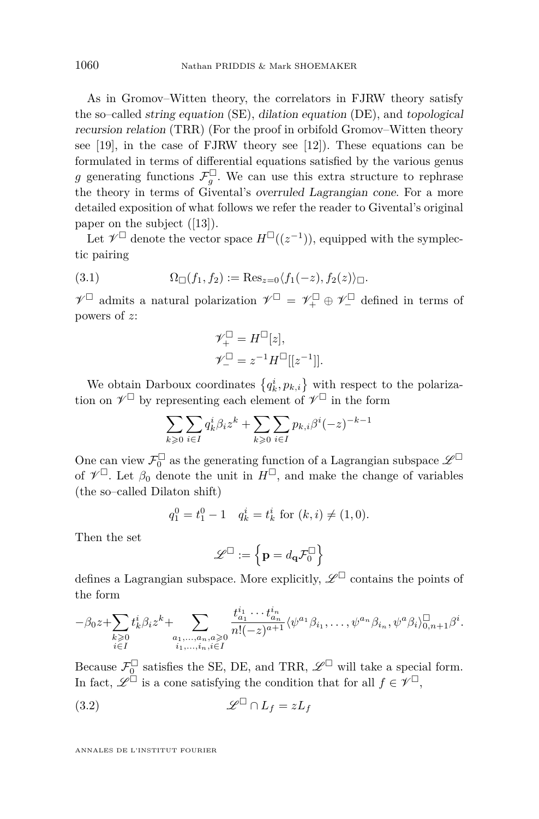As in Gromov–Witten theory, the correlators in FJRW theory satisfy the so–called string equation (SE), dilation equation (DE), and topological recursion relation (TRR) (For the proof in orbifold Gromov–Witten theory see [\[19\]](#page-46-14), in the case of FJRW theory see [\[12\]](#page-46-2)). These equations can be formulated in terms of differential equations satisfied by the various genus g generating functions  $\mathcal{F}_g^{\Box}$ . We can use this extra structure to rephrase the theory in terms of Givental's overruled Lagrangian cone. For a more detailed exposition of what follows we refer the reader to Givental's original paper on the subject ([\[13\]](#page-46-8)).

Let  $\mathcal{V}^{\square}$  denote the vector space  $H^{\square}((z^{-1}))$ , equipped with the symplectic pairing

$$
(3.1) \qquad \Omega_{\square}(f_1, f_2) := \text{Res}_{z=0} \langle f_1(-z), f_2(z) \rangle_{\square}.
$$

 $\mathscr{V}^{\square}$  admits a natural polarization  $\mathscr{V}^{\square} = \mathscr{V}^{\square}_+ \oplus \mathscr{V}^{\square}_-$  defined in terms of powers of *z*:

<span id="page-16-1"></span>
$$
\mathcal{V}_+^{\square} = H^{\square}[z],
$$
  

$$
\mathcal{V}_-^{\square} = z^{-1} H^{\square}[[z^{-1}]].
$$

We obtain Darboux coordinates  $\{q_k^i, p_{k,i}\}$  with respect to the polarization on  $\mathscr{V}^{\square}$  by representing each element of  $\mathscr{V}^{\square}$  in the form

$$
\sum_{k\geqslant 0}\sum_{i\in I}q_k^i\beta_iz^k+\sum_{k\geqslant 0}\sum_{i\in I}p_{k,i}\beta^i(-z)^{-k-1}
$$

One can view  $\mathcal{F}_0^{\square}$  as the generating function of a Lagrangian subspace  $\mathscr{L}^{\square}$ of  $\mathcal{V}^{\square}$ . Let  $\beta_0$  denote the unit in  $H^{\square}$ , and make the change of variables (the so–called Dilaton shift)

$$
q_1^0 = t_1^0 - 1 \quad q_k^i = t_k^i \text{ for } (k, i) \neq (1, 0).
$$

Then the set

<span id="page-16-0"></span>
$$
\mathscr{L}^\square := \left\{ \mathbf{p} = d_\mathbf{q} \mathcal{F}_0^\square \right\}
$$

defines a Lagrangian subspace. More explicitly,  $\mathscr{L}^{\square}$  contains the points of the form

$$
-\beta_0 z + \sum_{\substack{k \geqslant 0 \\ i \in I}} t_k^i \beta_i z^k + \sum_{\substack{a_1, \ldots, a_n, a \geqslant 0 \\ i_1, \ldots, i_n, i \in I}} \frac{t_{a_1}^{i_1} \cdots t_{a_n}^{i_n}}{n! (-z)^{a+1}} \langle \psi^{a_1} \beta_{i_1}, \ldots, \psi^{a_n} \beta_{i_n}, \psi^a \beta_i \rangle_{0, n+1}^\square \beta^i.
$$

Because  $\mathcal{F}_0^{\square}$  satisfies the SE, DE, and TRR,  $\mathscr{L}^{\square}$  will take a special form. In fact,  $\mathscr{L}^{\square}$  is a cone satisfying the condition that for all  $f \in \mathscr{V}^{\square}$ ,

(3.2) 
$$
\mathscr{L}^{\square} \cap L_f = zL_f
$$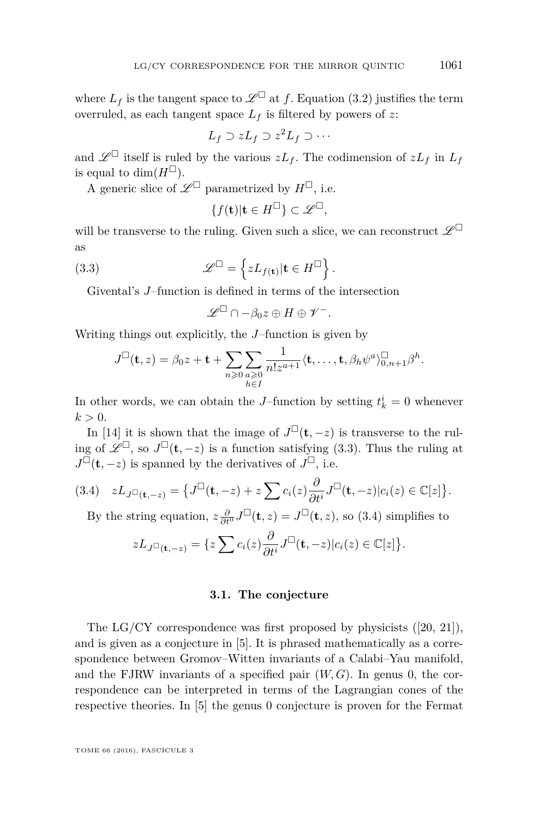where  $L_f$  is the tangent space to  $\mathscr{L}^{\square}$  at f. Equation [\(3.2\)](#page-16-0) justifies the term overruled, as each tangent space  $L_f$  is filtered by powers of  $z$ .

$$
L_f \supset zL_f \supset z^2L_f \supset \cdots
$$

and  $\mathscr{L}^{\square}$  itself is ruled by the various  $zL_f$ . The codimension of  $zL_f$  in  $L_f$ is equal to  $\dim(H^{\square})$ .

A generic slice of  $\mathscr{L}^{\square}$  parametrized by  $H^{\square}$ , i.e.

$$
\{f(\mathbf{t})|\mathbf{t}\in H^{\square}\}\subset\mathscr{L}^{\square},
$$

will be transverse to the ruling. Given such a slice, we can reconstruct  $\mathscr{L}^\square$ as

(3.3) 
$$
\mathscr{L}^{\square} = \left\{ z L_{f(\mathbf{t})} | \mathbf{t} \in H^{\square} \right\}.
$$

Givental's *J*–function is defined in terms of the intersection

<span id="page-17-0"></span>
$$
\mathscr{L}^{\square}\cap-\beta_0z\oplus H\oplus\mathscr{V}^-.
$$

Writing things out explicitly, the *J*–function is given by

$$
J^{\square}(\mathbf{t},z) = \beta_0 z + \mathbf{t} + \sum_{n\geqslant 0} \sum_{\substack{a\geqslant 0 \\ h\in I}} \frac{1}{n!z^{a+1}} \langle \mathbf{t}, \ldots, \mathbf{t}, \beta_h \psi^a \rangle_{0,n+1}^{\square} \beta^h.
$$

In other words, we can obtain the *J*–function by setting  $t_k^i = 0$  whenever  $k > 0$ .

In [\[14\]](#page-46-15) it is shown that the image of  $J^{\square}(\mathbf{t}, -z)$  is transverse to the ruling of  $\mathscr{L}^{\square}$ , so  $J^{\square}(\mathbf{t},-z)$  is a function satisfying [\(3.3\)](#page-17-0). Thus the ruling at  $J^{\square}(\mathbf{t}, -z)$  is spanned by the derivatives of  $J^{\square}$ , i.e.

<span id="page-17-1"></span>
$$
(3.4) \quad zL_{J^{\Box}(\mathbf{t},-z)} = \big\{ J^{\Box}(\mathbf{t},-z) + z \sum c_i(z) \frac{\partial}{\partial t^i} J^{\Box}(\mathbf{t},-z) | c_i(z) \in \mathbb{C}[z] \big\}.
$$

By the string equation,  $z \frac{\partial}{\partial t^0} J^{\square}(\mathbf{t}, z) = J^{\square}(\mathbf{t}, z)$ , so [\(3.4\)](#page-17-1) simplifies to

$$
zL_{J^{\Box}(\mathbf{t},-z)} = \{z\sum c_i(z)\frac{\partial}{\partial t^i}J^{\Box}(\mathbf{t},-z)|c_i(z)\in\mathbb{C}[z]\}.
$$

#### **3.1. The conjecture**

The LG/CY correspondence was first proposed by physicists ([\[20,](#page-46-0) [21\]](#page-46-1)), and is given as a conjecture in [\[5\]](#page-46-4). It is phrased mathematically as a correspondence between Gromov–Witten invariants of a Calabi–Yau manifold, and the FJRW invariants of a specified pair  $(W, G)$ . In genus 0, the correspondence can be interpreted in terms of the Lagrangian cones of the respective theories. In [\[5\]](#page-46-4) the genus 0 conjecture is proven for the Fermat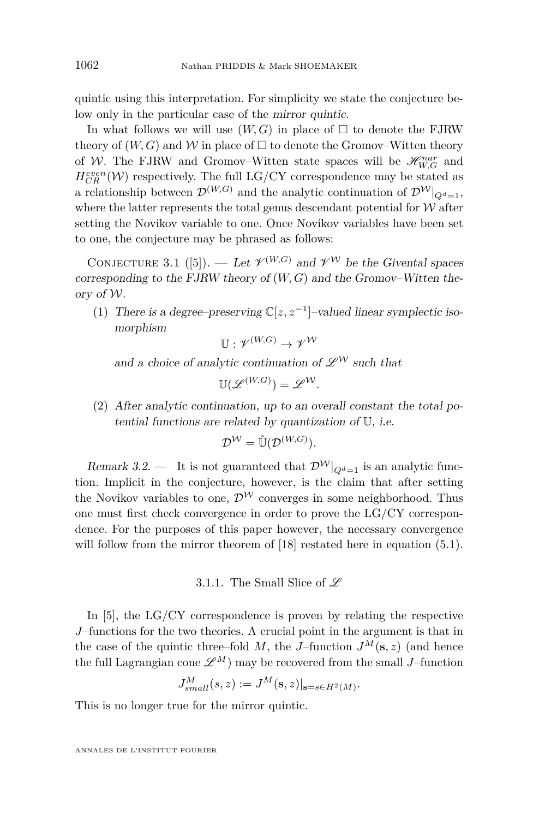quintic using this interpretation. For simplicity we state the conjecture below only in the particular case of the mirror quintic.

In what follows we will use  $(W, G)$  in place of  $\Box$  to denote the FJRW theory of  $(W, G)$  and W in place of  $\Box$  to denote the Gromov–Witten theory of W. The FJRW and Gromov–Witten state spaces will be  $\mathcal{H}_{W,G}^{nar}$  and  $H_{CR}^{even}(\mathcal{W})$  respectively. The full LG/CY correspondence may be stated as a relationship between  $\mathcal{D}^{(W,G)}$  and the analytic continuation of  $\mathcal{D}^{W}|_{Q^d=1}$ , where the latter represents the total genus descendant potential for  $W$  after setting the Novikov variable to one. Once Novikov variables have been set to one, the conjecture may be phrased as follows:

<span id="page-18-0"></span>CONJECTURE 3.1 ([\[5\]](#page-46-4)). — Let  $\mathcal{V}^{(W,G)}$  and  $\mathcal{V}^{\mathcal{W}}$  be the Givental spaces corresponding to the FJRW theory of (*W, G*) and the Gromov–Witten theory of W.

(1) There is a degree–preserving  $\mathbb{C}[z, z^{-1}]$ -valued linear symplectic isomorphism

$$
\mathbb{U}: \mathscr{V}^{(W,G)} \to \mathscr{V}^{\mathcal{W}}
$$

and a choice of analytic continuation of  $\mathscr{L}^{\mathcal{W}}$  such that

$$
\mathbb{U}(\mathscr{L}^{(W,G)})=\mathscr{L}^{\mathcal{W}}.
$$

(2) After analytic continuation, up to an overall constant the total potential functions are related by quantization of U, i.e.

$$
\mathcal{D}^{\mathcal{W}} = \mathbb{\hat{U}}(\mathcal{D}^{(W,G)}).
$$

Remark 3.2. — It is not guaranteed that  $\mathcal{D}^{\mathcal{W}}|_{\mathcal{Q}^d=1}$  is an analytic function. Implicit in the conjecture, however, is the claim that after setting the Novikov variables to one,  $\mathcal{D}^{\mathcal{W}}$  converges in some neighborhood. Thus one must first check convergence in order to prove the LG/CY correspondence. For the purposes of this paper however, the necessary convergence will follow from the mirror theorem of [\[18\]](#page-46-9) restated here in equation [\(5.1\)](#page-34-0).

3.1.1. The Small Slice of  $\mathscr L$ 

<span id="page-18-1"></span>In  $[5]$ , the LG/CY correspondence is proven by relating the respective *J*–functions for the two theories. A crucial point in the argument is that in the case of the quintic three–fold *M*, the *J*–function  $J^M(\mathbf{s}, z)$  (and hence the full Lagrangian cone  $\mathscr{L}^M$  may be recovered from the small *J*–function

$$
J_{small}^M(s,z) := J^M(\mathbf{s},z)|_{\mathbf{s}=s \in H^2(M)}.
$$

This is no longer true for the mirror quintic.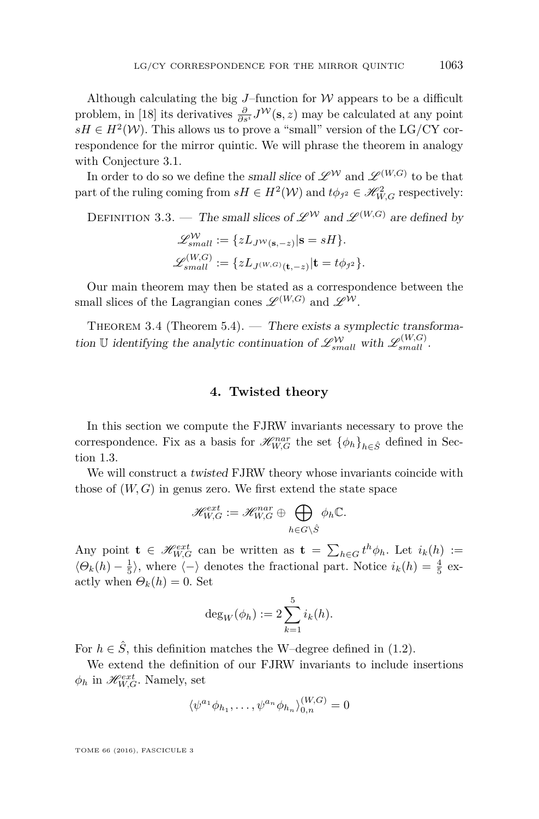Although calculating the big *J*–function for W appears to be a difficult problem, in [\[18\]](#page-46-9) its derivatives  $\frac{\partial}{\partial s^i} J^{\mathcal{W}}(\mathbf{s}, z)$  may be calculated at any point  $sH \in H^2(W)$ . This allows us to prove a "small" version of the LG/CY correspondence for the mirror quintic. We will phrase the theorem in analogy with Conjecture [3.1.](#page-18-0)

In order to do so we define the small slice of  $\mathscr{L}^{\mathcal{W}}$  and  $\mathscr{L}^{(W,G)}$  to be that part of the ruling coming from  $sH \in H^2(W)$  and  $t\phi_{j^2} \in \mathcal{H}_{W,G}^2$  respectively:

<span id="page-19-0"></span>DEFINITION 3.3. — The small slices of  $\mathscr{L}^{W}$  and  $\mathscr{L}^{(W,G)}$  are defined by

$$
\mathcal{L}_{small}^{\mathcal{W}} := \{ zL_{J^{\mathcal{W}}(\mathbf{s}, -z)} | \mathbf{s} = sH \}.
$$
  

$$
\mathcal{L}_{small}^{(W,G)} := \{ zL_{J^{(W,G)}(\mathbf{t}, -z)} | \mathbf{t} = t\phi_{j^2} \}.
$$

Our main theorem may then be stated as a correspondence between the small slices of the Lagrangian cones  $\mathscr{L}^{(W,G)}$  and  $\mathscr{L}^{\mathcal{W}}$ .

THEOREM 3.4 (Theorem [5.4\)](#page-45-0). — There exists a symplectic transformation U identifying the analytic continuation of  $\mathscr{L}^{\mathcal{W}}_{small}$  with  $\mathscr{L}^{(W,G)}_{small}$ .

#### **4. Twisted theory**

<span id="page-19-1"></span>In this section we compute the FJRW invariants necessary to prove the correspondence. Fix as a basis for  $\mathcal{H}_{W,G}^{nar}$  the set  $\{\phi_h\}_{h \in \hat{S}}$  defined in Section [1.3.](#page-10-0)

We will construct a twisted FJRW theory whose invariants coincide with those of (*W, G*) in genus zero. We first extend the state space

$$
\mathscr{H}_{W,G}^{ext}:=\mathscr{H}_{W,G}^{nar}\oplus\bigoplus_{h\in G\setminus \hat{S}}\phi_h\mathbb{C}.
$$

Any point  $\mathbf{t} \in \mathcal{H}_{W,G}^{ext}$  can be written as  $\mathbf{t} = \sum_{h \in G} t^h \phi_h$ . Let  $i_k(h) :=$  $\langle \Theta_k(h) - \frac{1}{5} \rangle$ , where  $\langle - \rangle$  denotes the fractional part. Notice  $i_k(h) = \frac{4}{5}$  exactly when  $\Theta_k(h) = 0$ . Set

$$
\deg_W(\phi_h) := 2 \sum_{k=1}^5 i_k(h).
$$

For  $h \in \hat{S}$ , this definition matches the W–degree defined in [\(1.2\)](#page-7-0).

We extend the definition of our FJRW invariants to include insertions  $\phi_h$  in  $\mathcal{H}_{W,G}^{ext}$ . Namely, set

$$
\langle \psi^{a_1} \phi_{h_1}, \dots, \psi^{a_n} \phi_{h_n} \rangle_{0,n}^{(W,G)} = 0
$$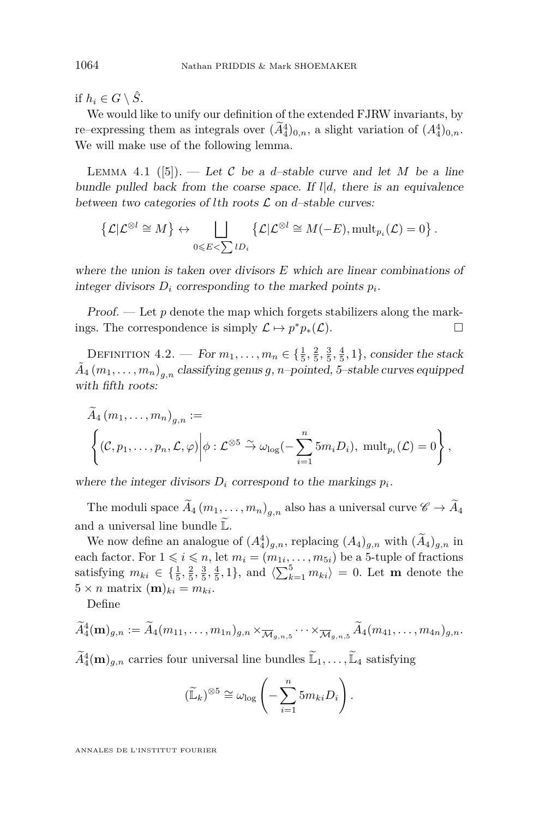if  $h_i \in G \setminus \hat{S}$ .

We would like to unify our definition of the extended FJRW invariants, by re–expressing them as integrals over  $(\tilde{A}_4^4)_{0,n}$ , a slight variation of  $(A_4^4)_{0,n}$ . We will make use of the following lemma.

<span id="page-20-0"></span>LEMMA 4.1 ([\[5\]](#page-46-4)). — Let C be a *d*-stable curve and let M be a line bundle pulled back from the coarse space. If *l*|*d*, there is an equivalence between two categories of *l*th roots  $\mathcal L$  on *d*–stable curves:

$$
\left\{\mathcal{L}|\mathcal{L}^{\otimes l}\cong M\right\}\leftrightarrow \bigsqcup_{0\leqslant E<\sum lD_i}\left\{\mathcal{L}|\mathcal{L}^{\otimes l}\cong M(-E),\mathrm{mult}_{p_i}(\mathcal{L})=0\right\}.
$$

where the union is taken over divisors *E* which are linear combinations of integer divisors  $D_i$  corresponding to the marked points  $p_i$ .

Proof. — Let *p* denote the map which forgets stabilizers along the markings. The correspondence is simply  $\mathcal{L} \mapsto p^*p_*(\mathcal{L})$ .

DEFINITION  $4.2.$  — For  $m_1, ..., m_n \in \{\frac{1}{5}, \frac{2}{5}, \frac{3}{5}, \frac{4}{5}, 1\}$ , consider the stack  $\tilde{A}_4\left(m_1,\ldots,m_n\right)_{g,n}$  classifying genus  $g,n$ –pointed, 5–stable curves equipped with fifth roots:

$$
A_4(m_1,\ldots,m_n)_{g,n} :=
$$
  

$$
\left\{ (\mathcal{C},p_1,\ldots,p_n,\mathcal{L},\varphi) \middle| \phi : \mathcal{L}^{\otimes 5} \stackrel{\sim}{\to} \omega_{\log}(-\sum_{i=1}^n 5m_i D_i), \text{ mult}_{p_i}(\mathcal{L}) = 0 \right\},
$$

where the integer divisors  $D_i$  correspond to the markings  $p_i$ .

The moduli space  $A_4(m_1, \ldots, m_n)_{g,n}$  also has a universal curve  $\mathscr{C} \to A_4$ and a universal line bundle  $\mathbb{L}$ .

We now define an analogue of  $(A_4^4)_{g,n}$ , replacing  $(A_4)_{g,n}$  with  $(\tilde{A}_4)_{g,n}$  in each factor. For  $1 \leq i \leq n$ , let  $m_i = (m_{1i}, \ldots, m_{5i})$  be a 5-tuple of fractions satisfying  $m_{ki} \in \{\frac{1}{5}, \frac{2}{5}, \frac{3}{5}, \frac{4}{5}, 1\}$ , and  $\langle \sum_{k=1}^{5} m_{ki} \rangle = 0$ . Let **m** denote the  $5 \times n$  matrix  $(m)_{ki} = m_{ki}$ .

Define

$$
\widetilde{A}_4^4(\mathbf{m})_{g,n} := \widetilde{A}_4(m_{11},\ldots,m_{1n})_{g,n} \times_{\overline{\mathcal{M}}_{g,n,5}} \cdots \times_{\overline{\mathcal{M}}_{g,n,5}} \widetilde{A}_4(m_{41},\ldots,m_{4n})_{g,n}.
$$

 $\widetilde{A}_4^4(\mathbf{m})_{g,n}$  carries four universal line bundles  $\widetilde{\mathbb{L}}_1, \ldots, \widetilde{\mathbb{L}}_4$  satisfying

$$
(\widetilde{\mathbb{L}}_k)^{\otimes 5} \cong \omega_{\log} \left( -\sum_{i=1}^n 5m_{ki} D_i \right).
$$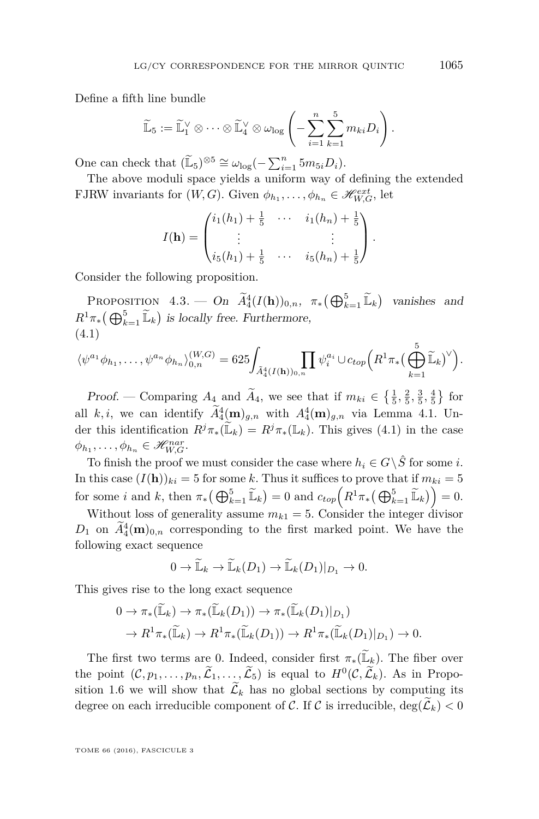Define a fifth line bundle

$$
\widetilde{\mathbb{L}}_5 := \widetilde{\mathbb{L}}_1^{\vee} \otimes \cdots \otimes \widetilde{\mathbb{L}}_4^{\vee} \otimes \omega_{\log} \left( - \sum_{i=1}^n \sum_{k=1}^5 m_{ki} D_i \right).
$$

One can check that  $(\widetilde{\mathbb{L}}_5)^{\otimes 5} \cong \omega_{\log}(-\sum_{i=1}^n 5m_{5i}D_i)$ .

The above moduli space yields a uniform way of defining the extended FJRW invariants for  $(W, G)$ . Given  $\phi_{h_1}, \ldots, \phi_{h_n} \in \mathcal{H}_{W, G}^{ext}$ , let

$$
I(\mathbf{h}) = \begin{pmatrix} i_1(h_1) + \frac{1}{5} & \cdots & i_1(h_n) + \frac{1}{5} \\ \vdots & & \vdots \\ i_5(h_1) + \frac{1}{5} & \cdots & i_5(h_n) + \frac{1}{5} \end{pmatrix}.
$$

Consider the following proposition.

<span id="page-21-1"></span>PROPOSITION  $4.3.$  — On  $\widetilde{A}_4^4(I(\mathbf{h}))_{0,n}$ ,  $\pi_*\left(\bigoplus_{k=1}^5 \widetilde{\mathbb{L}}_k\right)$  vanishes and  $R^1 \pi_* \left( \bigoplus_{k=1}^5 \widetilde{\mathbb{L}}_k \right)$  *is locally free. Furthermore,* (4.1)

<span id="page-21-0"></span>
$$
\langle \psi^{a_1} \phi_{h_1}, \dots, \psi^{a_n} \phi_{h_n} \rangle_{0,n}^{(W,G)} = 625 \int_{\tilde{A}_4^4(I(\mathbf{h}))_{0,n}} \prod \psi_i^{a_i} \cup c_{top} \Big( R^1 \pi_* \big( \bigoplus_{k=1}^5 \tilde{\mathbb{L}}_k \big)^{\vee} \Big).
$$

*Proof.* — Comparing  $A_4$  and  $A_4$ , we see that if  $m_{ki} \in \{\frac{1}{5}, \frac{2}{5}, \frac{3}{5}, \frac{4}{5}\}\)$  for all *k, i*, we can identify  $A_4^4(\mathbf{m})_{g,n}$  with  $A_4^4(\mathbf{m})_{g,n}$  via Lemma [4.1.](#page-20-0) Under this identification  $R^j \pi_* (\mathbb{L}_k) = R^j \pi_* (\mathbb{L}_k)$ . This gives [\(4.1\)](#page-21-0) in the case  $\phi_{h_1}, \ldots, \phi_{h_n} \in \mathcal{H}_{W,G}^{nar}.$ 

To finish the proof we must consider the case where  $h_i \in G \setminus \hat{S}$  for some *i*. In this case  $(I(h))_{ki} = 5$  for some *k*. Thus it suffices to prove that if  $m_{ki} = 5$ for some *i* and *k*, then  $\pi_*(\bigoplus_{k=1}^5 \widetilde{\mathbb{L}}_k) = 0$  and  $c_{top}(R^1 \pi_*(\bigoplus_{k=1}^5 \widetilde{\mathbb{L}}_k)) = 0$ .

Without loss of generality assume  $m_{k1} = 5$ . Consider the integer divisor  $D_1$  on  $A_4^4(\mathbf{m})_{0,n}$  corresponding to the first marked point. We have the following exact sequence

$$
0 \to \widetilde{\mathbb{L}}_k \to \widetilde{\mathbb{L}}_k(D_1) \to \widetilde{\mathbb{L}}_k(D_1)|_{D_1} \to 0.
$$

This gives rise to the long exact sequence

$$
0 \to \pi_*(\widetilde{\mathbb{L}}_k) \to \pi_*(\widetilde{\mathbb{L}}_k(D_1)) \to \pi_*(\widetilde{\mathbb{L}}_k(D_1)|_{D_1})
$$
  

$$
\to R^1 \pi_*(\widetilde{\mathbb{L}}_k) \to R^1 \pi_*(\widetilde{\mathbb{L}}_k(D_1)) \to R^1 \pi_*(\widetilde{\mathbb{L}}_k(D_1)|_{D_1}) \to 0.
$$

The first two terms are 0. Indeed, consider first  $\pi_*(\mathbb{L}_k)$ . The fiber over the point  $(C, p_1, \ldots, p_n, \tilde{L}_1, \ldots, \tilde{L}_5)$  is equal to  $H^0(C, \tilde{L}_k)$ . As in Propo-sition [1.6](#page-11-0) we will show that  $\tilde{\mathcal{L}}_k$  has no global sections by computing its degree on each irreducible component of C. If C is irreducible,  $deg(\mathcal{L}_k) < 0$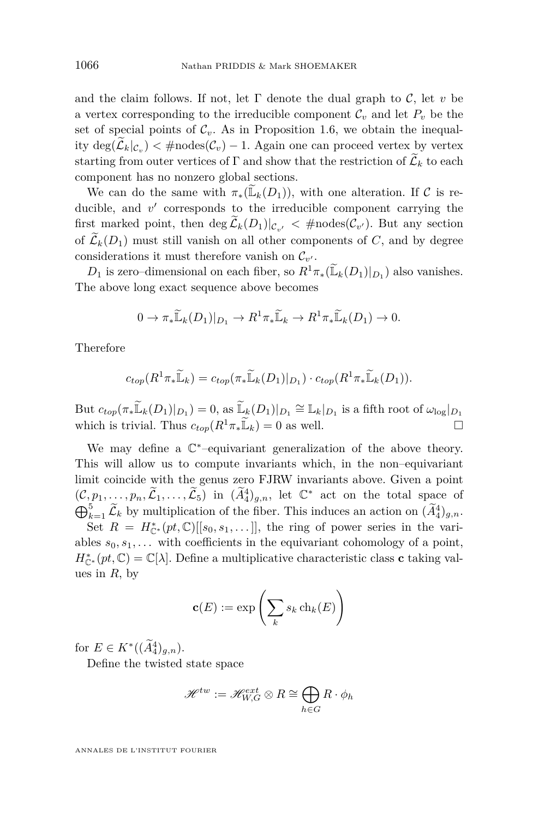and the claim follows. If not, let  $\Gamma$  denote the dual graph to  $\mathcal{C}$ , let *v* be a vertex corresponding to the irreducible component  $\mathcal{C}_v$  and let  $P_v$  be the set of special points of  $\mathcal{C}_v$ . As in Proposition [1.6,](#page-11-0) we obtain the inequality deg( $\mathcal{L}_k|_{\mathcal{C}_v}$ ) < #nodes( $\mathcal{C}_v$ ) − 1. Again one can proceed vertex by vertex starting from outer vertices of  $\Gamma$  and show that the restriction of  $\mathcal{L}_k$  to each component has no nonzero global sections.

We can do the same with  $\pi_*(\mathbb{L}_k(D_1))$ , with one alteration. If C is reducible, and  $v'$  corresponds to the irreducible component carrying the first marked point, then  $\deg \mathcal{L}_k(D_1)|_{\mathcal{C}_{v'}}$   $\lt$  #nodes( $\mathcal{C}_{v'}$ ). But any section of  $\widetilde{\mathcal{L}}_k(D_1)$  must still vanish on all other components of *C*, and by degree considerations it must therefore vanish on  $\mathcal{C}_{v'}$ .

*D*<sub>1</sub> is zero–dimensional on each fiber, so  $R^1 \pi_*(\mathbb{L}_k(D_1)|_{D_1})$  also vanishes. The above long exact sequence above becomes

$$
0 \to \pi_*\widetilde{\mathbb{L}}_k(D_1)|_{D_1} \to R^1\pi_*\widetilde{\mathbb{L}}_k \to R^1\pi_*\widetilde{\mathbb{L}}_k(D_1) \to 0.
$$

Therefore

$$
c_{top}(R^1\pi_*\widetilde{\mathbb{L}}_k) = c_{top}(\pi_*\widetilde{\mathbb{L}}_k(D_1)|_{D_1}) \cdot c_{top}(R^1\pi_*\widetilde{\mathbb{L}}_k(D_1)).
$$

But  $c_{top}(\pi_*\widetilde{\mathbb{L}}_k(D_1)|_{D_1})=0$ , as  $\widetilde{\mathbb{L}}_k(D_1)|_{D_1}\cong \mathbb{L}_k|_{D_1}$  is a fifth root of  $\omega_{\log}|_{D_1}$ which is trivial. Thus  $c_{top}(R^1\pi_*\widetilde{\mathbb{L}}_k) = 0$  as well.

We may define a  $\mathbb{C}^*$ -equivariant generalization of the above theory. This will allow us to compute invariants which, in the non–equivariant limit coincide with the genus zero FJRW invariants above. Given a point  $(C, p_1, \ldots, p_n, \widetilde{\mathcal{L}}_1, \ldots, \widetilde{\mathcal{L}}_5)$  in  $(\widetilde{A}_4^4)_{g,n}$ , let  $\mathbb{C}^*$  act on the total space of  $\bigoplus_{k=1}^5 \widetilde{\mathcal{L}}_k$  by multiplication of the fiber. This induces an action on  $(\widetilde{A}_4^4)_{g,n}$ .

Set  $R = H_{\mathbb{C}^*}^*(pt, \mathbb{C})[[s_0, s_1, \dots]],$  the ring of power series in the variables  $s_0, s_1, \ldots$  with coefficients in the equivariant cohomology of a point,  $H_{\mathbb{C}^*}^*(pt, \mathbb{C}) = \mathbb{C}[\lambda]$ . Define a multiplicative characteristic class **c** taking values in *R*, by

$$
\mathbf{c}(E) := \exp\left(\sum_{k} s_k \ch_k(E)\right)
$$

for  $E \in K^*((A_4^4)_{g,n}).$ 

Define the twisted state space

$$
\mathscr{H}^{tw} := \mathscr{H}_{W,G}^{ext} \otimes R \cong \bigoplus_{h \in G} R \cdot \phi_h
$$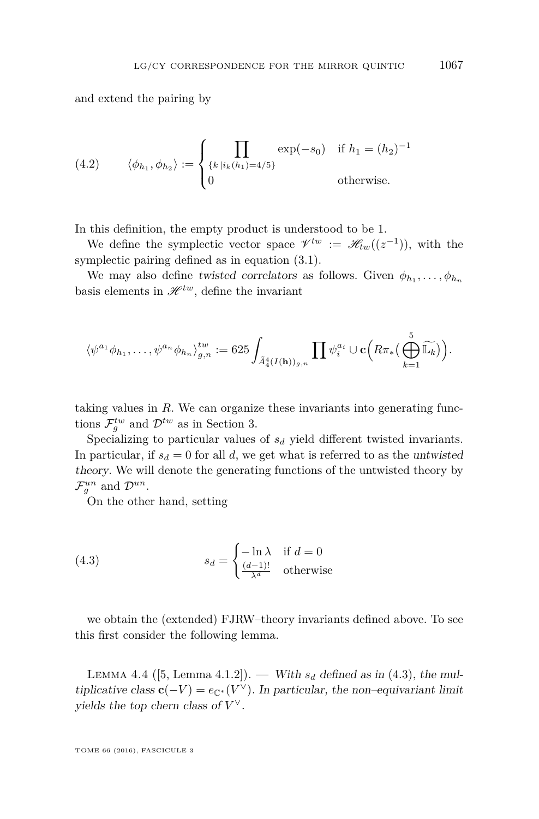and extend the pairing by

(4.2) 
$$
\langle \phi_{h_1}, \phi_{h_2} \rangle := \begin{cases} \prod_{\{k \mid i_k(h_1) = 4/5\}} \exp(-s_0) & \text{if } h_1 = (h_2)^{-1} \\ 0 & \text{otherwise.} \end{cases}
$$

In this definition, the empty product is understood to be 1.

We define the symplectic vector space  $\mathscr{V}^{tw} := \mathscr{H}_{tw}((z^{-1}))$ , with the symplectic pairing defined as in equation [\(3.1\)](#page-16-1).

We may also define twisted correlators as follows. Given  $\phi_{h_1}, \ldots, \phi_{h_n}$ basis elements in  $\mathscr{H}^{tw}$ , define the invariant

$$
\langle \psi^{a_1} \phi_{h_1}, \dots, \psi^{a_n} \phi_{h_n} \rangle_{g,n}^{tw} := 625 \int_{\tilde{A}_4^4(I(\mathbf{h}))_{g,n}} \prod \psi_i^{a_i} \cup \mathbf{c} \Big( R \pi_* \Big( \bigoplus_{k=1}^5 \widetilde{\mathbb{L}_k} \Big) \Big).
$$

taking values in *R*. We can organize these invariants into generating functions  $\mathcal{F}^{tw}_{g}$  and  $\mathcal{D}^{tw}$  as in Section [3.](#page-15-0)

Specializing to particular values of *s<sup>d</sup>* yield different twisted invariants. In particular, if  $s_d = 0$  for all *d*, we get what is referred to as the untwisted theory. We will denote the generating functions of the untwisted theory by  $\mathcal{F}_g^{un}$  and  $\mathcal{D}^{un}$ .

On the other hand, setting

<span id="page-23-0"></span>(4.3) 
$$
s_d = \begin{cases} -\ln \lambda & \text{if } d = 0\\ \frac{(d-1)!}{\lambda^d} & \text{otherwise} \end{cases}
$$

we obtain the (extended) FJRW–theory invariants defined above. To see this first consider the following lemma.

LEMMA 4.4 ([\[5,](#page-46-4) Lemma 4.1.2]). — With  $s_d$  defined as in [\(4.3\)](#page-23-0), the multiplicative class  $\mathbf{c}(-V) = e_{\mathbb{C}^*}(V^{\vee})$ . In particular, the non–equivariant limit yields the top chern class of *V* ∨.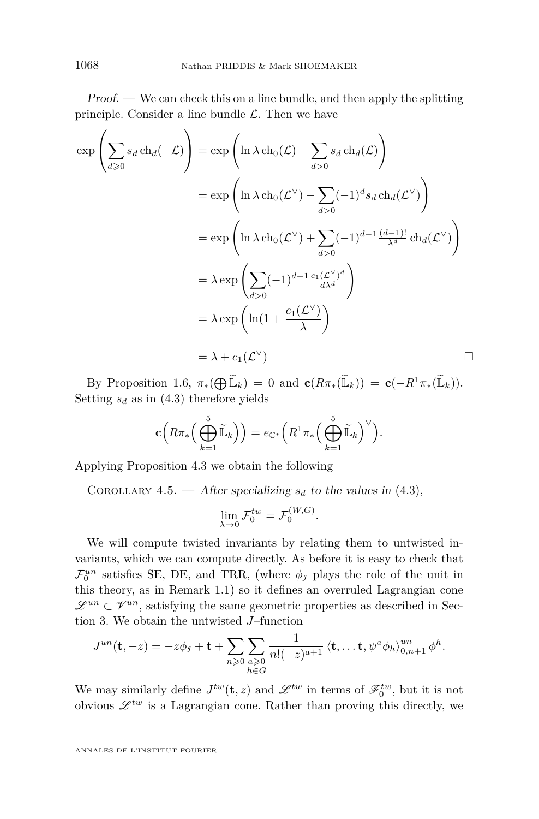Proof. — We can check this on a line bundle, and then apply the splitting principle. Consider a line bundle  $\mathcal{L}$ . Then we have

$$
\exp\left(\sum_{d\geq 0} s_d \operatorname{ch}_d(-\mathcal{L})\right) = \exp\left(\ln \lambda \operatorname{ch}_0(\mathcal{L}) - \sum_{d>0} s_d \operatorname{ch}_d(\mathcal{L})\right)
$$
  
\n
$$
= \exp\left(\ln \lambda \operatorname{ch}_0(\mathcal{L}^{\vee}) - \sum_{d>0} (-1)^d s_d \operatorname{ch}_d(\mathcal{L}^{\vee})\right)
$$
  
\n
$$
= \exp\left(\ln \lambda \operatorname{ch}_0(\mathcal{L}^{\vee}) + \sum_{d>0} (-1)^{d-1} \frac{(d-1)!}{\lambda^d} \operatorname{ch}_d(\mathcal{L}^{\vee})\right)
$$
  
\n
$$
= \lambda \exp\left(\sum_{d>0} (-1)^{d-1} \frac{c_1(\mathcal{L}^{\vee})^d}{d\lambda^d}\right)
$$
  
\n
$$
= \lambda \exp\left(\ln(1 + \frac{c_1(\mathcal{L}^{\vee})}{\lambda})\right)
$$
  
\n
$$
= \lambda + c_1(\mathcal{L}^{\vee})
$$

By Proposition [1.6,](#page-11-0)  $\pi_*(\bigoplus \widetilde{\mathbb{L}}_k) = 0$  and  $\mathbf{c}(R\pi_*(\widetilde{\mathbb{L}}_k)) = \mathbf{c}(-R^1\pi_*(\widetilde{\mathbb{L}}_k)).$ Setting  $s_d$  as in [\(4.3\)](#page-23-0) therefore yields

$$
\mathbf{c}\Big(R\pi_*\Big(\bigoplus_{k=1}^5\widetilde{\mathbb{L}}_k\Big)\Big)=e_{\mathbb{C}^*}\Big(R^1\pi_*\Big(\bigoplus_{k=1}^5\widetilde{\mathbb{L}}_k\Big)^\vee\Big).
$$

Applying Proposition [4.3](#page-21-1) we obtain the following

<span id="page-24-0"></span>COROLLARY 4.5. — After specializing  $s_d$  to the values in [\(4.3\)](#page-23-0),

$$
\lim_{\lambda \to 0} \mathcal{F}_0^{tw} = \mathcal{F}_0^{(W,G)}.
$$

We will compute twisted invariants by relating them to untwisted invariants, which we can compute directly. As before it is easy to check that  $\mathcal{F}_0^{un}$  satisfies SE, DE, and TRR, (where  $\phi_j$  plays the role of the unit in this theory, as in Remark [1.1\)](#page-7-1) so it defines an overruled Lagrangian cone  $\mathscr{L}^{un} \subset \mathscr{V}^{un}$ , satisfying the same geometric properties as described in Section [3.](#page-15-0) We obtain the untwisted *J*–function

$$
J^{un}(\mathbf{t},-z)=-z\phi_j+\mathbf{t}+\sum_{n\geqslant 0}\sum_{\substack{a\geqslant 0\\h\in G}}\frac{1}{n!(-z)^{a+1}}\left\langle \mathbf{t},\ldots \mathbf{t},\psi^a\phi_h\right\rangle_{0,n+1}^{un}\phi^h.
$$

We may similarly define  $J^{tw}(\mathbf{t}, z)$  and  $\mathscr{L}^{tw}$  in terms of  $\mathscr{F}_0^{tw}$ , but it is not obvious  $\mathscr{L}^{tw}$  is a Lagrangian cone. Rather than proving this directly, we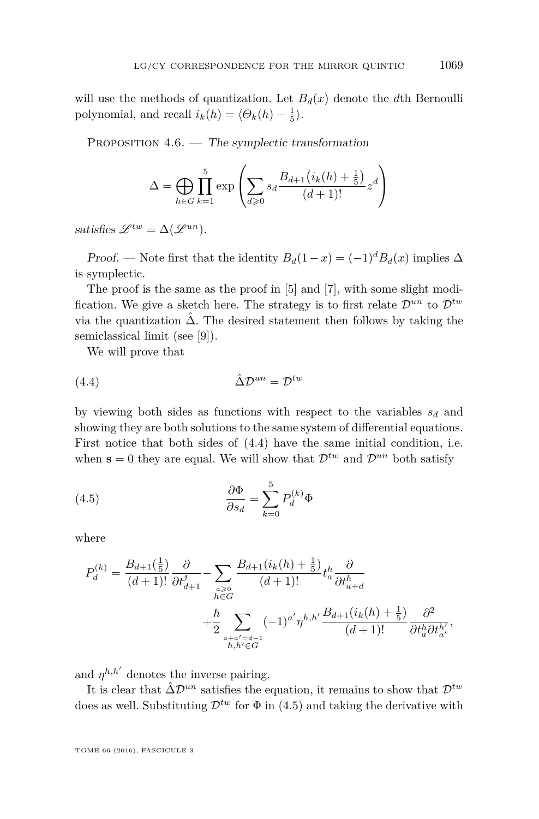will use the methods of quantization. Let  $B_d(x)$  denote the *d*th Bernoulli polynomial, and recall  $i_k(h) = \langle \Theta_k(h) - \frac{1}{5} \rangle$ .

<span id="page-25-2"></span>PROPOSITION  $4.6.$  — The symplectic transformation

$$
\Delta = \bigoplus_{h \in G} \prod_{k=1}^{5} \exp \left( \sum_{d \geq 0} s_d \frac{B_{d+1} (i_k(h) + \frac{1}{5})}{(d+1)!} z^d \right)
$$

satisfies  $\mathscr{L}^{tw} = \Delta(\mathscr{L}^{un}).$ 

Proof. — Note first that the identity  $B_d(1-x) = (-1)^d B_d(x)$  implies  $\Delta$ is symplectic.

The proof is the same as the proof in [\[5\]](#page-46-4) and [\[7\]](#page-46-16), with some slight modification. We give a sketch here. The strategy is to first relate  $\mathcal{D}^{un}$  to  $\mathcal{D}^{tw}$ via the quantization  $\hat{\Delta}$ . The desired statement then follows by taking the semiclassical limit (see [\[9\]](#page-46-17)).

<span id="page-25-0"></span>We will prove that

$$
(4.4) \qquad \qquad \hat{\Delta} \mathcal{D}^{un} = \mathcal{D}^{tw}
$$

by viewing both sides as functions with respect to the variables *s<sup>d</sup>* and showing they are both solutions to the same system of differential equations. First notice that both sides of [\(4.4\)](#page-25-0) have the same initial condition, i.e. when  $\mathbf{s} = 0$  they are equal. We will show that  $\mathcal{D}^{tw}$  and  $\mathcal{D}^{un}$  both satisfy

<span id="page-25-1"></span>(4.5) 
$$
\frac{\partial \Phi}{\partial s_d} = \sum_{k=0}^{5} P_d^{(k)} \Phi
$$

where

$$
P_d^{(k)} = \frac{B_{d+1}(\frac{1}{5})}{(d+1)!} \frac{\partial}{\partial t_{d+1}^j} - \sum_{\substack{a \geq 0 \\ h \in G}} \frac{B_{d+1}(i_k(h) + \frac{1}{5})}{(d+1)!} t_a^h \frac{\partial}{\partial t_{a+d}^h} + \frac{\hbar}{2} \sum_{\substack{a+a'=d-1 \\ h, h' \in G}} (-1)^{a'} \eta^{h,h'} \frac{B_{d+1}(i_k(h) + \frac{1}{5})}{(d+1)!} \frac{\partial^2}{\partial t_a^h \partial t_{a'}^{h'}},
$$

and  $\eta^{h,h'}$  denotes the inverse pairing.

It is clear that  $\hat{\Delta} \mathcal{D}^{un}$  satisfies the equation, it remains to show that  $\mathcal{D}^{tw}$ does as well. Substituting  $\mathcal{D}^{tw}$  for  $\Phi$  in [\(4.5\)](#page-25-1) and taking the derivative with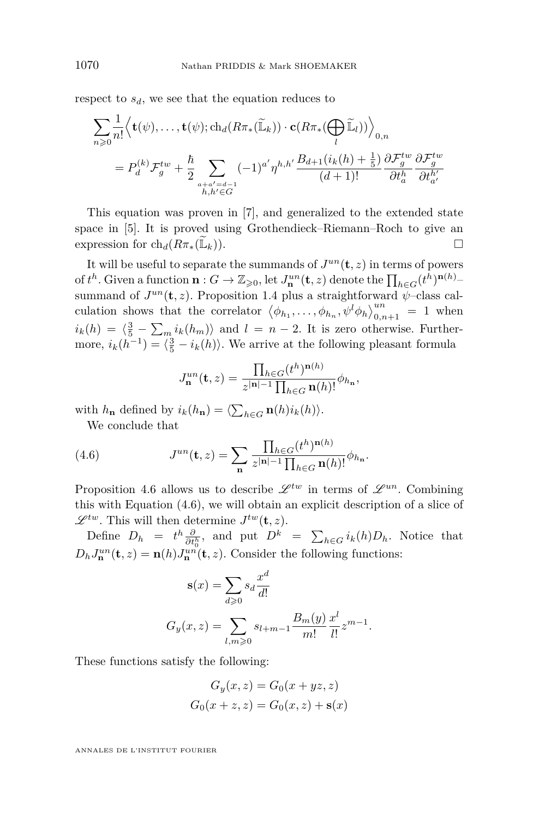respect to  $s_d$ , we see that the equation reduces to

$$
\sum_{n\geqslant 0} \frac{1}{n!} \left\langle \mathbf{t}(\psi), \dots, \mathbf{t}(\psi); \operatorname{ch}_{d}(R\pi_{*}(\widetilde{\mathbb{L}}_{k})) \cdot \mathbf{c}(R\pi_{*}(\bigoplus_{l} \widetilde{\mathbb{L}}_{l})) \right\rangle_{0,n}
$$
\n
$$
= P_{d}^{(k)} \mathcal{F}_{g}^{tw} + \frac{\hbar}{2} \sum_{\substack{a+a'=d-1\\h,h'\in G}} (-1)^{a'} \eta^{h,h'} \frac{B_{d+1}(i_{k}(h)+\frac{1}{5})}{(d+1)!} \frac{\partial \mathcal{F}_{g}^{tw}}{\partial t_{a}^{h}} \frac{\partial \mathcal{F}_{g}^{tw}}{\partial t_{a'}^{h'}}
$$

This equation was proven in [\[7\]](#page-46-16), and generalized to the extended state space in [\[5\]](#page-46-4). It is proved using Grothendieck–Riemann–Roch to give an expression for ch<sub>d</sub>( $R\pi_*(\mathbb{L}_k)$ ).

It will be useful to separate the summands of  $J^{un}(\mathbf{t},z)$  in terms of powers of  $t^h$ . Given a function  $\mathbf{n}: G \to \mathbb{Z}_{\geqslant 0}$ , let  $J_{\mathbf{n}}^{un}(\mathbf{t}, z)$  denote the  $\prod_{h \in G} (t^h)^{\mathbf{n}(h)}$ – summand of  $J^{un}(\mathbf{t}, z)$ . Proposition [1.4](#page-9-1) plus a straightforward  $\psi$ –class calculation shows that the correlator  $\langle \phi_{h_1}, \ldots, \phi_{h_n}, \psi^l \phi_h \rangle_{0,n+1}^{un} = 1$  when  $i_k(h) = \langle \frac{3}{5} - \sum_{m} i_k(h_m) \rangle$  and  $l = n - 2$ . It is zero otherwise. Furthermore,  $i_k(h^{-1}) = \langle \frac{3}{5} - i_k(h) \rangle$ . We arrive at the following pleasant formula

<span id="page-26-0"></span>
$$
J_{\mathbf{n}}^{un}(\mathbf{t},z) = \frac{\prod_{h \in G} (t^h)^{\mathbf{n}(h)}}{z^{|\mathbf{n}|-1} \prod_{h \in G} \mathbf{n}(h)!} \phi_{h_{\mathbf{n}}},
$$

with  $h_{\mathbf{n}}$  defined by  $i_k(h_{\mathbf{n}}) = \langle \sum_{h \in G} \mathbf{n}(h) i_k(h) \rangle$ .

We conclude that

(4.6) 
$$
J^{un}(\mathbf{t},z) = \sum_{\mathbf{n}} \frac{\prod_{h \in G} (t^h)^{\mathbf{n}(h)}}{z^{|\mathbf{n}|-1} \prod_{h \in G} \mathbf{n}(h)!} \phi_{h_{\mathbf{n}}}.
$$

Proposition [4.6](#page-25-2) allows us to describe  $\mathscr{L}^{tw}$  in terms of  $\mathscr{L}^{un}$ . Combining this with Equation [\(4.6\)](#page-26-0), we will obtain an explicit description of a slice of  $\mathscr{L}^{tw}$ . This will then determine  $J^{tw}(\mathbf{t}, z)$ .

Define  $D_h = t^h \frac{\partial}{\partial t_0^h}$ , and put  $D^k = \sum_{h \in G} i_k(h) D_h$ . Notice that  $D_h J_n^{un}(\mathbf{t}, z) = \mathbf{n}(h) J_n^{un}(\mathbf{t}, z)$ . Consider the following functions:

$$
\mathbf{s}(x) = \sum_{d \ge 0} s_d \frac{x^d}{d!}
$$

$$
G_y(x, z) = \sum_{l, m \ge 0} s_{l+m-1} \frac{B_m(y)}{m!} \frac{x^l}{l!} z^{m-1}.
$$

These functions satisfy the following:

$$
G_y(x, z) = G_0(x + yz, z)
$$
  

$$
G_0(x + z, z) = G_0(x, z) + \mathbf{s}(x)
$$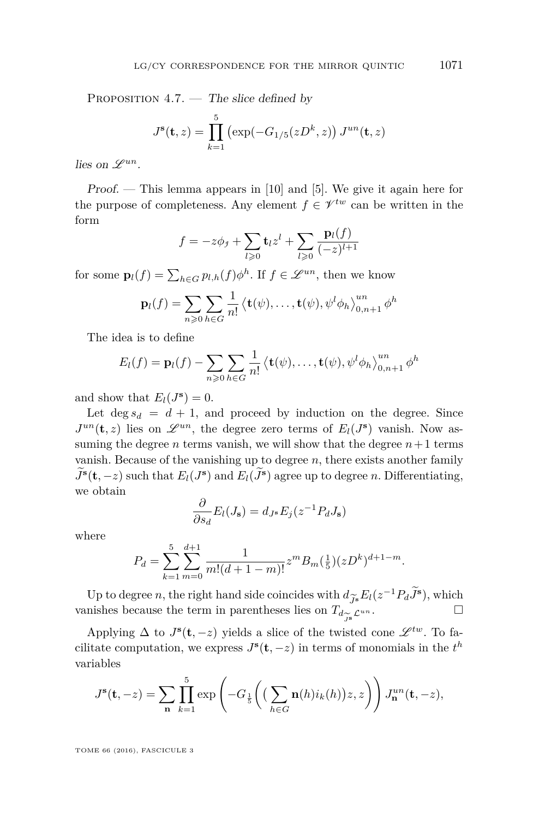PROPOSITION  $4.7.$  — The slice defined by

$$
J^{s}(\mathbf{t}, z) = \prod_{k=1}^{5} (\exp(-G_{1/5}(zD^{k}, z)) J^{un}(\mathbf{t}, z))
$$

lies on  $\mathscr{L}^{un}$ .

 $Proof.$  — This lemma appears in [\[10\]](#page-46-18) and [\[5\]](#page-46-4). We give it again here for the purpose of completeness. Any element  $f \in \mathcal{V}^{tw}$  can be written in the form

$$
f = -z\phi_j + \sum_{l \geq 0} \mathbf{t}_l z^l + \sum_{l \geq 0} \frac{\mathbf{p}_l(f)}{(-z)^{l+1}}
$$

for some  $\mathbf{p}_l(f) = \sum_{h \in G} p_{l,h}(f) \phi^h$ . If  $f \in \mathcal{L}^{un}$ , then we know

$$
\mathbf{p}_l(f) = \sum_{n\geqslant 0} \sum_{h\in G} \frac{1}{n!} \left\langle \mathbf{t}(\psi), \dots, \mathbf{t}(\psi), \psi^l \phi_h \right\rangle_{0, n+1}^{un} \phi^h
$$

The idea is to define

$$
E_l(f) = \mathbf{p}_l(f) - \sum_{n \geq 0} \sum_{h \in G} \frac{1}{n!} \left\langle \mathbf{t}(\psi), \dots, \mathbf{t}(\psi), \psi^l \phi_h \right\rangle_{0, n+1}^{un} \phi^h
$$

and show that  $E_l(J^s) = 0$ .

Let  $\deg s_d = d + 1$ , and proceed by induction on the degree. Since  $J^{un}(\mathbf{t}, z)$  lies on  $\mathscr{L}^{un}$ , the degree zero terms of  $E_l(J^s)$  vanish. Now assuming the degree *n* terms vanish, we will show that the degree  $n+1$  terms vanish. Because of the vanishing up to degree *n*, there exists another family  $J^s(\mathbf{t}, -z)$  such that  $E_l(J^s)$  and  $E_l(J^s)$  agree up to degree *n*. Differentiating, we obtain

$$
\frac{\partial}{\partial s_d} E_l(J_{\mathbf{s}}) = d_{J^{\mathbf{s}}} E_j(z^{-1} P_d J_{\mathbf{s}})
$$

where

$$
P_d = \sum_{k=1}^{5} \sum_{m=0}^{d+1} \frac{1}{m!(d+1-m)!} z^m B_m(\frac{1}{5}) (zD^k)^{d+1-m}.
$$

Up to degree *n*, the right hand side coincides with  $d_{\widetilde{J}^s} E_l(z^{-1}P_d\widetilde{J}^s)$ , which nishes because the term in parentheses lies on  $T_{d\sim}$   $\mathcal{L}^{un}$ . □ vanishes because the term in parentheses lies on  $T_{d_{\infty}}\mathcal{L}^{un}$ .

Applying  $\Delta$  to  $J^s(\mathbf{t}, -z)$  yields a slice of the twisted cone  $\mathscr{L}^{tw}$ . To facilitate computation, we express  $J^s(\mathbf{t}, -z)$  in terms of monomials in the  $t^h$ variables

$$
J^{\mathbf{s}}(\mathbf{t},-z) = \sum_{\mathbf{n}} \prod_{k=1}^{5} \exp\left(-G_{\frac{1}{5}}\left(\left(\sum_{h \in G} \mathbf{n}(h)i_k(h)\right)z,z\right)\right) J^{un}_{\mathbf{n}}(\mathbf{t},-z),
$$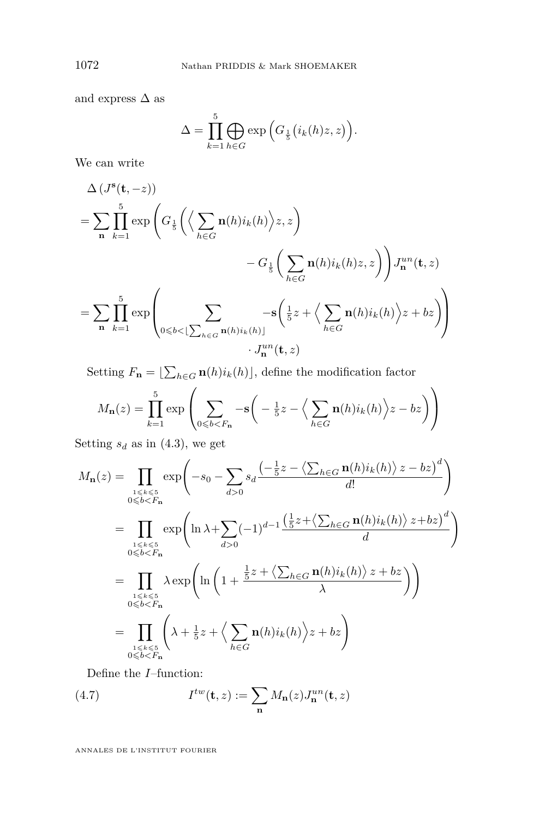and express  $\Delta$  as

$$
\Delta = \prod_{k=1}^{5} \bigoplus_{h \in G} \exp\left(G_{\frac{1}{5}}(i_k(h)z, z)\right).
$$

We can write

$$
\Delta (J^{s}(\mathbf{t}, -z))
$$
\n
$$
= \sum_{\mathbf{n}} \prod_{k=1}^{5} \exp \left( G_{\frac{1}{5}} \left( \left\langle \sum_{h \in G} \mathbf{n}(h) i_{k}(h) \right\rangle z, z \right) - G_{\frac{1}{5}} \left( \sum_{h \in G} \mathbf{n}(h) i_{k}(h) z, z \right) \right) J^{un}_{\mathbf{n}}(\mathbf{t}, z)
$$
\n
$$
= \sum_{\mathbf{n}} \prod_{k=1}^{5} \exp \left( \sum_{0 \leq b < \lfloor \sum_{h \in G} \mathbf{n}(h) i_{k}(h) \rfloor} -s \left( \frac{1}{5} z + \left\langle \sum_{h \in G} \mathbf{n}(h) i_{k}(h) \right\rangle z + bz \right) \right)
$$
\n
$$
\cdot J^{un}_{\mathbf{n}}(\mathbf{t}, z)
$$

Setting  $F_{\mathbf{n}} = \left[ \sum_{h \in G} \mathbf{n}(h) i_k(h) \right]$ , define the modification factor

$$
M_{\mathbf{n}}(z) = \prod_{k=1}^{5} \exp\left(\sum_{0 \leq b < F_{\mathbf{n}}} -\mathbf{s}\left(-\frac{1}{5}z - \left\langle \sum_{h \in G} \mathbf{n}(h)i_{k}(h) \right\rangle z - bz \right)\right)
$$

Setting  $s_d$  as in [\(4.3\)](#page-23-0), we get

$$
M_{\mathbf{n}}(z) = \prod_{\substack{1 \le k \le 5 \\ 0 \le b < F_{\mathbf{n}}}} \exp\left(-s_0 - \sum_{d > 0} s_d \frac{\left(-\frac{1}{5}z - \left\langle \sum_{h \in G} \mathbf{n}(h)i_k(h) \right\rangle z - bz\right)^d}{d!} \right)
$$
\n
$$
= \prod_{\substack{1 \le k \le 5 \\ 0 \le b < F_{\mathbf{n}}}} \exp\left(\ln \lambda + \sum_{d > 0} (-1)^{d-1} \frac{\left(\frac{1}{5}z + \left\langle \sum_{h \in G} \mathbf{n}(h)i_k(h) \right\rangle z + bz\right)^d}{d}\right)
$$
\n
$$
= \prod_{\substack{1 \le k \le 5 \\ 0 \le b < F_{\mathbf{n}}}} \lambda \exp\left(\ln \left(1 + \frac{\frac{1}{5}z + \left\langle \sum_{h \in G} \mathbf{n}(h)i_k(h) \right\rangle z + bz}{\lambda}\right)\right)
$$
\n
$$
= \prod_{\substack{1 \le k \le 5 \\ 0 \le b < F_{\mathbf{n}}}} \left(\lambda + \frac{1}{5}z + \left\langle \sum_{h \in G} \mathbf{n}(h)i_k(h) \right\rangle z + bz\right)
$$

<span id="page-28-0"></span>Define the *I*–function:

(4.7) 
$$
I^{tw}(\mathbf{t}, z) := \sum_{\mathbf{n}} M_{\mathbf{n}}(z) J_{\mathbf{n}}^{un}(\mathbf{t}, z)
$$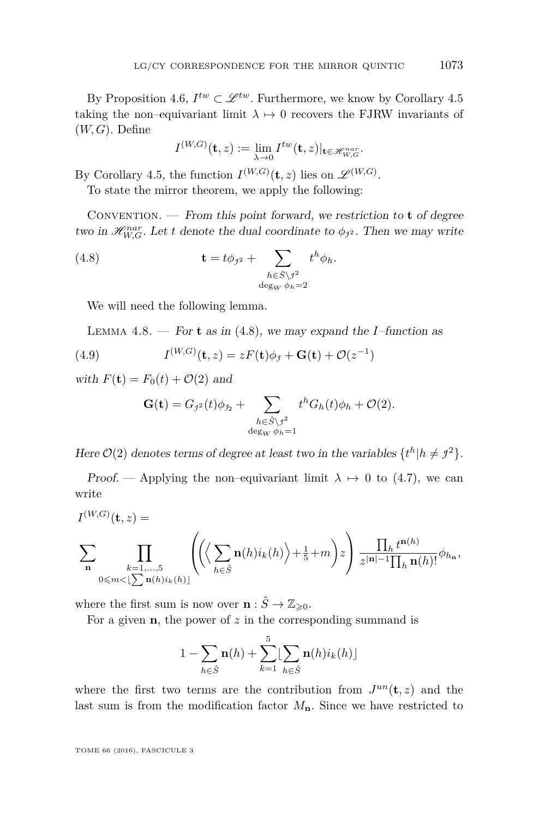By Proposition [4.6,](#page-25-2)  $I^{tw} \subset \mathcal{L}^{tw}$ . Furthermore, we know by Corollary [4.5](#page-24-0) taking the non–equivariant limit  $\lambda \mapsto 0$  recovers the FJRW invariants of (*W, G*). Define

<span id="page-29-0"></span>
$$
I^{(W,G)}(\mathbf{t},z) := \lim_{\lambda \to 0} I^{tw}(\mathbf{t},z)|_{\mathbf{t} \in \mathscr{H}_{W,G}^{nar}}.
$$

By Corollary [4.5,](#page-24-0) the function  $I^{(W,G)}(\mathbf{t},z)$  lies on  $\mathscr{L}^{(W,G)}$ .

To state the mirror theorem, we apply the following:

Convention. — From this point forward, we restriction to **t** of degree two in  $\mathcal{H}_{W,G}^{nar}$ . Let *t* denote the dual coordinate to  $\phi_{j^2}$ . Then we may write

(4.8) 
$$
\mathbf{t} = t\phi_{j2} + \sum_{\substack{h \in \hat{S} \setminus j^2 \\ \deg_W \phi_h = 2}} t^h \phi_h.
$$

We will need the following lemma.

<span id="page-29-1"></span>LEMMA 4.8. — For **t** as in [\(4.8\)](#page-29-0), we may expand the *I*–function as

(4.9) 
$$
I^{(W,G)}(\mathbf{t},z) = zF(\mathbf{t})\phi_{\mathit{f}} + \mathbf{G}(\mathbf{t}) + \mathcal{O}(z^{-1})
$$

with  $F(\mathbf{t}) = F_0(t) + \mathcal{O}(2)$  and

$$
\mathbf{G}(\mathbf{t}) = G_{j^2}(t)\phi_{j_2} + \sum_{\substack{h \in \hat{S} \setminus j^2 \\ \deg_W \phi_h = 1}} t^h G_h(t)\phi_h + \mathcal{O}(2).
$$

Here  $\mathcal{O}(2)$  denotes terms of degree at least two in the variables  $\{t^h | h \neq j^2\}$ .

Proof. — Applying the non–equivariant limit  $\lambda \mapsto 0$  to [\(4.7\)](#page-28-0), we can write

$$
I^{(W,G)}(\mathbf{t},z) = \sum_{\substack{\mathbf{h} = 1,\ldots,5 \\ 0 \le m < \lfloor \sum \mathbf{n}(h)i_k(h) \rfloor}} \left( \left( \left\langle \sum \mathbf{n}(h)i_k(h) \right\rangle + \frac{1}{5} + m \right) z \right) \frac{\prod_h t^{\mathbf{n}(h)}}{z^{|\mathbf{n}| - 1} \prod_h \mathbf{n}(h)!} \phi_{h_{\mathbf{n}}},
$$

where the first sum is now over  $\mathbf{n} : \hat{S} \to \mathbb{Z}_{\geq 0}$ .

For a given **n**, the power of *z* in the corresponding summand is

$$
1 - \sum_{h \in \hat{S}} \mathbf{n}(h) + \sum_{k=1}^{5} \left[ \sum_{h \in \hat{S}} \mathbf{n}(h) i_k(h) \right]
$$

where the first two terms are the contribution from  $J^{un}(\mathbf{t},z)$  and the last sum is from the modification factor  $M_{\mathbf{n}}$ . Since we have restricted to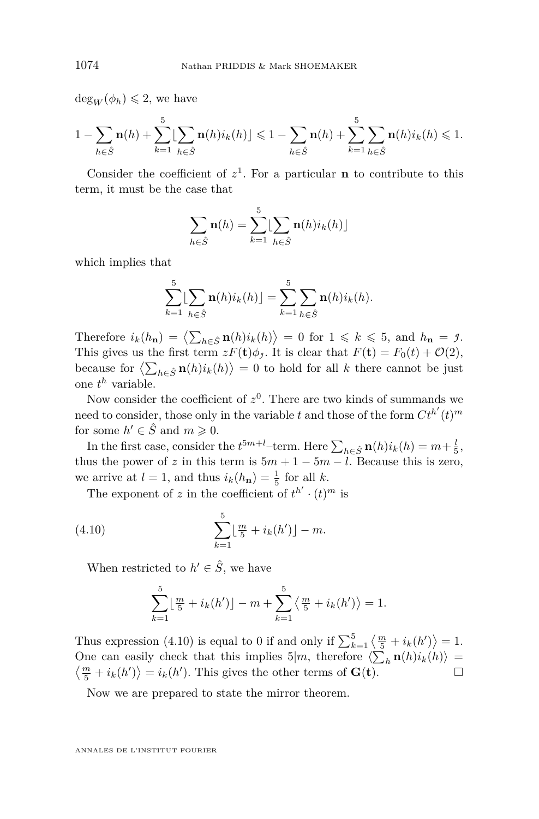$deg_W(\phi_h) \leq 2$ , we have

$$
1 - \sum_{h \in \hat{S}} \mathbf{n}(h) + \sum_{k=1}^{5} \left[ \sum_{h \in \hat{S}} \mathbf{n}(h) i_k(h) \right] \leq 1 - \sum_{h \in \hat{S}} \mathbf{n}(h) + \sum_{k=1}^{5} \sum_{h \in \hat{S}} \mathbf{n}(h) i_k(h) \leq 1.
$$

Consider the coefficient of  $z^1$ . For a particular **n** to contribute to this term, it must be the case that

$$
\sum_{h \in \hat{S}} \mathbf{n}(h) = \sum_{k=1}^{5} \left[ \sum_{h \in \hat{S}} \mathbf{n}(h) i_k(h) \right]
$$

which implies that

$$
\sum_{k=1}^{5} \left[ \sum_{h \in \hat{S}} \mathbf{n}(h) i_k(h) \right] = \sum_{k=1}^{5} \sum_{h \in \hat{S}} \mathbf{n}(h) i_k(h).
$$

Therefore  $i_k(h_n) = \langle \sum_{h \in \hat{S}} \mathbf{n}(h) i_k(h) \rangle = 0$  for  $1 \leq k \leq 5$ , and  $h_n = \mathcal{I}$ . This gives us the first term  $zF(\mathbf{t})\phi_j$ . It is clear that  $F(\mathbf{t}) = F_0(t) + \mathcal{O}(2)$ , because for  $\left\langle \sum_{h \in \hat{S}} \mathbf{n}(h) i_k(h) \right\rangle = 0$  to hold for all *k* there cannot be just one *t <sup>h</sup>* variable.

Now consider the coefficient of  $z^0$ . There are two kinds of summands we need to consider, those only in the variable *t* and those of the form  $C t^{h'}(t)^m$ for some  $h' \in \hat{S}$  and  $m \geqslant 0$ .

In the first case, consider the  $t^{5m+l}$ –term. Here  $\sum_{h \in \hat{S}} \mathbf{n}(h) i_k(h) = m + \frac{l}{5}$ , thus the power of *z* in this term is  $5m + 1 - 5m - l$ . Because this is zero, we arrive at  $l = 1$ , and thus  $i_k(h_{\bf{n}}) = \frac{1}{5}$  for all *k*.

The exponent of *z* in the coefficient of  $t^{h'} \cdot (t)^m$  is

(4.10) 
$$
\sum_{k=1}^{5} \lfloor \frac{m}{5} + i_k(h') \rfloor - m.
$$

When restricted to  $h' \in \hat{S}$ , we have

<span id="page-30-0"></span>
$$
\sum_{k=1}^{5} \lfloor \frac{m}{5} + i_k(h') \rfloor - m + \sum_{k=1}^{5} \langle \frac{m}{5} + i_k(h') \rangle = 1.
$$

Thus expression [\(4.10\)](#page-30-0) is equal to 0 if and only if  $\sum_{k=1}^{5} \langle \frac{m}{5} + i_k(h') \rangle = 1$ . One can easily check that this implies  $5|m$ , therefore  $\langle \sum_h \mathbf{n}(h)i_k(h) \rangle = \langle \frac{m}{k} + i_k(h') \rangle = i_k(h')$ . This gives the other terms of  $\mathbf{G}(\mathbf{t})$ .  $\frac{m}{5} + i_k(h') = i_k(h')$ . This gives the other terms of **G**(**t**).

Now we are prepared to state the mirror theorem.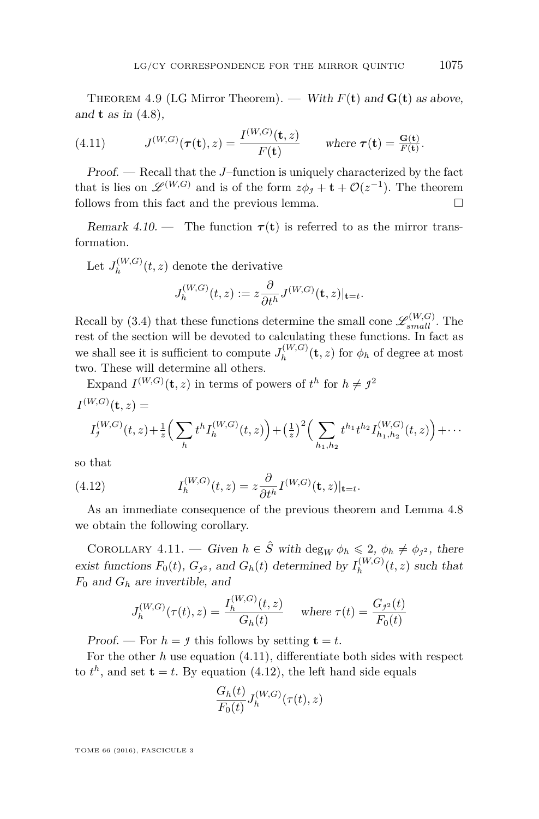<span id="page-31-2"></span>THEOREM 4.9 (LG Mirror Theorem). — With  $F(t)$  and  $G(t)$  as above, and **t** as in [\(4.8\)](#page-29-0),

<span id="page-31-0"></span>(4.11) 
$$
J^{(W,G)}(\tau(\mathbf{t}),z) = \frac{I^{(W,G)}(\mathbf{t},z)}{F(\mathbf{t})} \quad \text{where } \tau(\mathbf{t}) = \frac{G(\mathbf{t})}{F(\mathbf{t})}.
$$

Proof. — Recall that the *J*–function is uniquely characterized by the fact that is lies on  $\mathscr{L}^{(W,G)}$  and is of the form  $z\phi_j + \mathbf{t} + \mathcal{O}(z^{-1})$ . The theorem follows from this fact and the previous lemma.

Remark 4.10. — The function  $\tau(t)$  is referred to as the mirror transformation.

Let  $J_h^{(W,G)}$  $h^{(W,G)}(t,z)$  denote the derivative  $J_h^{(W,G)}$  $\theta_h^{(W,G)}(t,z) := z \frac{\partial}{\partial t}$  $\frac{\partial}{\partial t^h} J^{(W,G)}(\mathbf{t},z)|_{\mathbf{t}=t}.$ 

Recall by [\(3.4\)](#page-17-1) that these functions determine the small cone  $\mathscr{L}_{small}^{(W,G)}$ . The rest of the section will be devoted to calculating these functions. In fact as we shall see it is sufficient to compute  $J_h^{(W,G)}$  $h^{(W,G)}(t,z)$  for  $\phi_h$  of degree at most two. These will determine all others.

Expand 
$$
I^{(W,G)}(\mathbf{t}, z)
$$
 in terms of powers of  $t^h$  for  $h \neq j^2$   
\n
$$
I^{(W,G)}(\mathbf{t}, z) = I_j^{(W,G)}(t, z) + \frac{1}{z} \Big( \sum_h t^h I_h^{(W,G)}(t, z) \Big) + \Big( \frac{1}{z} \Big)^2 \Big( \sum_{h_1, h_2} t^{h_1} t^{h_2} I_{h_1, h_2}^{(W,G)}(t, z) \Big) + \cdots
$$

so that

<span id="page-31-1"></span>(4.12) 
$$
I_h^{(W,G)}(t,z) = z \frac{\partial}{\partial t^h} I^{(W,G)}(\mathbf{t},z)|_{\mathbf{t}=t}.
$$

As an immediate consequence of the previous theorem and Lemma [4.8](#page-29-1) we obtain the following corollary.

<span id="page-31-3"></span>COROLLARY 4.11. — Given  $h \in \hat{S}$  with  $\deg_W \phi_h \leq 2$ ,  $\phi_h \neq \phi_{j^2}$ , there exist functions  $F_0(t)$ ,  $G_{j^2}$ , and  $G_h(t)$  determined by  $I_h^{(W,G)}$  $h^{(W,G)}(t,z)$  such that *F*<sup>0</sup> and *G<sup>h</sup>* are invertible, and

$$
J_h^{(W,G)}(\tau(t), z) = \frac{I_h^{(W,G)}(t, z)}{G_h(t)} \quad \text{where } \tau(t) = \frac{G_{j^2}(t)}{F_0(t)}
$$

Proof. — For  $h = f$  this follows by setting  $\mathbf{t} = t$ .

For the other *h* use equation [\(4.11\)](#page-31-0), differentiate both sides with respect to  $t^h$ , and set  $t = t$ . By equation [\(4.12\)](#page-31-1), the left hand side equals

$$
\frac{G_h(t)}{F_0(t)}J_h^{(W,G)}(\tau(t),z)
$$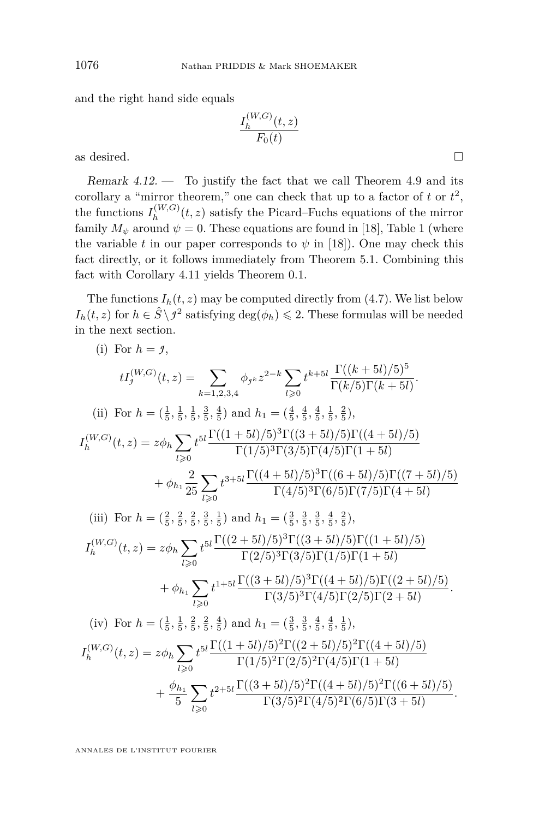and the right hand side equals

$$
\frac{I_h^{(W,G)}(t,z)}{F_0(t)}
$$

as desired.

<span id="page-32-0"></span>Remark  $4.12.$  — To justify the fact that we call Theorem [4.9](#page-31-2) and its corollary a "mirror theorem," one can check that up to a factor of  $t$  or  $t^2$ , the functions  $I_h^{(W,G)}$  $h_h^{(W,G)}(t,z)$  satisfy the Picard–Fuchs equations of the mirror family  $M_{\psi}$  around  $\psi = 0$ . These equations are found in [\[18\]](#page-46-9), Table 1 (where the variable *t* in our paper corresponds to  $\psi$  in [\[18\]](#page-46-9)). One may check this fact directly, or it follows immediately from Theorem [5.1.](#page-43-0) Combining this fact with Corollary [4.11](#page-31-3) yields Theorem [0.1.](#page-4-1)

The functions  $I_h(t, z)$  may be computed directly from [\(4.7\)](#page-28-0). We list below  $I_h(t, z)$  for  $h \in \hat{S} \setminus \mathcal{I}^2$  satisfying  $\deg(\phi_h) \leq 2$ . These formulas will be needed in the next section.

(i) For 
$$
h = f
$$
,  
\n
$$
tI_{j}^{(W,G)}(t, z) = \sum_{k=1,2,3,4} \phi_{jk} z^{2-k} \sum_{l\geq 0} t^{k+5l} \frac{\Gamma((k+5l)/5)^5}{\Gamma(k/5)\Gamma(k+5l)}
$$
\n(ii) For  $h = (\frac{1}{5}, \frac{1}{5}, \frac{1}{5}, \frac{3}{5}, \frac{4}{5})$  and  $h_1 = (\frac{4}{5}, \frac{4}{5}, \frac{4}{5}, \frac{1}{5}, \frac{2}{5})$ ,  
\n
$$
I_{h}^{(W,G)}(t, z) = z\phi_h \sum_{l\geq 0} t^{5l} \frac{\Gamma((1+5l)/5)^3\Gamma((3+5l)/5)\Gamma((4+5l)/5)}{\Gamma(1/5)^3\Gamma(3/5)\Gamma(4/5)\Gamma(1+5l)}
$$
\n
$$
+ \phi_{h_1} \frac{2}{25} \sum_{l\geq 0} t^{3+5l} \frac{\Gamma((4+5l)/5)^3\Gamma((6+5l)/5)\Gamma((7+5l)/5)}{\Gamma(4/5)^3\Gamma(6/5)\Gamma(7/5)\Gamma(4+5l)}
$$
\n(iii) For  $h = (\frac{2}{5}, \frac{2}{5}, \frac{2}{5}, \frac{3}{5}, \frac{1}{5})$  and  $h_1 = (\frac{3}{5}, \frac{3}{5}, \frac{3}{5}, \frac{4}{5}, \frac{2}{5})$ ,  
\n
$$
I_{h}^{(W,G)}(t, z) = z\phi_h \sum_{l\geq 0} t^{5l} \frac{\Gamma((2+5l)/5)^3\Gamma((3+5l)/5)\Gamma((1+5l)/5)}{\Gamma(2/5)^3\Gamma(3/5)\Gamma(1/5)\Gamma(1+5l)}
$$
\n
$$
+ \phi_{h_1} \sum_{l\geq 0} t^{1+5l} \frac{\Gamma((3+5l)/5)^3\Gamma((4+5l)/5)\Gamma((2+5l)/5)}{\Gamma(3/5)^3\Gamma(4/5)\Gamma(2/5)\Gamma(2+5l)}
$$
\n(iv) For  $h = (\frac{1}{5}, \frac{1}{5}, \frac{2}{5}, \frac{2}{5}, \frac{4}{5})$  and  $h_1 = (\frac{3}{5}, \frac$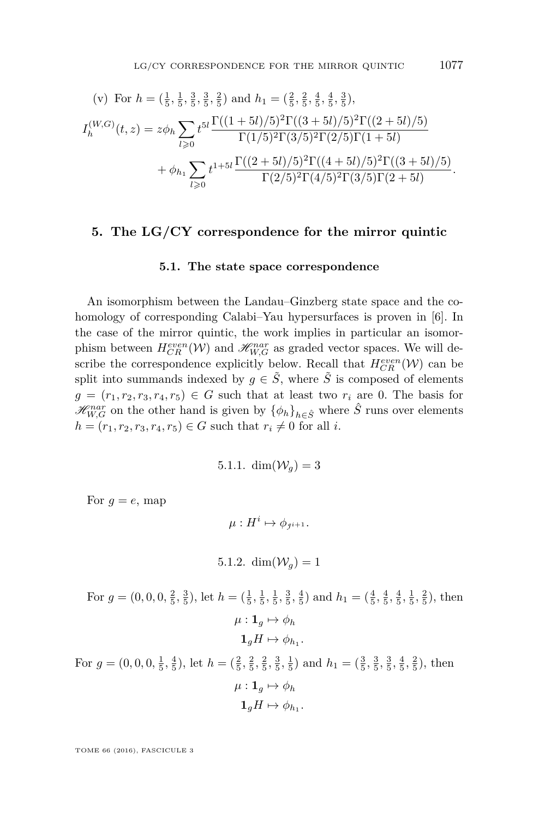(v) For 
$$
h = (\frac{1}{5}, \frac{1}{5}, \frac{3}{5}, \frac{3}{5}, \frac{2}{5})
$$
 and  $h_1 = (\frac{2}{5}, \frac{2}{5}, \frac{4}{5}, \frac{4}{5}, \frac{3}{5})$ ,  
\n
$$
I_h^{(W,G)}(t, z) = z\phi_h \sum_{l \geq 0} t^{5l} \frac{\Gamma((1+5l)/5)^2 \Gamma((3+5l)/5)^2 \Gamma((2+5l)/5)}{\Gamma(1/5)^2 \Gamma(3/5)^2 \Gamma(2/5) \Gamma(1+5l)}
$$
\n
$$
+ \phi_{h_1} \sum_{l \geq 0} t^{1+5l} \frac{\Gamma((2+5l)/5)^2 \Gamma((4+5l)/5)^2 \Gamma((3+5l)/5)}{\Gamma(2/5)^2 \Gamma(4/5)^2 \Gamma(3/5) \Gamma(2+5l)}.
$$

## **5. The LG/CY correspondence for the mirror quintic**

#### **5.1. The state space correspondence**

An isomorphism between the Landau–Ginzberg state space and the cohomology of corresponding Calabi–Yau hypersurfaces is proven in [\[6\]](#page-46-19). In the case of the mirror quintic, the work implies in particular an isomorphism between  $H_{CR}^{even}(\mathcal{W})$  and  $\mathcal{H}_{W,G}^{nar}$  as graded vector spaces. We will describe the correspondence explicitly below. Recall that  $H_{CR}^{even}(\mathcal{W})$  can be split into summands indexed by  $g \in \tilde{S}$ , where  $\tilde{S}$  is composed of elements  $g = (r_1, r_2, r_3, r_4, r_5) \in G$  such that at least two  $r_i$  are 0. The basis for  $\mathscr{H}_{W,G}^{nar}$  on the other hand is given by  $\{\phi_h\}_{h\in\hat{S}}$  where  $\hat{S}$  runs over elements  $h = (r_1, r_2, r_3, r_4, r_5) \in G$  such that  $r_i \neq 0$  for all *i*.

5.1.1. 
$$
\dim(\mathcal{W}_g) = 3
$$

For  $g = e$ , map

 $\mu: H^i \mapsto \phi_{j^{i+1}}.$ 

5.1.2.  $\dim(\mathcal{W}_q) = 1$ 

For  $g = (0, 0, 0, \frac{2}{5}, \frac{3}{5})$ , let  $h = (\frac{1}{5}, \frac{1}{5}, \frac{1}{5}, \frac{3}{5}, \frac{4}{5})$  and  $h_1 = (\frac{4}{5}, \frac{4}{5}, \frac{4}{5}, \frac{1}{5}, \frac{2}{5})$ , then  $\mu: \mathbf{1}_q \mapsto \phi_h$  $\mathbf{1}_g H \mapsto \phi_{h_1}.$ For  $g = (0, 0, 0, \frac{1}{5}, \frac{4}{5})$ , let  $h = (\frac{2}{5}, \frac{2}{5}, \frac{2}{5}, \frac{3}{5}, \frac{1}{5})$  and  $h_1 = (\frac{3}{5}, \frac{3}{5}, \frac{3}{5}, \frac{4}{5}, \frac{2}{5})$ , then  $\mu: \mathbf{1}_g \mapsto \phi_h$ 

$$
\mathbf{1}_g H \mapsto \phi_{h_1}.
$$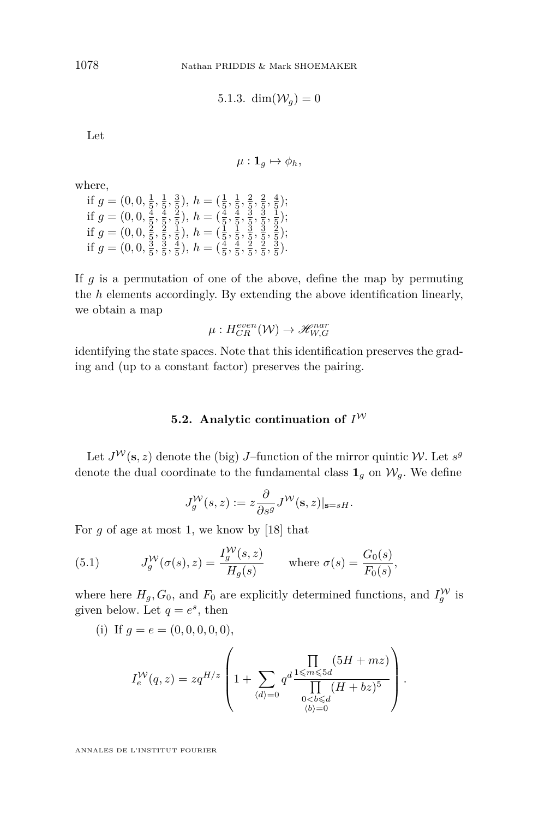5.1.3. dim $(\mathcal{W}_q) = 0$ 

Let

 $\mu: \mathbf{1}_q \mapsto \phi_h,$ 

where,

if  $g = (0, 0, \frac{1}{5}, \frac{1}{5}, \frac{3}{5})$ ,  $h = (\frac{1}{5}, \frac{1}{5}, \frac{2}{5}, \frac{2}{5}, \frac{4}{5})$ ; if  $g = (0, 0, \frac{4}{5}, \frac{4}{5}, \frac{2}{5}), h = (\frac{4}{5}, \frac{4}{5}, \frac{3}{5}, \frac{3}{5}, \frac{1}{5})$ ; if  $g = (0, 0, \frac{2}{5}, \frac{2}{5}, \frac{1}{5}), h = (\frac{1}{5}, \frac{1}{5}, \frac{3}{5}, \frac{3}{5}, \frac{2}{5});$ if  $g = (0, 0, \frac{3}{5}, \frac{3}{5}, \frac{4}{5})$ ,  $h = (\frac{4}{5}, \frac{4}{5}, \frac{2}{5}, \frac{2}{5}, \frac{3}{5})$ .

If *g* is a permutation of one of the above, define the map by permuting the *h* elements accordingly. By extending the above identification linearly, we obtain a map

$$
\mu: H_{CR}^{even}(\mathcal{W}) \to \mathcal{H}_{W,G}^{nar}
$$

identifying the state spaces. Note that this identification preserves the grading and (up to a constant factor) preserves the pairing.

## **5.2.** Analytic continuation of  $I^{\mathcal{W}}$

Let  $J^{\mathcal{W}}(\mathbf{s},z)$  denote the (big) *J*-function of the mirror quintic W. Let  $s^g$ denote the dual coordinate to the fundamental class  $\mathbf{1}_g$  on  $\mathcal{W}_g$ . We define

$$
J^{\mathcal{W}}_g(s,z):=z\frac{\partial}{\partial s^g}J^{\mathcal{W}}(\mathbf{s},z)|_{\mathbf{s}=sH}.
$$

For *g* of age at most 1, we know by [\[18\]](#page-46-9) that

<span id="page-34-0"></span>(5.1) 
$$
J_g^{\mathcal{W}}(\sigma(s), z) = \frac{I_g^{\mathcal{W}}(s, z)}{H_g(s)} \quad \text{where } \sigma(s) = \frac{G_0(s)}{F_0(s)},
$$

where here  $H_g$ ,  $G_0$ , and  $F_0$  are explicitly determined functions, and  $I_g^{\mathcal{W}}$  is given below. Let  $q = e^s$ , then

(i) If 
$$
g = e = (0, 0, 0, 0, 0)
$$
,  
\n
$$
I_e^{\mathcal{W}}(q, z) = zq^{H/z} \left( 1 + \sum_{\langle d \rangle = 0} q^d \frac{\prod_{\substack{\leq m \leq 5d \\ 0 < b \leq d}} (5H + mz)}{\prod_{\substack{0 < b \leq d \\ \langle b \rangle = 0}} (H + bz)^5} \right)
$$

*.*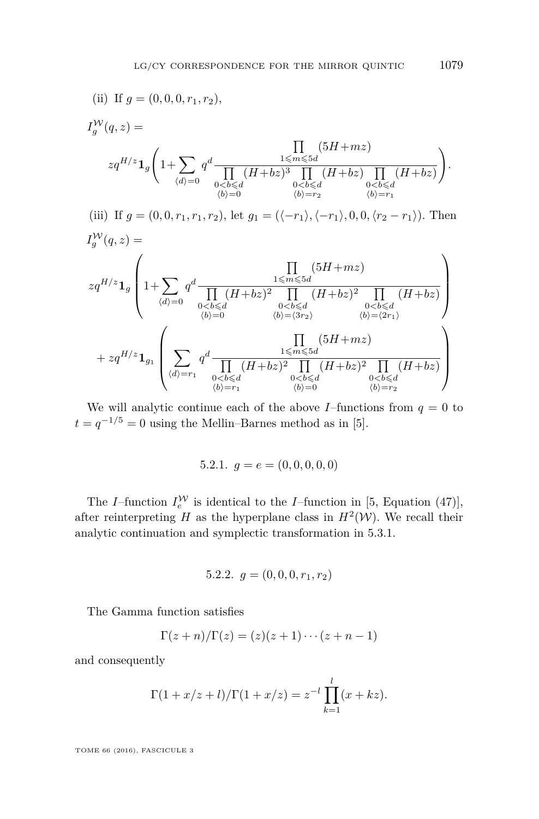(ii) If 
$$
g = (0, 0, 0, r_1, r_2)
$$
,  
\n
$$
I_g^W(q, z) =
$$
\n
$$
zq^{H/z} \mathbf{1}_g \left( 1 + \sum_{\substack{\langle d \rangle = 0}} q^d \frac{\prod_{\substack{1 \leq m \leq 5d \\ 0 < b \leq d}} (5H + mz)}{\prod_{\substack{0 < b \leq d \\ (b) = 0}} (H + bz) \prod_{\substack{0 < b \leq d \\ (b) = r_1}} (H + bz)} \right).
$$
\n(iii) If  $g = (0, 0, r_1, r_1, r_2)$ , let  $g_1 = (\langle -r_1 \rangle, \langle -r_1 \rangle, 0, 0, \langle r_2 - r_1 \rangle)$ . Then  
\n
$$
I_g^W(q, z) =
$$
\n
$$
zq^{H/z} \mathbf{1}_g \left( 1 + \sum_{\substack{\langle d \rangle = 0}} q^d \frac{\prod_{\substack{1 \leq m \leq 5d \\ 0 < b \leq d}} (5H + mz)}{\prod_{\substack{0 < b \leq d \\ (b) = (3r_2)}} (H + bz)^2 \prod_{\substack{0 < b \leq d \\ 0 < b \leq d}} (H + bz)} \right)
$$
\n
$$
+ zq^{H/z} \mathbf{1}_{g_1} \left( \sum_{\substack{\langle d \rangle = r_1}} q^d \frac{\prod_{\substack{1 \leq m \leq 5d \\ 0 < b \leq d}} (H + bz)^2 \prod_{\substack{0 < b \leq d \\ (b) = (3r_2)}} (H + bz)^2 \prod_{\substack{0 < b \leq d \\ (b) = (2r_1)}} (H + bz)} \right)
$$
\n
$$
+ zq^{H/z} \mathbf{1}_{g_1} \left( \sum_{\substack{\langle d \rangle = r_1}} q^d \frac{\prod_{\substack{1 \leq m \leq 5d \\ 0 < b \leq d}} (H + bz)^2 \prod_{\substack{0 < b \leq d \\ 0 < b \leq d}} (H + bz)^2 \prod_{\substack{0 < b \leq d \\ (b) = r_2}} (H + bz)} \right)
$$

We will analytic continue each of the above *I*–functions from  $q = 0$  to  $t = q^{-1/5} = 0$  using the Mellin–Barnes method as in [\[5\]](#page-46-4).

5.2.1. 
$$
g = e = (0, 0, 0, 0, 0)
$$

The *I*–function  $I_e^{\mathcal{W}}$  is identical to the *I*–function in [\[5,](#page-46-4) Equation (47)], after reinterpreting *H* as the hyperplane class in  $H^2(\mathcal{W})$ . We recall their analytic continuation and symplectic transformation in [5.3.1.](#page-38-0)

5.2.2. 
$$
g = (0, 0, 0, r_1, r_2)
$$

The Gamma function satisfies

$$
\Gamma(z+n)/\Gamma(z)=(z)(z+1)\cdots(z+n-1)
$$

and consequently

$$
\Gamma(1 + x/z + l) / \Gamma(1 + x/z) = z^{-l} \prod_{k=1}^{l} (x + kz).
$$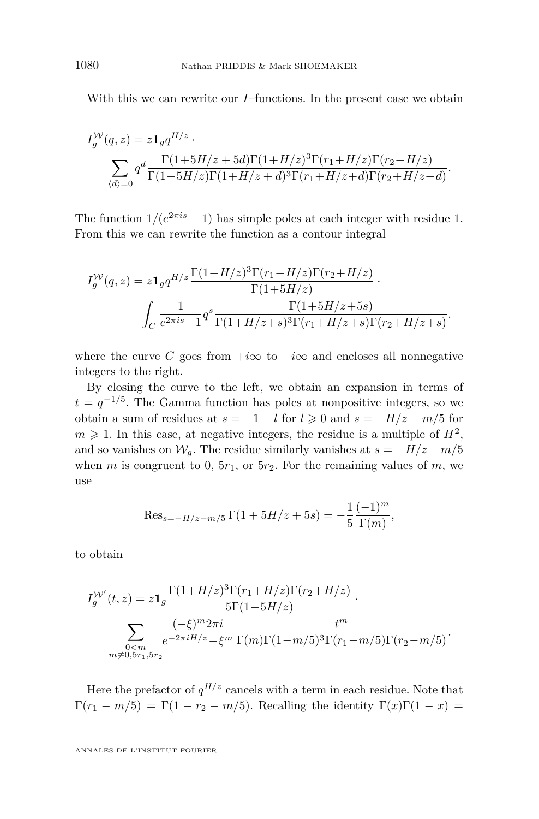With this we can rewrite our *I*–functions. In the present case we obtain

$$
I_g^{W}(q, z) = z \mathbf{1}_g q^{H/z}.
$$
  

$$
\sum_{\langle d \rangle = 0} q^d \frac{\Gamma(1+5H/z + 5d)\Gamma(1+H/z)^3 \Gamma(r_1+H/z) \Gamma(r_2+H/z)}{\Gamma(1+5H/z) \Gamma(1+H/z+d)^3 \Gamma(r_1+H/z+d) \Gamma(r_2+H/z+d)}.
$$

The function  $1/(e^{2\pi i s} - 1)$  has simple poles at each integer with residue 1. From this we can rewrite the function as a contour integral

$$
I_g^{\mathcal{W}}(q,z) = z \mathbf{1}_g q^{H/z} \frac{\Gamma(1+H/z)^3 \Gamma(r_1+H/z) \Gamma(r_2+H/z)}{\Gamma(1+5H/z)} \cdot \int_C \frac{1}{e^{2\pi i s} - 1} q^s \frac{\Gamma(1+5H/z+5s)}{\Gamma(1+H/z+s)^3 \Gamma(r_1+H/z+s) \Gamma(r_2+H/z+s)}.
$$

where the curve *C* goes from  $+i\infty$  to  $-i\infty$  and encloses all nonnegative integers to the right.

By closing the curve to the left, we obtain an expansion in terms of  $t = q^{-1/5}$ . The Gamma function has poles at nonpositive integers, so we obtain a sum of residues at  $s = -1 - l$  for  $l \ge 0$  and  $s = -H/z - m/5$  for  $m \geqslant 1$ . In this case, at negative integers, the residue is a multiple of  $H^2$ , and so vanishes on  $W_g$ . The residue similarly vanishes at  $s = -H/z - m/5$ when *m* is congruent to 0,  $5r_1$ , or  $5r_2$ . For the remaining values of *m*, we use

$$
\text{Res}_{s=-H/z-m/5} \Gamma(1+5H/z+5s) = -\frac{1}{5} \frac{(-1)^m}{\Gamma(m)},
$$

to obtain

$$
I_g^{W'}(t, z) = z \mathbf{1}_g \frac{\Gamma(1 + H/z)^3 \Gamma(r_1 + H/z) \Gamma(r_2 + H/z)}{5\Gamma(1 + 5H/z)} \cdot \frac{\sum_{0 < m \atop 0 < m \neq 0, 5r_1, 5r_2} \frac{(-\xi)^m 2\pi i}{e^{-2\pi i H/z} - \xi^m} \frac{t^m}{\Gamma(m)\Gamma(1 - m/5)^3 \Gamma(r_1 - m/5) \Gamma(r_2 - m/5)}.
$$

Here the prefactor of  $q^{H/z}$  cancels with a term in each residue. Note that  $\Gamma(r_1 - m/5) = \Gamma(1 - r_2 - m/5)$ . Recalling the identity  $\Gamma(x)\Gamma(1 - x) =$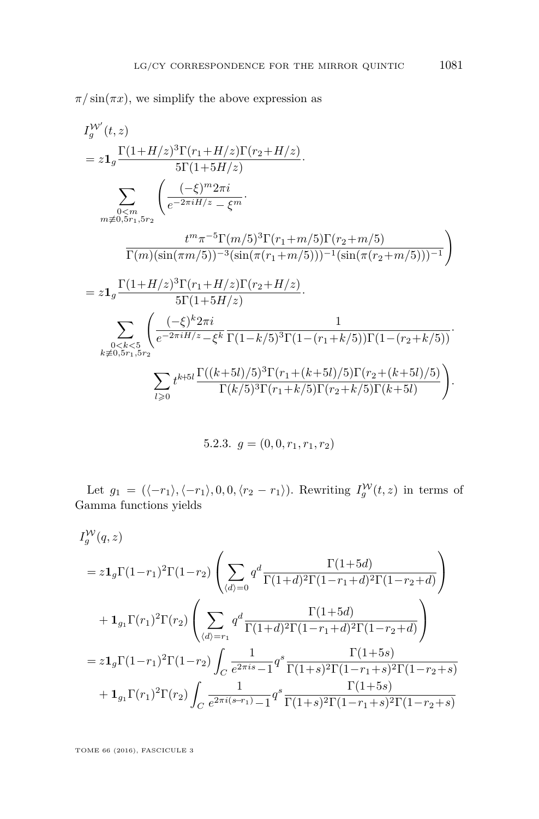$\pi/\sin(\pi x)$ , we simplify the above expression as

$$
I_y^{W'}(t, z)
$$
  
=  $z1_g \frac{\Gamma(1+H/z)^3 \Gamma(r_1+H/z) \Gamma(r_2+H/z)}{5\Gamma(1+5H/z)}$ .  

$$
\sum_{\substack{0 \le m \\ m \neq 0, 5r_1, 5r_2}} \left( \frac{(-\xi)^m 2\pi i}{e^{-2\pi i H/z} - \xi^m} \cdot \frac{t^m \pi^{-5} \Gamma(m/5)^3 \Gamma(r_1+m/5) \Gamma(r_2+m/5)}{\Gamma(m)(\sin(\pi m/5))^{-3} (\sin(\pi (r_1+m/5)))^{-1} (\sin(\pi (r_2+m/5)))^{-1}} \right)
$$
  
=  $z1_g \frac{\Gamma(1+H/z)^3 \Gamma(r_1+H/z) \Gamma(r_2+H/z)}{5\Gamma(1+5H/z)}$ .  

$$
\sum_{\substack{0 \le k \le 5 \\ k \neq 0, 5r_1, 5r_2}} \left( \frac{(-\xi)^k 2\pi i}{e^{-2\pi i H/z} - \xi^k} \frac{1}{\Gamma(1-k/5)^3 \Gamma(1-(r_1+k/5)) \Gamma(1-(r_2+k/5))} \cdot \frac{\sum_{l \ge 0} t^{k+l} \frac{\Gamma((k+l)/5)^3 \Gamma(r_1+(k+l)/5) \Gamma(r_2+(k+l)/5)}{\Gamma(k/5)^3 \Gamma(r_1+k/5) \Gamma(r_2+k/5) \Gamma(k+l)} \right).
$$

5.2.3. 
$$
g = (0, 0, r_1, r_1, r_2)
$$

Let  $g_1 = (\langle -r_1 \rangle, \langle -r_1 \rangle, 0, 0, \langle r_2 - r_1 \rangle)$ . Rewriting  $I_g^{\mathcal{W}}(t, z)$  in terms of Gamma functions yields

$$
I_g^W(q, z)
$$
  
=  $z\mathbf{1}_g \Gamma(1-r_1)^2 \Gamma(1-r_2) \left( \sum_{\langle d \rangle=0} q^d \frac{\Gamma(1+5d)}{\Gamma(1+d)^2 \Gamma(1-r_1+d)^2 \Gamma(1-r_2+d)} \right)$   
+  $\mathbf{1}_{g_1} \Gamma(r_1)^2 \Gamma(r_2) \left( \sum_{\langle d \rangle=r_1} q^d \frac{\Gamma(1+5d)}{\Gamma(1+d)^2 \Gamma(1-r_1+d)^2 \Gamma(1-r_2+d)} \right)$   
=  $z\mathbf{1}_g \Gamma(1-r_1)^2 \Gamma(1-r_2) \int_C \frac{1}{e^{2\pi i s} - 1} q^s \frac{\Gamma(1+5s)}{\Gamma(1+s)^2 \Gamma(1-r_1+s)^2 \Gamma(1-r_2+s)}$   
+  $\mathbf{1}_{g_1} \Gamma(r_1)^2 \Gamma(r_2) \int_C \frac{1}{e^{2\pi i (s-r_1)} - 1} q^s \frac{\Gamma(1+5s)}{\Gamma(1+s)^2 \Gamma(1-r_1+s)^2 \Gamma(1-r_2+s)}$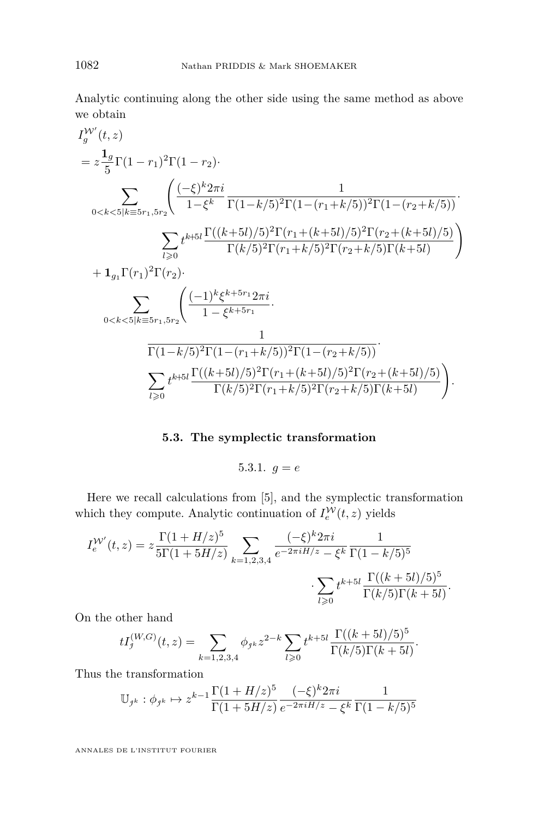Analytic continuing along the other side using the same method as above we obtain

$$
I_y^{W'}(t, z)
$$
  
=  $z \frac{1_g}{5} \Gamma(1 - r_1)^2 \Gamma(1 - r_2)$   

$$
\sum_{0 < k < 5|k \equiv 5r_1, 5r_2} \left( \frac{(-\xi)^k 2\pi i}{1 - \xi^k} \frac{1}{\Gamma(1 - k/5)^2 \Gamma(1 - (r_1 + k/5))^2 \Gamma(1 - (r_2 + k/5))} \right)
$$
  

$$
\sum_{l \ge 0} t^{k+5l} \frac{\Gamma((k+5l)/5)^2 \Gamma(r_1 + (k+5l)/5)^2 \Gamma(r_2 + (k+5l)/5)}{\Gamma(k/5)^2 \Gamma(r_1 + k/5)^2 \Gamma(r_2 + k/5) \Gamma(k+5l)} \right)
$$
  
+  $1_{g_1} \Gamma(r_1)^2 \Gamma(r_2)$ .  

$$
\sum_{0 < k < 5|k \equiv 5r_1, 5r_2} \left( \frac{(-1)^k \xi^{k+5r_1} 2\pi i}{1 - \xi^{k+5r_1}} \right)
$$
  

$$
\frac{1}{\Gamma(1 - k/5)^2 \Gamma(1 - (r_1 + k/5))^2 \Gamma(1 - (r_2 + k/5))}
$$
  

$$
\sum_{l \ge 0} t^{k+5l} \frac{\Gamma((k+5l)/5)^2 \Gamma(r_1 + (k+5l)/5)^2 \Gamma(r_2 + (k+5l)/5)}{\Gamma(k/5)^2 \Gamma(r_1 + k/5)^2 \Gamma(r_2 + k/5) \Gamma(k+5l)}
$$
.

## **5.3. The symplectic transformation**

$$
5.3.1. \, g = e
$$

<span id="page-38-0"></span>Here we recall calculations from [\[5\]](#page-46-4), and the symplectic transformation which they compute. Analytic continuation of  $I_e^{\mathcal{W}}(t, z)$  yields

$$
I_e^{W'}(t,z) = z \frac{\Gamma(1 + H/z)^5}{5\Gamma(1 + 5H/z)} \sum_{k=1,2,3,4} \frac{(-\xi)^k 2\pi i}{e^{-2\pi i H/z} - \xi^k} \frac{1}{\Gamma(1 - k/5)^5}
$$

$$
\sum_{l \ge 0} t^{k+5l} \frac{\Gamma((k+5l)/5)^5}{\Gamma(k/5)\Gamma(k+5l)}.
$$

On the other hand

$$
tI_j^{(W,G)}(t,z) = \sum_{k=1,2,3,4} \phi_{jk} z^{2-k} \sum_{l \ge 0} t^{k+5l} \frac{\Gamma((k+5l)/5)^5}{\Gamma(k/5)\Gamma(k+5l)}.
$$

Thus the transformation

$$
\mathbb{U}_{j^k} : \phi_{j^k} \mapsto z^{k-1} \frac{\Gamma(1+H/z)^5}{\Gamma(1+5H/z)} \frac{(-\xi)^k 2\pi i}{e^{-2\pi i H/z} - \xi^k} \frac{1}{\Gamma(1-k/5)^5}
$$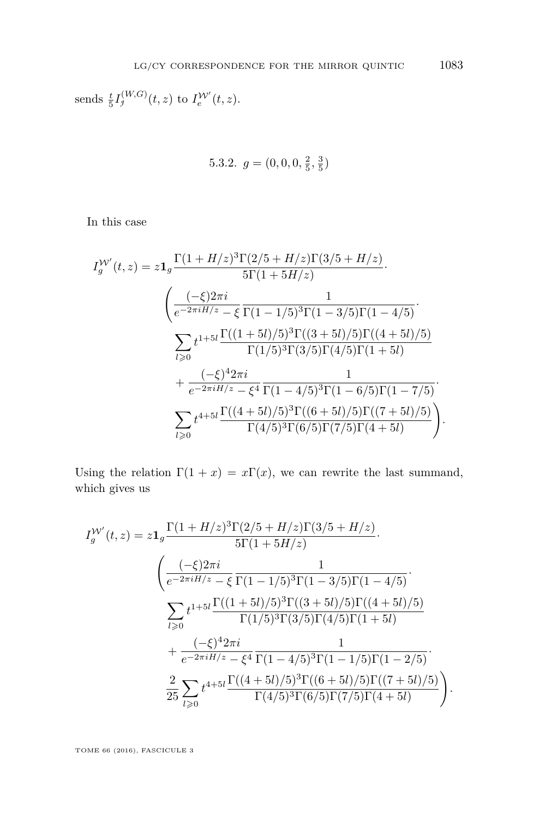sends  $\frac{t}{5}I_j^{(W,G)}(t,z)$  to  $I_e^{W'}(t,z)$ .

5.3.2. 
$$
g = (0, 0, 0, \frac{2}{5}, \frac{3}{5})
$$

In this case

$$
I_g^{W'}(t,z) = z \mathbf{1}_g \frac{\Gamma(1+H/z)^3 \Gamma(2/5+H/z) \Gamma(3/5+H/z)}{5\Gamma(1+5H/z)}.
$$
  

$$
\left(\frac{(-\xi)2\pi i}{e^{-2\pi i H/z} - \xi} \frac{1}{\Gamma(1-1/5)^3 \Gamma(1-3/5) \Gamma(1-4/5)}\right)
$$
  

$$
\sum_{l\geqslant 0} t^{1+5l} \frac{\Gamma((1+5l)/5)^3 \Gamma((3+5l)/5) \Gamma((4+5l)/5)}{\Gamma(1/5)^3 \Gamma(3/5) \Gamma(4/5) \Gamma(1+5l)} + \frac{(-\xi)^4 2\pi i}{e^{-2\pi i H/z} - \xi^4} \frac{1}{\Gamma(1-4/5)^3 \Gamma(1-6/5) \Gamma(1-7/5)}.
$$
  

$$
\sum_{l\geqslant 0} t^{4+5l} \frac{\Gamma((4+5l)/5)^3 \Gamma((6+5l)/5) \Gamma((7+5l)/5)}{\Gamma(4/5)^3 \Gamma(6/5) \Gamma(7/5) \Gamma(4+5l)}.
$$

Using the relation  $\Gamma(1+x) = x\Gamma(x)$ , we can rewrite the last summand, which gives us

$$
I_g^{W'}(t,z) = z \mathbf{1}_g \frac{\Gamma(1+H/z)^3 \Gamma(2/5+H/z) \Gamma(3/5+H/z)}{5\Gamma(1+5H/z)}.
$$

$$
\left(\frac{(-\xi)2\pi i}{e^{-2\pi i H/z} - \xi} \frac{1}{\Gamma(1-1/5)^3 \Gamma(1-3/5) \Gamma(1-4/5)}\right)
$$

$$
\sum_{l\geqslant 0} t^{1+5l} \frac{\Gamma((1+5l)/5)^3 \Gamma((3+5l)/5) \Gamma((4+5l)/5)}{\Gamma(1/5)^3 \Gamma(3/5) \Gamma(4/5) \Gamma(1+5l)} + \frac{(-\xi)^4 2\pi i}{e^{-2\pi i H/z} - \xi^4} \frac{1}{\Gamma(1-4/5)^3 \Gamma(1-1/5) \Gamma(1-2/5)}.
$$

$$
\frac{2}{25} \sum_{l\geqslant 0} t^{4+5l} \frac{\Gamma((4+5l)/5)^3 \Gamma((6+5l)/5) \Gamma((7+5l)/5)}{\Gamma(4/5)^3 \Gamma(6/5) \Gamma(7/5) \Gamma(4+5l)}.
$$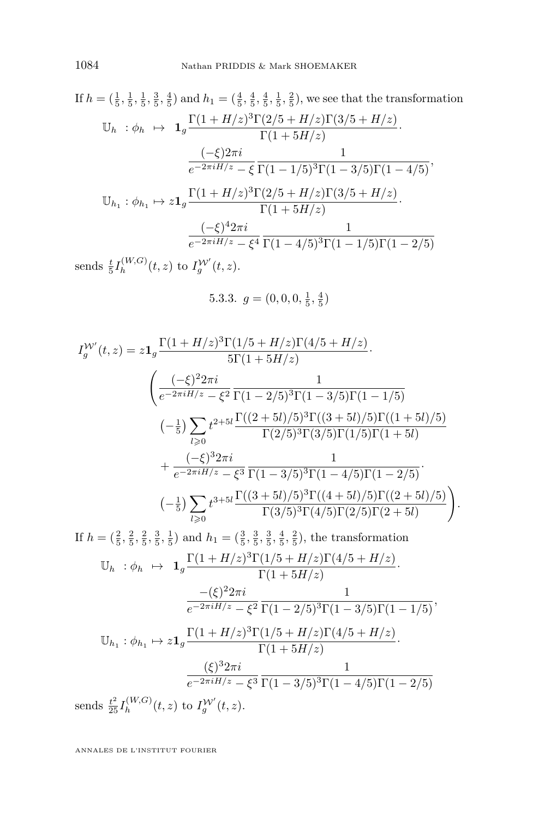If 
$$
h = (\frac{1}{5}, \frac{1}{5}, \frac{1}{5}, \frac{3}{5}, \frac{4}{5})
$$
 and  $h_1 = (\frac{4}{5}, \frac{4}{5}, \frac{4}{5}, \frac{1}{5}, \frac{2}{5})$ , we see that the transformation  
\n
$$
\mathbb{U}_h : \phi_h \mapsto \mathbf{1}_g \frac{\Gamma(1 + H/z)^3 \Gamma(2/5 + H/z) \Gamma(3/5 + H/z)}{\Gamma(1 + 5H/z)}.
$$
\n
$$
\frac{(-\xi)2\pi i}{e^{-2\pi i H/z} - \xi} \frac{1}{\Gamma(1 - 1/5)^3 \Gamma(1 - 3/5) \Gamma(1 - 4/5)},
$$
\n
$$
\mathbb{U}_{h_1} : \phi_{h_1} \mapsto z \mathbf{1}_g \frac{\Gamma(1 + H/z)^3 \Gamma(2/5 + H/z) \Gamma(3/5 + H/z)}{\Gamma(1 + 5H/z)}.
$$
\n
$$
\frac{(-\xi)^4 2\pi i}{e^{-2\pi i H/z} - \xi^4} \frac{1}{\Gamma(1 - 4/5)^3 \Gamma(1 - 1/5) \Gamma(1 - 2/5)}
$$
\ngends  $t I^{(W,G)}(t, z)$  to  $IV'(t, z)$ .

sends  $\frac{t}{5}I_h^{(W,G)}$  $\int_h^{(W,G)}(t,z)$  to  $I_g^{\mathcal{W}'}(t,z)$ .

5.3.3. 
$$
g = (0, 0, 0, \frac{1}{5}, \frac{4}{5})
$$

$$
I_g^{W'}(t,z) = z \mathbf{1}_g \frac{\Gamma(1+H/z)^3 \Gamma(1/5+H/z) \Gamma(4/5+H/z)}{5\Gamma(1+5H/z)}.
$$
  

$$
\begin{aligned}\n&\left(\frac{(-\xi)^2 2\pi i}{e^{-2\pi i H/z} - \xi^2} \frac{1}{\Gamma(1-2/5)^3 \Gamma(1-3/5) \Gamma(1-1/5)}\right. \\
&\left. (-\frac{1}{5}) \sum_{l\geqslant 0} t^{2+5l} \frac{\Gamma((2+5l)/5)^3 \Gamma((3+5l)/5) \Gamma((1+5l)/5)}{\Gamma(2/5)^3 \Gamma(3/5) \Gamma(1/5) \Gamma(1+5l)}\right. \\
&\left. + \frac{(-\xi)^3 2\pi i}{e^{-2\pi i H/z} - \xi^3} \frac{1}{\Gamma(1-3/5)^3 \Gamma(1-4/5) \Gamma(1-2/5)}\right. \\
&\left. (-\frac{1}{5}) \sum_{l\geqslant 0} t^{3+5l} \frac{\Gamma((3+5l)/5)^3 \Gamma((4+5l)/5) \Gamma((2+5l)/5)}{\Gamma(3/5)^3 \Gamma(4/5) \Gamma(2/5) \Gamma(2+5l)}\right). \\
\text{If } h = (\frac{2}{5}, \frac{2}{5}, \frac{2}{5}, \frac{3}{5}, \frac{1}{5}) \text{ and } h_1 = (\frac{3}{5}, \frac{3}{5}, \frac{3}{5}, \frac{4}{5}, \frac{2}{5}), \text{ the transformation} \\
&\mathbb{U}_h : \phi_h \mapsto \mathbf{1}_g \frac{\Gamma(1+H/z)^3 \Gamma(1/5+H/z) \Gamma(4/5+H/z)}{\Gamma(1+5H/z)}.\n\end{aligned}
$$

$$
\frac{-(\xi)^2 2\pi i}{e^{-2\pi i H/z} - \xi^2} \frac{1}{\Gamma(1-2/5)^3 \Gamma(1-3/5) \Gamma(1-1/5)},
$$

$$
e^{-2\pi i H/z} = \xi^2 \Gamma(1 - 2/5)^9 \Gamma(1 - 3/5) \Gamma(1 - 1/5)
$$
  

$$
\mathbb{U}_{h_1} : \phi_{h_1} \mapsto z \mathbf{1}_g \frac{\Gamma(1 + H/z)^3 \Gamma(1/5 + H/z) \Gamma(4/5 + H/z)}{\Gamma(1 + 5H/z)}.
$$
  

$$
\frac{(\xi)^3 2\pi i}{e^{-2\pi i H/z} - \xi^3} \frac{1}{\Gamma(1 - 3/5)^3 \Gamma(1 - 4/5) \Gamma(1 - 2/5)}
$$
  
sends  $\frac{t^2}{25} I_h^{(W,G)}(t, z)$  to  $I_g^{W'}(t, z)$ .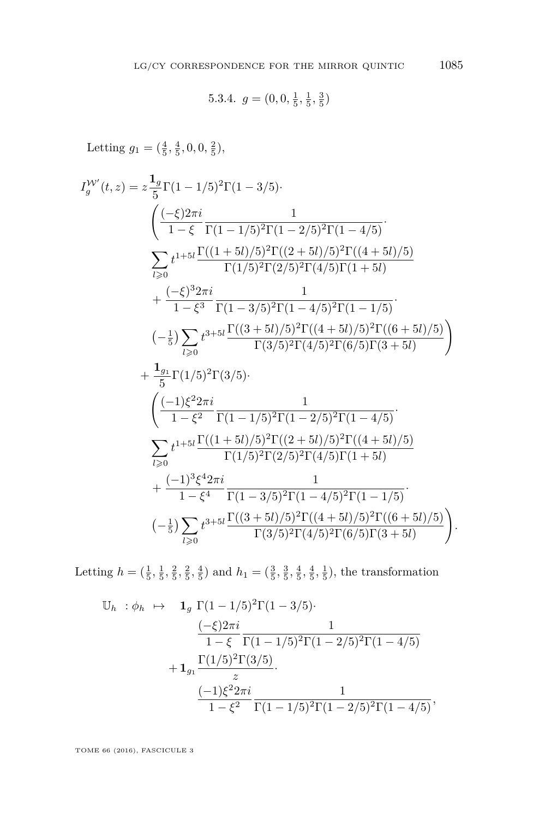5.3.4. 
$$
g = (0, 0, \frac{1}{5}, \frac{1}{5}, \frac{3}{5})
$$

Letting  $g_1 = (\frac{4}{5}, \frac{4}{5}, 0, 0, \frac{2}{5}),$ 

$$
I_{g}^{W'}(t,z) = z \frac{1_g}{5} \Gamma(1 - 1/5)^2 \Gamma(1 - 3/5)
$$
  
\n
$$
\left( \frac{(-\xi)2\pi i}{1 - \xi} \frac{1}{\Gamma(1 - 1/5)^2 \Gamma(1 - 2/5)^2 \Gamma(1 - 4/5)} \right)
$$
  
\n
$$
\sum_{l \geq 0} t^{1 + 5l} \frac{\Gamma((1 + 5l)/5)^2 \Gamma((2 + 5l)/5)^2 \Gamma((4 + 5l)/5)}{\Gamma(1/5)^2 \Gamma(2/5)^2 \Gamma(4/5) \Gamma(1 + 5l)}
$$
  
\n
$$
+ \frac{(-\xi)^3 2\pi i}{1 - \xi^3} \frac{1}{\Gamma(1 - 3/5)^2 \Gamma(1 - 4/5)^2 \Gamma(1 - 1/5)}
$$
  
\n
$$
(-\frac{1}{5}) \sum_{l \geq 0} t^{3 + 5l} \frac{\Gamma((3 + 5l)/5)^2 \Gamma((4 + 5l)/5)^2 \Gamma((6 + 5l)/5)}{\Gamma(3/5)^2 \Gamma(4/5)^2 \Gamma(6/5) \Gamma(3 + 5l)}
$$
  
\n
$$
+ \frac{1_{g_1}}{5} \Gamma(1/5)^2 \Gamma(3/5)
$$
  
\n
$$
\left( \frac{(-1)\xi^2 2\pi i}{1 - \xi^2} \frac{1}{\Gamma(1 - 1/5)^2 \Gamma(1 - 2/5)^2 \Gamma(1 - 4/5)}
$$
  
\n
$$
\sum_{l \geq 0} t^{1 + 5l} \frac{\Gamma((1 + 5l)/5)^2 \Gamma((2 + 5l)/5)^2 \Gamma((4 + 5l)/5)}{\Gamma(1/5)^2 \Gamma(2/5)^2 \Gamma(4/5) \Gamma(1 + 5l)}
$$
  
\n
$$
+ \frac{(-1)^3 \xi^4 2\pi i}{1 - \xi^4} \frac{1}{\Gamma(1 - 3/5)^2 \Gamma(1 - 4/5)^2 \Gamma(1 - 1/5)}
$$
  
\n
$$
(-\frac{1}{5}) \sum_{l \geq 0} t^{3 + 5l} \frac{\Gamma((3 + 5l)/5)^2 \Gamma((4 + 5l)/5)^2 \Gamma((6 + 5l)/5)}{\Gamma(3/5)^2 \Gamma(4/5)^2 \Gamma(
$$

Letting  $h = (\frac{1}{5}, \frac{1}{5}, \frac{2}{5}, \frac{2}{5}, \frac{4}{5})$  and  $h_1 = (\frac{3}{5}, \frac{3}{5}, \frac{4}{5}, \frac{1}{5})$ , the transformation

$$
\mathbb{U}_{h} : \phi_{h} \mapsto \mathbf{1}_{g} \Gamma(1 - 1/5)^{2} \Gamma(1 - 3/5) \cdot \frac{(-\xi)2\pi i}{1 - \xi} \frac{1}{\Gamma(1 - 1/5)^{2} \Gamma(1 - 2/5)^{2} \Gamma(1 - 4/5)} + \mathbf{1}_{g_{1}} \frac{\Gamma(1/5)^{2} \Gamma(3/5)}{z} \cdot \frac{(-1)\xi^{2} 2\pi i}{1 - \xi^{2}} \frac{1}{\Gamma(1 - 1/5)^{2} \Gamma(1 - 2/5)^{2} \Gamma(1 - 4/5)},
$$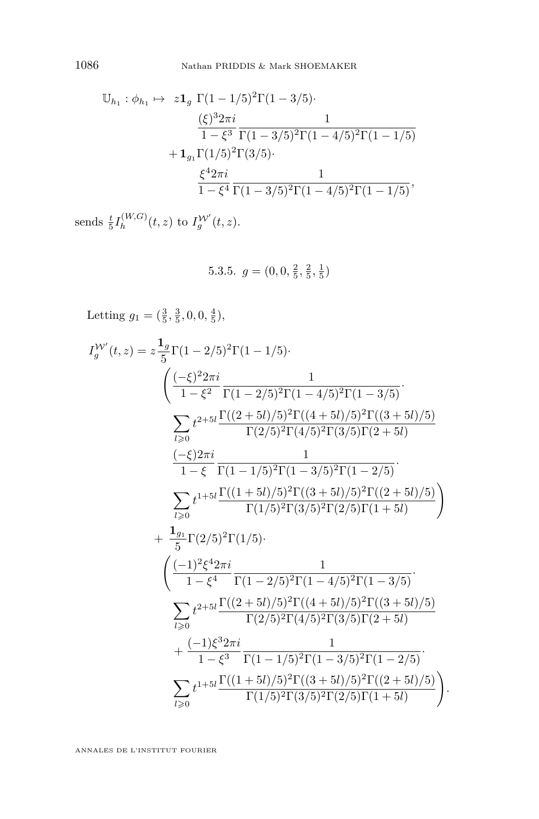$$
\mathbb{U}_{h_1}: \phi_{h_1} \mapsto z\mathbf{1}_g \Gamma(1-1/5)^2 \Gamma(1-3/5) \cdot \frac{(\xi)^3 2\pi i}{1-\xi^3} \frac{1}{\Gamma(1-3/5)^2 \Gamma(1-4/5)^2 \Gamma(1-1/5)} + \mathbf{1}_{g_1} \Gamma(1/5)^2 \Gamma(3/5) \cdot \frac{\xi^4 2\pi i}{1-\xi^4} \frac{1}{\Gamma(1-3/5)^2 \Gamma(1-4/5)^2 \Gamma(1-1/5)},
$$

sends  $\frac{t}{5}I_h^{(W,G)}$  $\int_{h}^{(W,G)}(t,z)$  to  $I_g^{\mathcal{W}'}(t,z)$ .

5.3.5. 
$$
g = (0, 0, \frac{2}{5}, \frac{2}{5}, \frac{1}{5})
$$

Letting 
$$
g_1 = (\frac{3}{5}, \frac{3}{5}, 0, 0, \frac{4}{5}),
$$
  
\n
$$
I_g^{W'}(t, z) = z \frac{1_g}{5} \Gamma(1 - 2/5)^2 \Gamma(1 - 1/5).
$$
\n
$$
\left( \frac{(-\xi)^2 2\pi i}{1 - \xi^2} \frac{1}{\Gamma(1 - 2/5)^2 \Gamma(1 - 4/5)^2 \Gamma(1 - 3/5)} \right)
$$
\n
$$
\sum_{l \geq 0} t^{2+5l} \frac{\Gamma((2+5l)/5)^2 \Gamma((4+5l)/5)^2 \Gamma((3+5l)/5)}{\Gamma(2/5)^2 \Gamma(4/5)^2 \Gamma(3/5) \Gamma(2 + 5l)} \frac{(-\xi) 2\pi i}{1 - \xi} \frac{1}{\Gamma(1 - 1/5)^2 \Gamma(1 - 3/5)^2 \Gamma(1 - 2/5)}.
$$
\n
$$
\sum_{l \geq 0} t^{1+5l} \frac{\Gamma((1+5l)/5)^2 \Gamma((3+5l)/5)^2 \Gamma((2+5l)/5)}{\Gamma(1/5)^2 \Gamma(3/5)^2 \Gamma(2/5) \Gamma(1 + 5l)} \right)
$$
\n
$$
+ \frac{1_{g_1}}{5} \Gamma(2/5)^2 \Gamma(1/5).
$$
\n
$$
\left( \frac{(-1)^2 \xi^4 2\pi i}{1 - \xi^4} \frac{1}{\Gamma(1 - 2/5)^2 \Gamma(1 - 4/5)^2 \Gamma(1 - 3/5)} \right).
$$
\n
$$
\sum_{l \geq 0} t^{2+5l} \frac{\Gamma((2+5l)/5)^2 \Gamma((4+5l)/5)^2 \Gamma((3+5l)/5)}{\Gamma(2/5)^2 \Gamma(4/5)^2 \Gamma(3/5) \Gamma(2 + 5l)} + \frac{(-1)\xi^3 2\pi i}{1 - \xi^3} \frac{1}{\Gamma(1 - 1/5)^2 \Gamma(1 - 3/5)^2 \Gamma(1 - 2/5)}.
$$
\n
$$
\sum_{l \geq 0} t^{1+5l} \frac{\Gamma((1+5l)/5)^2 \Gamma((3+5l)/5)^2 \Gamma(2/5) \Gamma(1 + 5l)}{\Gamma(1/5)^2 \Gamma(3/5)^2 \Gamma(2/5) \Gamma(1 + 5l)}
$$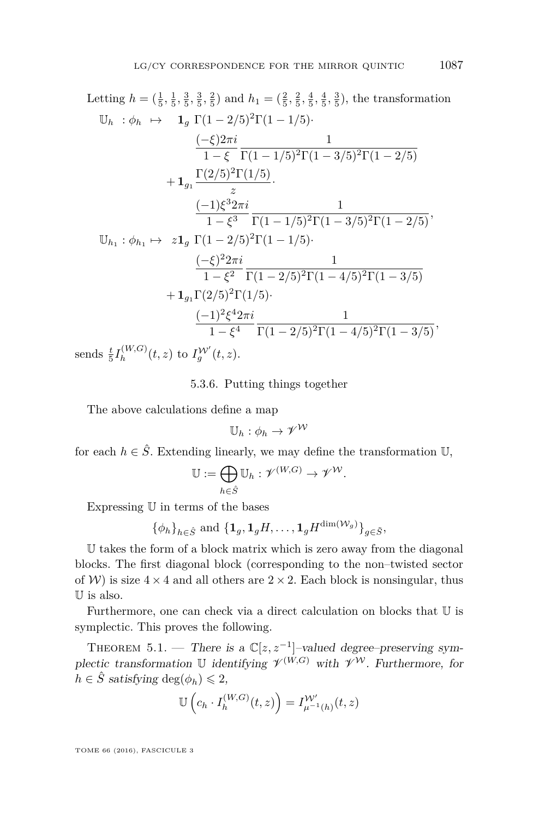Letting  $h = (\frac{1}{5}, \frac{1}{5}, \frac{3}{5}, \frac{3}{5}, \frac{2}{5})$  and  $h_1 = (\frac{2}{5}, \frac{2}{5}, \frac{4}{5}, \frac{4}{5}, \frac{3}{5})$ , the transformation  $\mathbb{U}_b : \phi_b \mapsto \mathbf{1}_a \Gamma(1 - 2/5)^2 \Gamma(1 - 1/5)$ · (−*ξ*)2*πi* 1 − *ξ* 1 Γ(1 − 1*/*5)<sup>2</sup>Γ(1 − 3*/*5)<sup>2</sup>Γ(1 − 2*/*5)  $+$   ${\bf 1}_{g_1}$ Γ(2*/*5)<sup>2</sup>Γ(1*/*5)  $rac{1}{z}$ . (−1)*ξ* <sup>3</sup>2*πi*  $1 - \xi^3$  $\frac{1}{\Gamma(1-1/5)^2 \Gamma(1-3/5)^2 \Gamma(1-2/5)},$  $\mathbb{U}_{h_1}: \phi_{h_1} \mapsto z\mathbf{1}_g \Gamma(1-2/5)^2\Gamma(1-1/5)$ · (−*ξ*) <sup>2</sup>2*πi*  $1 - \xi^2$ 1 Γ(1 − 2*/*5)<sup>2</sup>Γ(1 − 4*/*5)<sup>2</sup>Γ(1 − 3*/*5)  $+ \mathbf{1}_q \Gamma(2/5)^2 \Gamma(1/5)$ ·  $(-1)<sup>2</sup>ξ<sup>4</sup>2π*i*$  $1 - \xi^4$  $\frac{1}{\Gamma(1-2/5)^2 \Gamma(1-4/5)^2 \Gamma(1-3/5)},$ 

sends  $\frac{t}{5}I_h^{(W,G)}$  $\int_{h}^{(W,G)}(t,z)$  to  $I_g^{\mathcal{W}'}(t,z)$ .

5.3.6. Putting things together

The above calculations define a map

 $\mathbb{U}_h: \phi_h \to \mathscr{V}^{\mathcal{W}}$ 

for each  $h \in \hat{S}$ . Extending linearly, we may define the transformation  $\mathbb{U}$ ,

$$
\mathbb{U}:=\bigoplus_{h\in \hat{S}}\mathbb{U}_h:\mathscr{V}^{(W,G)}\to \mathscr{V}^{\mathcal{W}}.
$$

Expressing U in terms of the bases

$$
\{\phi_h\}_{h\in \hat{S}}
$$
 and  $\{\mathbf{1}_g, \mathbf{1}_g H, \ldots, \mathbf{1}_g H^{\dim(\mathcal{W}_g)}\}_{g\in \tilde{S}}$ ,

U takes the form of a block matrix which is zero away from the diagonal blocks. The first diagonal block (corresponding to the non–twisted sector of W) is size  $4 \times 4$  and all others are  $2 \times 2$ . Each block is nonsingular, thus U is also.

Furthermore, one can check via a direct calculation on blocks that U is symplectic. This proves the following.

<span id="page-43-0"></span>THEOREM 5.1. — There is a  $\mathbb{C}[z, z^{-1}]$ -valued degree-preserving symplectic transformation U identifying  $\mathcal{V}^{(W,G)}$  with  $\mathcal{V}^{\mathcal{W}}$ . Furthermore, for  $h \in \hat{S}$  satisfying deg( $\phi_h$ )  $\leq 2$ ,

$$
\mathbb{U}\left(c_h \cdot I_h^{(W,G)}(t,z)\right) = I_{\mu^{-1}(h)}^{\mathcal{W}'}(t,z)
$$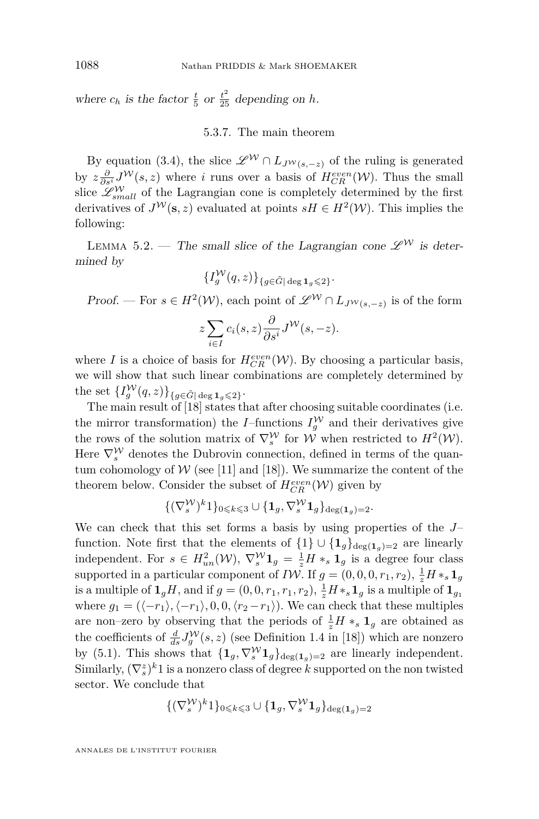where  $c_h$  is the factor  $\frac{t}{5}$  or  $\frac{t^2}{25}$  depending on *h*.

#### 5.3.7. The main theorem

By equation [\(3.4\)](#page-17-1), the slice  $\mathscr{L}^W \cap L_{J^W(s,-z)}$  of the ruling is generated by  $z\frac{\partial}{\partial s^i}J^{\mathcal{W}}(s,z)$  where *i* runs over a basis of  $H_{CR}^{even}(\mathcal{W})$ . Thus the small slice  $\mathscr{L}^{\mathcal{W}}_{small}$  of the Lagrangian cone is completely determined by the first derivatives of  $J^{\mathcal{W}}(\mathbf{s}, z)$  evaluated at points  $sH \in H^2(\mathcal{W})$ . This implies the following:

LEMMA 5.2. — The small slice of the Lagrangian cone  $\mathscr{L}^{\mathcal{W}}$  is determined by

$$
\{I_g^{\mathcal{W}}(q,z)\}_{\{g\in \tilde{G}|\deg {\bf 1}_g\leqslant 2\}}.
$$

Proof. — For  $s \in H^2(\mathcal{W})$ , each point of  $\mathscr{L}^{\mathcal{W}} \cap L_{J^{\mathcal{W}}(s,-z)}$  is of the form

$$
z\sum_{i\in I}c_i(s,z)\frac{\partial}{\partial s^i}J^{\mathcal{W}}(s,-z).
$$

where *I* is a choice of basis for  $H_{CR}^{even}(\mathcal{W})$ . By choosing a particular basis, we will show that such linear combinations are completely determined by the set  $\{I_g^{\mathcal{W}}(q, z)\}_{\{g \in \tilde{G} \mid \deg \mathbf{1}_g \leqslant 2\}}$ .

The main result of [\[18\]](#page-46-9) states that after choosing suitable coordinates (i.e. the mirror transformation) the *I*-functions  $I_g^{\mathcal{W}}$  and their derivatives give the rows of the solution matrix of  $\nabla_s^{\mathcal{W}}$  for  $\mathcal{W}$  when restricted to  $H^2(\mathcal{W})$ . Here  $\nabla_s^{\mathcal{W}}$  denotes the Dubrovin connection, defined in terms of the quantum cohomology of  $W$  (see [\[11\]](#page-46-20) and [\[18\]](#page-46-9)). We summarize the content of the theorem below. Consider the subset of  $H_{CR}^{even}(\mathcal{W})$  given by

$$
\{(\nabla_s^{\mathcal{W}})^k 1\}_{0 \leq k \leq 3} \cup \{\mathbf{1}_g, \nabla_s^{\mathcal{W}} \mathbf{1}_g\}_{\deg(\mathbf{1}_g) = 2}.
$$

We can check that this set forms a basis by using properties of the *J*– function. Note first that the elements of  $\{1\} \cup \{1_g\}_{\text{deg}(\mathbf{1}_g)=2}$  are linearly independent. For  $s \in H_{un}^2(\mathcal{W}), \nabla_s^{\mathcal{W}} \mathbf{1}_g = \frac{1}{z} H *_{s} \mathbf{1}_g$  is a degree four class supported in a particular component of *IW*. If  $g = (0, 0, 0, r_1, r_2), \frac{1}{z}H *_{s} \mathbf{1}_{g}$ is a multiple of  $\mathbf{1}_g H$ , and if  $g = (0, 0, r_1, r_1, r_2)$ ,  $\frac{1}{z} H *_{s} \mathbf{1}_g$  is a multiple of  $\mathbf{1}_{g_1}$ where  $g_1 = (\langle -r_1 \rangle, \langle -r_1 \rangle, 0, 0, \langle r_2 - r_1 \rangle)$ . We can check that these multiples are non–zero by observing that the periods of  $\frac{1}{z}H *_{s} \mathbf{1}_{g}$  are obtained as the coefficients of  $\frac{d}{ds}J_g^{\mathcal{W}}(s,z)$  (see Definition 1.4 in [\[18\]](#page-46-9)) which are nonzero by [\(5.1\)](#page-34-0). This shows that  ${\{\mathbf 1_g, \nabla_s^{\mathcal W}\mathbf 1_g\}_{\text{deg}(\mathbf 1_g)=2}}$  are linearly independent. Similarly,  $(\nabla_s^z)^k 1$  is a nonzero class of degree *k* supported on the non twisted sector. We conclude that

$$
\{(\nabla_s^{\mathcal{W}})^k 1\}_{0 \leqslant k \leqslant 3} \cup \{\mathbf{1}_g, \nabla_s^{\mathcal{W}} \mathbf{1}_g\}_{\deg(\mathbf{1}_g) = 2}
$$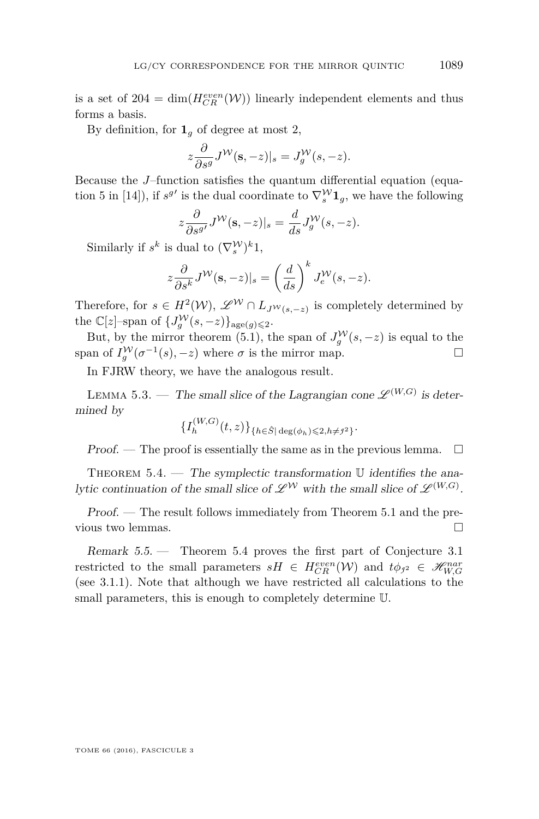is a set of  $204 = \dim(H_{CR}^{even}(\mathcal{W}))$  linearly independent elements and thus forms a basis.

By definition, for  $\mathbf{1}_q$  of degree at most 2,

$$
z\frac{\partial}{\partial s^g}J^{\mathcal{W}}(\mathbf{s},-z)|_s=J_g^{\mathcal{W}}(s,-z).
$$

Because the *J*–function satisfies the quantum differential equation (equa-tion 5 in [\[14\]](#page-46-15)), if  $s^{g'}$  is the dual coordinate to  $\nabla_s^{\mathcal{W}} \mathbf{1}_g$ , we have the following

$$
z\frac{\partial}{\partial s^{g'}}J^{\mathcal{W}}(\mathbf{s},-z)|_{s}=\frac{d}{ds}J^{\mathcal{W}}_{g}(s,-z).
$$

Similarly if  $s^k$  is dual to  $(\nabla_s^{\mathcal{W}})^k 1$ ,

$$
z\frac{\partial}{\partial s^k}J^{\mathcal{W}}(\mathbf{s},-z)|_s = \left(\frac{d}{ds}\right)^k J_e^{\mathcal{W}}(s,-z).
$$

Therefore, for  $s \in H^2(\mathcal{W})$ ,  $\mathscr{L}^{\mathcal{W}} \cap L_{J^{\mathcal{W}}(s,-z)}$  is completely determined by the  $\mathbb{C}[z]$ -span of  $\{J_g^{\mathcal{W}}(s, -z)\}_{\text{age}(g)\leqslant 2}$ .

But, by the mirror theorem [\(5.1\)](#page-34-0), the span of  $J_g^{\mathcal{W}}(s, -z)$  is equal to the span of  $I_g^{\mathcal{W}}(\sigma^{-1}(s), -z)$  where  $\sigma$  is the mirror map.

In FJRW theory, we have the analogous result.

LEMMA 5.3. — The small slice of the Lagrangian cone  $\mathscr{L}^{(W,G)}$  is determined by  $(T, V, G)$ 

$$
\{I_h^{(W,G)}(t,z)\}_{\{h \in \hat{S} \mid \deg(\phi_h) \leqslant 2, h \neq j^2\}}.
$$

Proof. — The proof is essentially the same as in the previous lemma.  $\Box$ 

<span id="page-45-0"></span>THEOREM  $5.4.$  — The symplectic transformation  $\mathbb U$  identifies the analytic continuation of the small slice of  $\mathscr{L}^{\mathcal{W}}$  with the small slice of  $\mathscr{L}^{(W,G)}$ .

Proof. — The result follows immediately from Theorem [5.1](#page-43-0) and the previous two lemmas.

Remark 5.5. — Theorem [5.4](#page-45-0) proves the first part of Conjecture [3.1](#page-18-0) restricted to the small parameters  $sH \in H_{CR}^{even}(\mathcal{W})$  and  $t\phi_{j^2} \in \mathcal{H}_{W,G}^{nar}$ (see [3.1.1\)](#page-18-1). Note that although we have restricted all calculations to the small parameters, this is enough to completely determine U.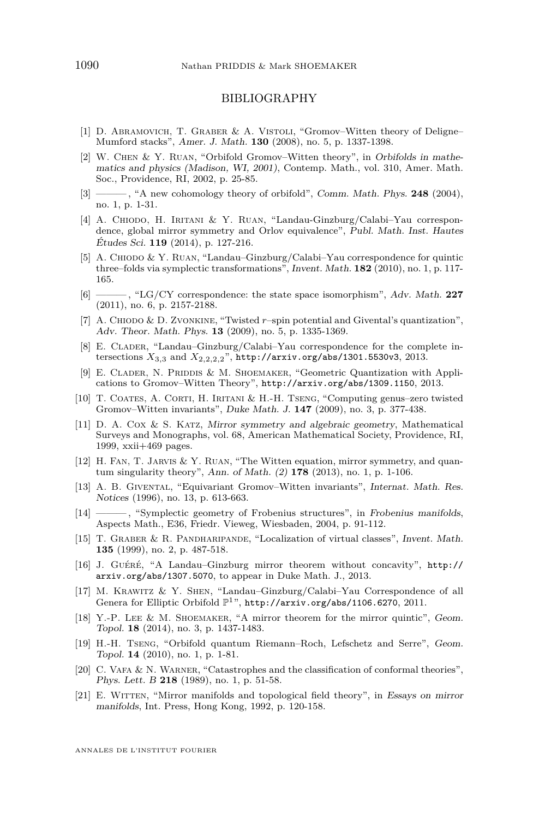#### BIBLIOGRAPHY

- <span id="page-46-12"></span>[1] D. Abramovich, T. Graber & A. Vistoli, "Gromov–Witten theory of Deligne– Mumford stacks", Amer. J. Math. **130** (2008), no. 5, p. 1337-1398.
- <span id="page-46-13"></span>[2] W. Chen & Y. Ruan, "Orbifold Gromov–Witten theory", in Orbifolds in mathematics and physics (Madison, WI, 2001), Contemp. Math., vol. 310, Amer. Math. Soc., Providence, RI, 2002, p. 25-85.
- <span id="page-46-11"></span>[3] ——, "A new cohomology theory of orbifold", Comm. Math. Phys. **248** (2004), no. 1, p. 1-31.
- <span id="page-46-5"></span>[4] A. Chiodo, H. Iritani & Y. Ruan, "Landau-Ginzburg/Calabi–Yau correspondence, global mirror symmetry and Orlov equivalence", Publ. Math. Inst. Hautes Études Sci. **119** (2014), p. 127-216.
- <span id="page-46-4"></span>[5] A. CHIODO & Y. RUAN, "Landau–Ginzburg/Calabi–Yau correspondence for quintic three–folds via symplectic transformations", Invent. Math. **182** (2010), no. 1, p. 117- 165.
- <span id="page-46-19"></span>[6] ——— , "LG/CY correspondence: the state space isomorphism", Adv. Math. **227** (2011), no. 6, p. 2157-2188.
- <span id="page-46-16"></span>[7] A. CHIODO & D. ZVONKINE, "Twisted  $r$ -spin potential and Givental's quantization", Adv. Theor. Math. Phys. **13** (2009), no. 5, p. 1335-1369.
- <span id="page-46-7"></span>[8] E. CLADER, "Landau–Ginzburg/Calabi–Yau correspondence for the complete intersections *X*3*,*<sup>3</sup> and *X*2*,*2*,*2*,*2", <http://arxiv.org/abs/1301.5530v3>, 2013.
- <span id="page-46-17"></span>[9] E. CLADER, N. PRIDDIS & M. SHOEMAKER, "Geometric Quantization with Applications to Gromov–Witten Theory", <http://arxiv.org/abs/1309.1150>, 2013.
- <span id="page-46-18"></span>[10] T. Coates, A. Corti, H. Iritani & H.-H. Tseng, "Computing genus–zero twisted Gromov–Witten invariants", Duke Math. J. **147** (2009), no. 3, p. 377-438.
- <span id="page-46-20"></span>[11] D. A. Cox & S. Katz, Mirror symmetry and algebraic geometry, Mathematical Surveys and Monographs, vol. 68, American Mathematical Society, Providence, RI, 1999, xxii+469 pages.
- <span id="page-46-2"></span>[12] H. Fan, T. Jarvis & Y. Ruan, "The Witten equation, mirror symmetry, and quantum singularity theory", Ann. of Math. (2) **178** (2013), no. 1, p. 1-106.
- <span id="page-46-8"></span>[13] A. B. Givental, "Equivariant Gromov–Witten invariants", Internat. Math. Res. Notices (1996), no. 13, p. 613-663.
- <span id="page-46-15"></span>[14] ——— , "Symplectic geometry of Frobenius structures", in Frobenius manifolds, Aspects Math., E36, Friedr. Vieweg, Wiesbaden, 2004, p. 91-112.
- <span id="page-46-10"></span>[15] T. Graber & R. Pandharipande, "Localization of virtual classes", Invent. Math. **135** (1999), no. 2, p. 487-518.
- <span id="page-46-3"></span>[16] J. Guéré, "A Landau–Ginzburg mirror theorem without concavity", [http://](http://arxiv.org/abs/1307.5070) [arxiv.org/abs/1307.5070](http://arxiv.org/abs/1307.5070), to appear in Duke Math. J., 2013.
- <span id="page-46-6"></span>[17] M. Krawitz & Y. Shen, "Landau–Ginzburg/Calabi–Yau Correspondence of all Genera for Elliptic Orbifold  $\mathbb{P}^1$ ", <http://arxiv.org/abs/1106.6270>, 2011.
- <span id="page-46-9"></span>[18] Y.-P. LEE & M. SHOEMAKER, "A mirror theorem for the mirror quintic", Geom. Topol. **18** (2014), no. 3, p. 1437-1483.
- <span id="page-46-14"></span>[19] H.-H. Tseng, "Orbifold quantum Riemann–Roch, Lefschetz and Serre", Geom. Topol. **14** (2010), no. 1, p. 1-81.
- <span id="page-46-0"></span>[20] C. Vafa & N. Warner, "Catastrophes and the classification of conformal theories", Phys. Lett. B **218** (1989), no. 1, p. 51-58.
- <span id="page-46-1"></span>[21] E. WITTEN, "Mirror manifolds and topological field theory", in Essays on mirror manifolds, Int. Press, Hong Kong, 1992, p. 120-158.